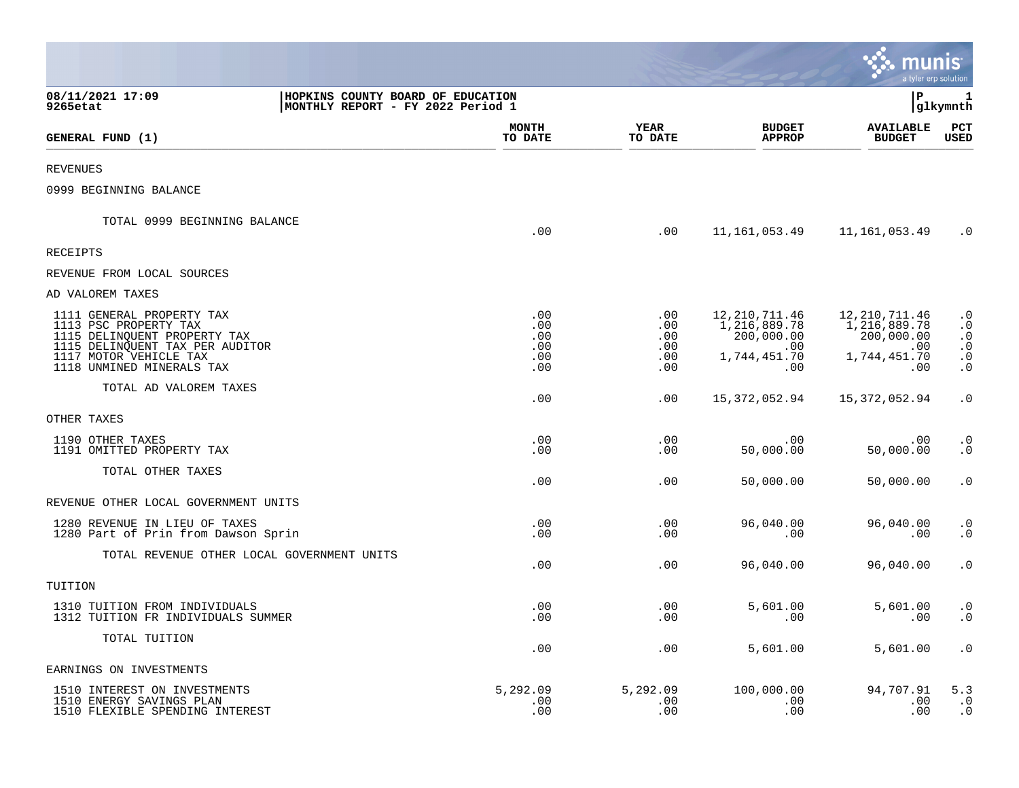|                                                                                                                                                                              |                                        |                                        |                                                                                     | munis<br>a tyler erp solution                                             |                                                                            |
|------------------------------------------------------------------------------------------------------------------------------------------------------------------------------|----------------------------------------|----------------------------------------|-------------------------------------------------------------------------------------|---------------------------------------------------------------------------|----------------------------------------------------------------------------|
| 08/11/2021 17:09<br>HOPKINS COUNTY BOARD OF EDUCATION<br>MONTHLY REPORT - FY 2022 Period 1<br>9265etat                                                                       |                                        |                                        |                                                                                     | l P                                                                       | 1<br> glkymnth                                                             |
| GENERAL FUND (1)                                                                                                                                                             | <b>MONTH</b><br>TO DATE                | <b>YEAR</b><br>TO DATE                 | <b>BUDGET</b><br><b>APPROP</b>                                                      | <b>AVAILABLE</b><br><b>BUDGET</b>                                         | PCT<br><b>USED</b>                                                         |
| <b>REVENUES</b>                                                                                                                                                              |                                        |                                        |                                                                                     |                                                                           |                                                                            |
| 0999 BEGINNING BALANCE                                                                                                                                                       |                                        |                                        |                                                                                     |                                                                           |                                                                            |
| TOTAL 0999 BEGINNING BALANCE                                                                                                                                                 | .00                                    | $.00 \,$                               | 11,161,053.49                                                                       | 11,161,053.49                                                             | $\cdot$ 0                                                                  |
| <b>RECEIPTS</b>                                                                                                                                                              |                                        |                                        |                                                                                     |                                                                           |                                                                            |
| REVENUE FROM LOCAL SOURCES                                                                                                                                                   |                                        |                                        |                                                                                     |                                                                           |                                                                            |
| AD VALOREM TAXES                                                                                                                                                             |                                        |                                        |                                                                                     |                                                                           |                                                                            |
| 1111 GENERAL PROPERTY TAX<br>1113 PSC PROPERTY TAX<br>1115 DELINQUENT PROPERTY TAX<br>1115 DELINQUENT TAX PER AUDITOR<br>1117 MOTOR VEHICLE TAX<br>1118 UNMINED MINERALS TAX | .00<br>.00<br>.00<br>.00<br>.00<br>.00 | .00<br>.00<br>.00<br>.00<br>.00<br>.00 | 12, 210, 711.46<br>1, 216, 889. 78<br>200,000.00<br>$.00 \,$<br>1,744,451.70<br>.00 | 12,210,711.46<br>1,216,889.78<br>200,000.00<br>.00<br>1,744,451.70<br>.00 | $\cdot$ 0<br>$\cdot$ 0<br>$\cdot$ 0<br>$\cdot$ 0<br>$\cdot$ 0<br>$\cdot$ 0 |
| TOTAL AD VALOREM TAXES                                                                                                                                                       | .00                                    | .00                                    | 15,372,052.94                                                                       | 15,372,052.94                                                             | $\cdot$ 0                                                                  |
| OTHER TAXES                                                                                                                                                                  |                                        |                                        |                                                                                     |                                                                           |                                                                            |
| 1190 OTHER TAXES<br>1191 OMITTED PROPERTY TAX                                                                                                                                | .00<br>.00                             | .00<br>.00                             | .00<br>50,000.00                                                                    | .00<br>50,000.00                                                          | $\cdot$ 0<br>$\cdot$ 0                                                     |
| TOTAL OTHER TAXES                                                                                                                                                            | .00                                    | .00                                    | 50,000.00                                                                           | 50,000.00                                                                 | $\cdot$ 0                                                                  |
| REVENUE OTHER LOCAL GOVERNMENT UNITS                                                                                                                                         |                                        |                                        |                                                                                     |                                                                           |                                                                            |
| 1280 REVENUE IN LIEU OF TAXES<br>1280 Part of Prin from Dawson Sprin                                                                                                         | .00<br>.00                             | .00<br>.00                             | 96,040.00<br>.00                                                                    | 96,040.00<br>.00                                                          | $\cdot$ 0<br>$\cdot$ 0                                                     |
| TOTAL REVENUE OTHER LOCAL GOVERNMENT UNITS                                                                                                                                   | .00                                    | .00                                    | 96,040.00                                                                           | 96,040.00                                                                 | $\cdot$ 0                                                                  |
| TUITION                                                                                                                                                                      |                                        |                                        |                                                                                     |                                                                           |                                                                            |
| 1310 TUITION FROM INDIVIDUALS<br>1312 TUITION FR INDIVIDUALS SUMMER                                                                                                          | .00<br>.00                             | .00<br>.00                             | 5,601.00<br>.00                                                                     | 5,601.00<br>.00                                                           | $\cdot$ 0<br>$\cdot$ 0                                                     |
| TOTAL TUITION                                                                                                                                                                | .00                                    | .00                                    | 5,601.00                                                                            | 5,601.00                                                                  | $\cdot$ 0                                                                  |
| EARNINGS ON INVESTMENTS                                                                                                                                                      |                                        |                                        |                                                                                     |                                                                           |                                                                            |
| 1510 INTEREST ON INVESTMENTS<br>1510 ENERGY SAVINGS PLAN<br>1510 FLEXIBLE SPENDING INTEREST                                                                                  | 5,292.09<br>.00<br>.00                 | 5,292.09<br>.00<br>.00                 | 100,000.00<br>.00<br>.00                                                            | 94,707.91<br>.00<br>.00                                                   | 5.3<br>$\cdot$ 0<br>$\cdot$ 0                                              |

 $\mathcal{L}^{\text{max}}$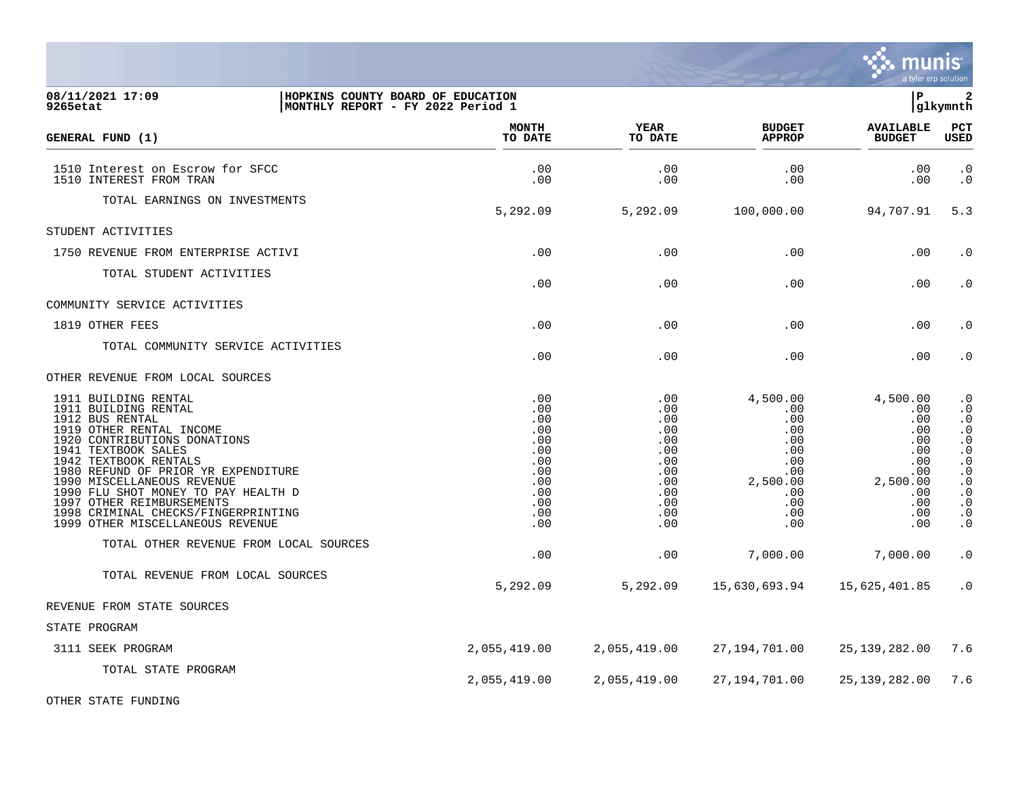

| 08/11/2021 17:09<br>9265etat                                                                                                                                                                                                                                                                                                                                                                                                              | HOPKINS COUNTY BOARD OF EDUCATION<br> MONTHLY REPORT - FY 2022 Period 1                 |                                                                                         |                                                                                                         | P.                                                                                                | 2<br>glkymnth                                                                                                                                                                                                     |
|-------------------------------------------------------------------------------------------------------------------------------------------------------------------------------------------------------------------------------------------------------------------------------------------------------------------------------------------------------------------------------------------------------------------------------------------|-----------------------------------------------------------------------------------------|-----------------------------------------------------------------------------------------|---------------------------------------------------------------------------------------------------------|---------------------------------------------------------------------------------------------------|-------------------------------------------------------------------------------------------------------------------------------------------------------------------------------------------------------------------|
| GENERAL FUND (1)                                                                                                                                                                                                                                                                                                                                                                                                                          | <b>MONTH</b><br>TO DATE                                                                 | <b>YEAR</b><br>TO DATE                                                                  | <b>BUDGET</b><br><b>APPROP</b>                                                                          | <b>AVAILABLE</b><br><b>BUDGET</b>                                                                 | PCT<br><b>USED</b>                                                                                                                                                                                                |
| 1510 Interest on Escrow for SFCC<br>1510 INTEREST FROM TRAN                                                                                                                                                                                                                                                                                                                                                                               | .00<br>.00                                                                              | .00<br>.00                                                                              | .00<br>.00                                                                                              | .00<br>.00                                                                                        | $\cdot$ 0<br>$\cdot$ 0                                                                                                                                                                                            |
| TOTAL EARNINGS ON INVESTMENTS                                                                                                                                                                                                                                                                                                                                                                                                             | 5,292.09                                                                                | 5,292.09                                                                                | 100,000.00                                                                                              | 94,707.91                                                                                         | 5.3                                                                                                                                                                                                               |
| STUDENT ACTIVITIES                                                                                                                                                                                                                                                                                                                                                                                                                        |                                                                                         |                                                                                         |                                                                                                         |                                                                                                   |                                                                                                                                                                                                                   |
| 1750 REVENUE FROM ENTERPRISE ACTIVI                                                                                                                                                                                                                                                                                                                                                                                                       | .00                                                                                     | .00                                                                                     | .00                                                                                                     | .00                                                                                               | $\cdot$ 0                                                                                                                                                                                                         |
| TOTAL STUDENT ACTIVITIES                                                                                                                                                                                                                                                                                                                                                                                                                  | .00                                                                                     | .00                                                                                     | .00                                                                                                     | .00                                                                                               | $\cdot$ 0                                                                                                                                                                                                         |
| COMMUNITY SERVICE ACTIVITIES                                                                                                                                                                                                                                                                                                                                                                                                              |                                                                                         |                                                                                         |                                                                                                         |                                                                                                   |                                                                                                                                                                                                                   |
| 1819 OTHER FEES                                                                                                                                                                                                                                                                                                                                                                                                                           | .00                                                                                     | .00                                                                                     | .00                                                                                                     | .00                                                                                               | $\cdot$ 0                                                                                                                                                                                                         |
| TOTAL COMMUNITY SERVICE ACTIVITIES                                                                                                                                                                                                                                                                                                                                                                                                        | .00                                                                                     | .00                                                                                     | .00                                                                                                     | .00                                                                                               | $\boldsymbol{\cdot}$ 0                                                                                                                                                                                            |
| OTHER REVENUE FROM LOCAL SOURCES                                                                                                                                                                                                                                                                                                                                                                                                          |                                                                                         |                                                                                         |                                                                                                         |                                                                                                   |                                                                                                                                                                                                                   |
| 1911 BUILDING RENTAL<br>1911 BUILDING RENTAL<br>1912 BUS RENTAL<br>1919 OTHER RENTAL INCOME<br>1920 CONTRIBUTIONS DONATIONS<br>1941 TEXTBOOK SALES<br>1942 TEXTBOOK RENTALS<br>1980 REFUND OF PRIOR YR EXPENDITURE<br>1990 MISCELLANEOUS REVENUE<br>1990 FLU SHOT MONEY TO PAY HEALTH D<br>1997 OTHER REIMBURSEMENTS<br>1998 CRIMINAL CHECKS/FINGERPRINTING<br>1999 OTHER MISCELLANEOUS REVENUE<br>TOTAL OTHER REVENUE FROM LOCAL SOURCES | .00<br>.00<br>.00<br>.00<br>.00<br>.00<br>.00<br>.00<br>.00<br>.00<br>.00<br>.00<br>.00 | .00<br>.00<br>.00<br>.00<br>.00<br>.00<br>.00<br>.00<br>.00<br>.00<br>.00<br>.00<br>.00 | 4,500.00<br>.00<br>.00<br>.00.<br>.00<br>.00<br>.00<br>$.00 \,$<br>2,500.00<br>.00<br>.00<br>.00<br>.00 | 4,500.00<br>.00<br>.00<br>.00<br>.00<br>.00<br>.00<br>.00<br>2,500.00<br>.00<br>.00<br>.00<br>.00 | $\cdot$ 0<br>$\cdot$ 0<br>$\cdot$ 0<br>$\cdot$ 0<br>$\boldsymbol{\cdot}$ 0<br>$\cdot$ 0<br>$\overline{0}$<br>$\cdot$ 0<br>$\cdot$ 0<br>$\boldsymbol{\cdot}$ 0<br>$\boldsymbol{\cdot}$ 0<br>$\cdot$ 0<br>$\cdot$ 0 |
|                                                                                                                                                                                                                                                                                                                                                                                                                                           | .00                                                                                     | .00                                                                                     | 7,000.00                                                                                                | 7,000.00                                                                                          | $\cdot$ 0                                                                                                                                                                                                         |
| TOTAL REVENUE FROM LOCAL SOURCES                                                                                                                                                                                                                                                                                                                                                                                                          | 5,292.09                                                                                | 5,292.09                                                                                | 15,630,693.94                                                                                           | 15,625,401.85                                                                                     | $\cdot$ 0                                                                                                                                                                                                         |
| REVENUE FROM STATE SOURCES                                                                                                                                                                                                                                                                                                                                                                                                                |                                                                                         |                                                                                         |                                                                                                         |                                                                                                   |                                                                                                                                                                                                                   |
| STATE PROGRAM                                                                                                                                                                                                                                                                                                                                                                                                                             |                                                                                         |                                                                                         |                                                                                                         |                                                                                                   |                                                                                                                                                                                                                   |
| 3111 SEEK PROGRAM                                                                                                                                                                                                                                                                                                                                                                                                                         | 2,055,419.00                                                                            | 2,055,419.00                                                                            | 27,194,701.00                                                                                           | 25,139,282.00                                                                                     | 7.6                                                                                                                                                                                                               |
| TOTAL STATE PROGRAM                                                                                                                                                                                                                                                                                                                                                                                                                       | 2,055,419.00                                                                            | 2,055,419.00                                                                            | 27,194,701.00                                                                                           | 25,139,282.00                                                                                     | 7.6                                                                                                                                                                                                               |

OTHER STATE FUNDING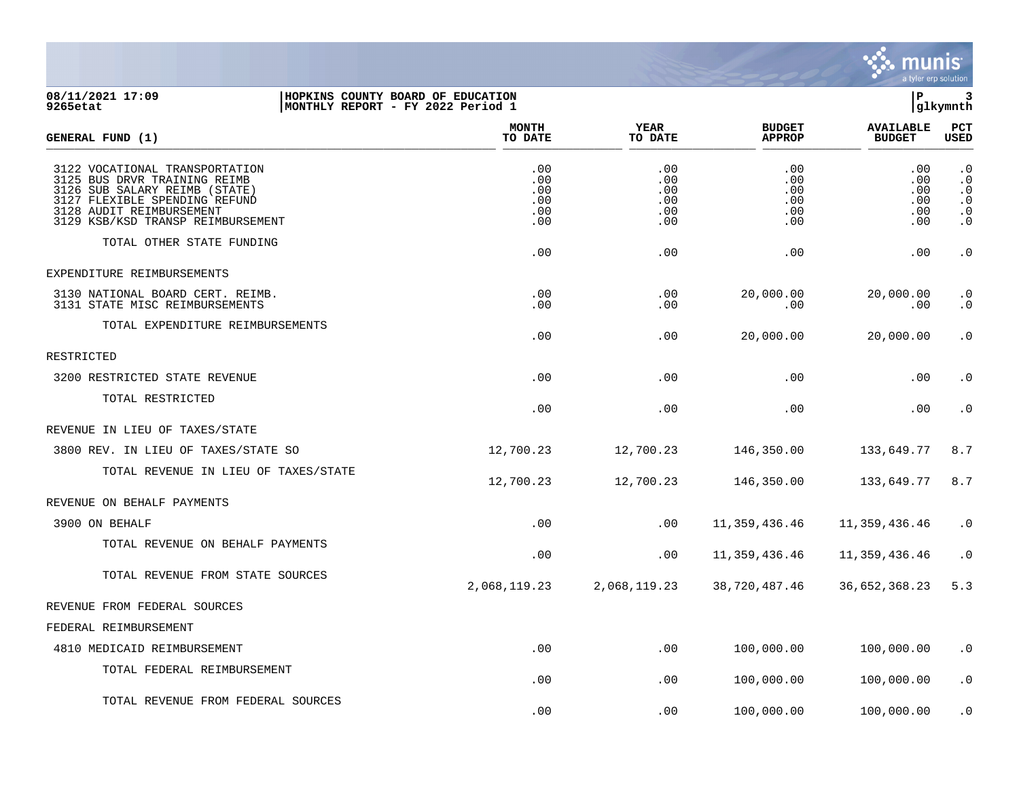

## **08/11/2021 17:09 |HOPKINS COUNTY BOARD OF EDUCATION |P 3 9265etat |MONTHLY REPORT - FY 2022 Period 1 |glkymnth**

| <b>GENERAL FUND (1)</b>                                                                                                                                                                           | <b>MONTH</b><br>TO DATE                | <b>YEAR</b><br>TO DATE                 | <b>BUDGET</b><br><b>APPROP</b>         | <b>AVAILABLE</b><br><b>BUDGET</b>      | <b>PCT</b><br>USED                                                                      |
|---------------------------------------------------------------------------------------------------------------------------------------------------------------------------------------------------|----------------------------------------|----------------------------------------|----------------------------------------|----------------------------------------|-----------------------------------------------------------------------------------------|
| 3122 VOCATIONAL TRANSPORTATION<br>3125 BUS DRVR TRAINING REIMB<br>3126 SUB SALARY REIMB (STATE)<br>3127 FLEXIBLE SPENDING REFUND<br>3128 AUDIT REIMBURSEMENT<br>3129 KSB/KSD TRANSP REIMBURSEMENT | .00<br>.00<br>.00<br>.00<br>.00<br>.00 | .00<br>.00<br>.00<br>.00<br>.00<br>.00 | .00<br>.00<br>.00<br>.00<br>.00<br>.00 | .00<br>.00<br>.00<br>.00<br>.00<br>.00 | $\cdot$ 0<br>$\cdot$ 0<br>$\cdot$ 0<br>$\cdot$ 0<br>$\boldsymbol{\cdot}$ 0<br>$\cdot$ 0 |
| TOTAL OTHER STATE FUNDING                                                                                                                                                                         | .00                                    | .00                                    | .00                                    | .00                                    | $\cdot$ 0                                                                               |
| EXPENDITURE REIMBURSEMENTS                                                                                                                                                                        |                                        |                                        |                                        |                                        |                                                                                         |
| 3130 NATIONAL BOARD CERT. REIMB.<br>3131 STATE MISC REIMBURSEMENTS                                                                                                                                | .00<br>.00                             | .00<br>$.00 \,$                        | 20,000.00<br>.00                       | 20,000.00<br>.00                       | $\cdot$ 0<br>$\cdot$ 0                                                                  |
| TOTAL EXPENDITURE REIMBURSEMENTS                                                                                                                                                                  | .00                                    | .00                                    | 20,000.00                              | 20,000.00                              | $\cdot$ 0                                                                               |
| RESTRICTED                                                                                                                                                                                        |                                        |                                        |                                        |                                        |                                                                                         |
| 3200 RESTRICTED STATE REVENUE                                                                                                                                                                     | .00                                    | .00                                    | .00                                    | .00                                    | $\cdot$ 0                                                                               |
| TOTAL RESTRICTED                                                                                                                                                                                  | .00                                    | .00                                    | .00                                    | .00                                    | $\cdot$ 0                                                                               |
| REVENUE IN LIEU OF TAXES/STATE                                                                                                                                                                    |                                        |                                        |                                        |                                        |                                                                                         |
| 3800 REV. IN LIEU OF TAXES/STATE SO                                                                                                                                                               | 12,700.23                              | 12,700.23                              | 146,350.00                             | 133,649.77                             | 8.7                                                                                     |
| TOTAL REVENUE IN LIEU OF TAXES/STATE                                                                                                                                                              | 12,700.23                              | 12,700.23                              | 146,350.00                             | 133,649.77                             | 8.7                                                                                     |
| REVENUE ON BEHALF PAYMENTS                                                                                                                                                                        |                                        |                                        |                                        |                                        |                                                                                         |
| 3900 ON BEHALF                                                                                                                                                                                    | .00                                    | .00                                    | 11,359,436.46                          | 11,359,436.46                          | $\cdot$ 0                                                                               |
| TOTAL REVENUE ON BEHALF PAYMENTS                                                                                                                                                                  | .00                                    | .00                                    | 11,359,436.46                          | 11,359,436.46                          | $\cdot$ 0                                                                               |
| TOTAL REVENUE FROM STATE SOURCES                                                                                                                                                                  | 2,068,119.23                           | 2,068,119.23                           | 38,720,487.46                          | 36,652,368.23                          | 5.3                                                                                     |
| REVENUE FROM FEDERAL SOURCES                                                                                                                                                                      |                                        |                                        |                                        |                                        |                                                                                         |
| FEDERAL REIMBURSEMENT                                                                                                                                                                             |                                        |                                        |                                        |                                        |                                                                                         |
| 4810 MEDICAID REIMBURSEMENT                                                                                                                                                                       | .00                                    | .00                                    | 100,000.00                             | 100,000.00                             | $\cdot$ 0                                                                               |
| TOTAL FEDERAL REIMBURSEMENT                                                                                                                                                                       | .00                                    | .00                                    | 100,000.00                             | 100,000.00                             | $\cdot$ 0                                                                               |
| TOTAL REVENUE FROM FEDERAL SOURCES                                                                                                                                                                | .00                                    | .00                                    | 100,000.00                             | 100,000.00                             | . 0                                                                                     |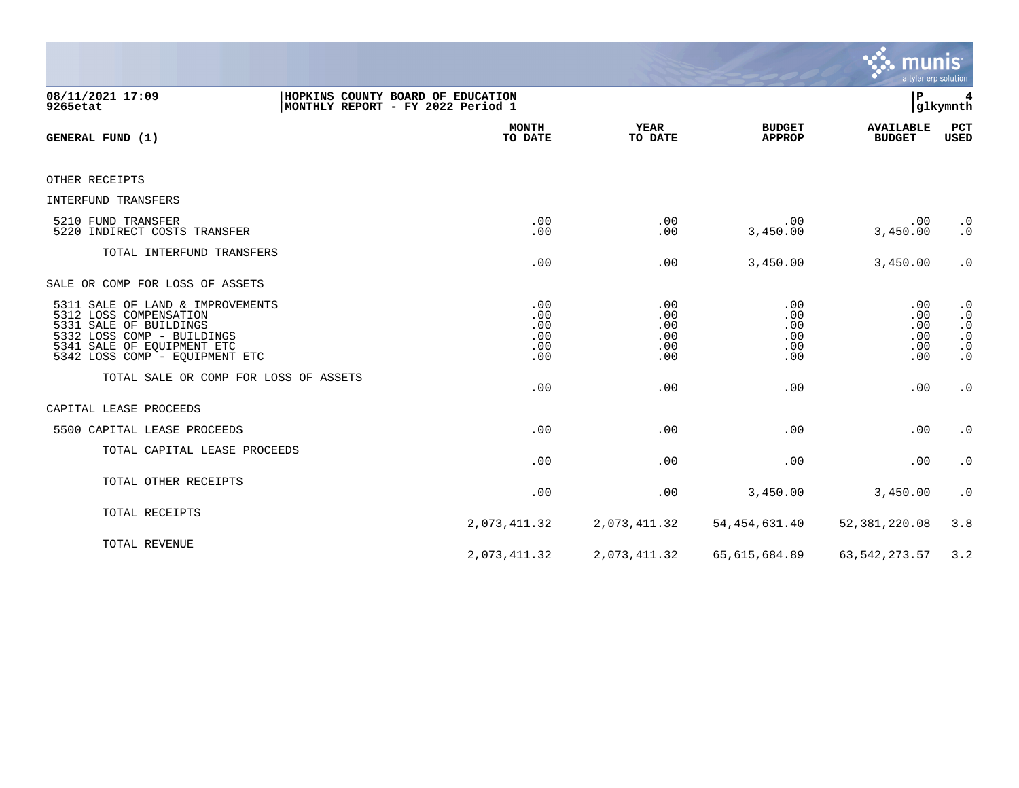|                                                                                                                                                                                    |                                        |                                        |                                        | munis<br>a tyler erp solution               |                                                                                         |
|------------------------------------------------------------------------------------------------------------------------------------------------------------------------------------|----------------------------------------|----------------------------------------|----------------------------------------|---------------------------------------------|-----------------------------------------------------------------------------------------|
| 08/11/2021 17:09<br>HOPKINS COUNTY BOARD OF EDUCATION<br>9265etat<br>MONTHLY REPORT - FY 2022 Period 1                                                                             |                                        |                                        |                                        | ΙP                                          | glkymnth                                                                                |
| GENERAL FUND (1)                                                                                                                                                                   | <b>MONTH</b><br>TO DATE                | <b>YEAR</b><br>TO DATE                 | <b>BUDGET</b><br><b>APPROP</b>         | <b>AVAILABLE</b><br><b>BUDGET</b>           | PCT<br><b>USED</b>                                                                      |
| OTHER RECEIPTS                                                                                                                                                                     |                                        |                                        |                                        |                                             |                                                                                         |
| INTERFUND TRANSFERS                                                                                                                                                                |                                        |                                        |                                        |                                             |                                                                                         |
| 5210 FUND TRANSFER<br>5220 INDIRECT COSTS TRANSFER                                                                                                                                 | .00<br>.00                             | .00<br>.00                             | .00<br>3,450.00                        | .00<br>3,450.00                             | $\cdot$ 0<br>$\cdot$ 0                                                                  |
| TOTAL INTERFUND TRANSFERS                                                                                                                                                          | .00                                    | .00                                    | 3,450.00                               | 3,450.00                                    | $\cdot$ 0                                                                               |
| SALE OR COMP FOR LOSS OF ASSETS                                                                                                                                                    |                                        |                                        |                                        |                                             |                                                                                         |
| 5311 SALE OF LAND & IMPROVEMENTS<br>5312 LOSS COMPENSATION<br>5331 SALE OF BUILDINGS<br>5332 LOSS COMP - BUILDINGS<br>5341 SALE OF EQUIPMENT ETC<br>5342 LOSS COMP - EQUIPMENT ETC | .00<br>.00<br>.00<br>.00<br>.00<br>.00 | .00<br>.00<br>.00<br>.00<br>.00<br>.00 | .00<br>.00<br>.00<br>.00<br>.00<br>.00 | .00<br>$.00 \,$<br>.00<br>.00<br>.00<br>.00 | $\cdot$ 0<br>$\cdot$ 0<br>$\cdot$ 0<br>$\boldsymbol{\cdot}$ 0<br>$\cdot$ 0<br>$\cdot$ 0 |
| TOTAL SALE OR COMP FOR LOSS OF ASSETS                                                                                                                                              | .00                                    | .00                                    | .00                                    | .00                                         | $\cdot$ 0                                                                               |
| CAPITAL LEASE PROCEEDS                                                                                                                                                             |                                        |                                        |                                        |                                             |                                                                                         |
| 5500 CAPITAL LEASE PROCEEDS                                                                                                                                                        | .00                                    | .00                                    | .00                                    | .00                                         | $\cdot$ 0                                                                               |
| TOTAL CAPITAL LEASE PROCEEDS                                                                                                                                                       | .00                                    | .00                                    | .00                                    | .00                                         | $\cdot$ 0                                                                               |
| TOTAL OTHER RECEIPTS                                                                                                                                                               | .00                                    | .00                                    | 3,450.00                               | 3,450.00                                    | $\cdot$ 0                                                                               |
| TOTAL RECEIPTS                                                                                                                                                                     | 2,073,411.32                           | 2,073,411.32                           | 54, 454, 631.40                        | 52,381,220.08                               | 3.8                                                                                     |
| TOTAL REVENUE                                                                                                                                                                      | 2,073,411.32                           | 2,073,411.32                           | 65,615,684.89                          | 63, 542, 273. 57                            | 3.2                                                                                     |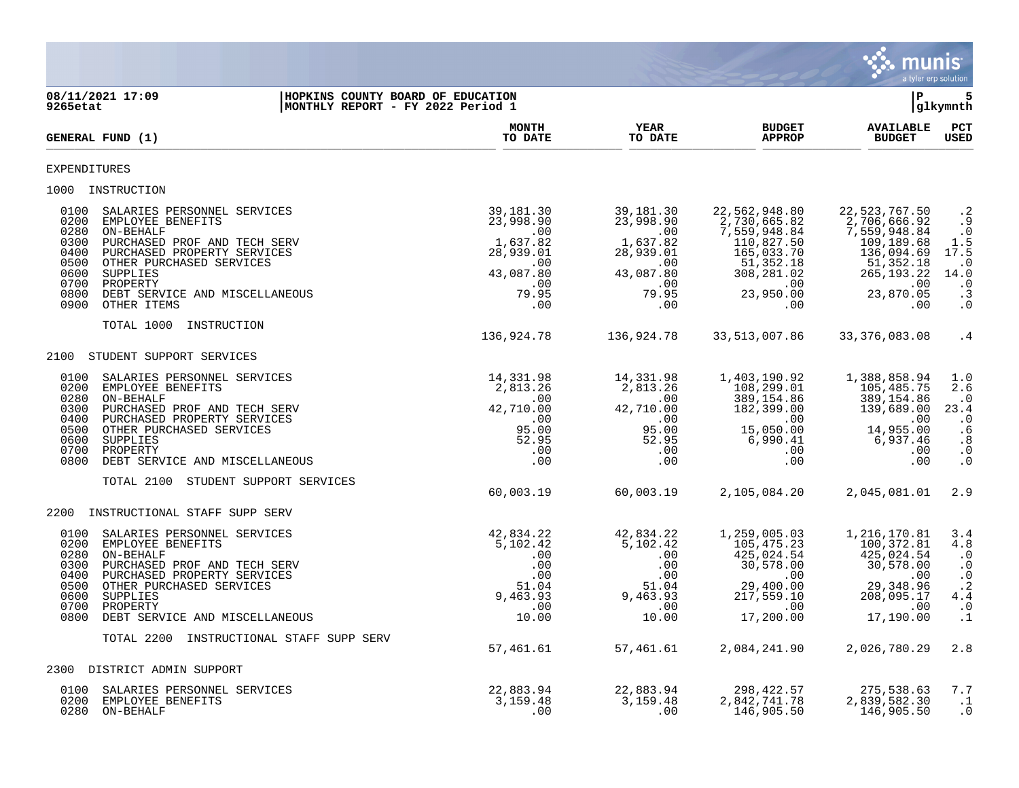

**08/11/2021 17:09 |HOPKINS COUNTY BOARD OF EDUCATION |P 5 |MONTHLY REPORT - FY 2022 Period 1 MONTH YEAR BUDGET AVAILABLE PCT**<br>TO DATE TO DATE APPROP BUDGET USED **GENERAL FUND (1) TO DATE TO DATE APPROP BUDGET USED**  $\frac{10 \text{ Bheb}}{10 \text{ Bheb}}$ EXPENDITURES 1000 INSTRUCTION 0100 SALARIES PERSONNEL SERVICES 39,181.30 39,181.30 22,562,948.80 22,523,767.50 .2 0200 EMPLOYEE BENEFITS 23,998.90 23,998.90 2,730,665.82 2,706,666.92 .9 0280 ON-BEHALF .00 .00 7,559,948.84 7,559,948.84 .0 0300 PURCHASED PROF AND TECH SERV 1,637.82 1,637.82 110,827.50 109,189.68 1.5 0400 PURCHASED PROPERTY SERVICES 28,939.01 28,939.01 165,033.70 136,094.69 17.5 05 . 051,352 OTHER PURCHASED SERVICES . والمستخدم المستخدم المستخدم المستخدم المستخدم المستخدم المستخدم المستخدم المستخدم المستخدم المستخدم المستخدم المستخدم المستخدم المستخدم المستخدم المستخدم المستخدم المستخدم المستخدم 0600 SUPPLIES 43,087.80 43,087.80 308,281.02 265,193.22 14.0 0700 PROPERTY .00 .00 .00 .00 .0 0800 DEBT SERVICE AND MISCELLANEOUS 79.95 79.95 23,950.00 23,870.05 .3 0900 OTHER ITEMS .00 .00 .00 .00 .0 TOTAL 1000 INSTRUCTION 136,924.78 136,924.78 33,513,007.86 33,376,083.08 .4 2100 STUDENT SUPPORT SERVICES 0100 SALARIES PERSONNEL SERVICES 14,331.98 14,331.98 1,403,190.92 1,388,858.94 1.0 0200 EMPLOYEE BENEFITS 2,813.26 2,813.26 108,299.01 105,485.75 2.6 0280 ON-BEHALF .00 .00 389,154.86 389,154.86 .0 0300 PURCHASED PROF AND TECH SERV 42,710.00 42,710.00 182,399.00 139,689.00 23.4 0400 PURCHASED PROPERTY SERVICES .00 .00 .00 .00 .0 0500 OTHER PURCHASED SERVICES 95.00 95.00 15,050.00 14,955.00 .6 0600 SUPPLIES 52.95 52.95 6,990.41 6,937.46 .8 0700 PROPERTY .00 .00 .00 .00 .0 0800 DEBT SERVICE AND MISCELLANEOUS .00 .00 .00 .00 .0 TOTAL 2100 STUDENT SUPPORT SERVICES 60,003.19 60,003.19 2,105,084.20 2,045,081.01 2.9 2200 INSTRUCTIONAL STAFF SUPP SERV 0100 SALARIES PERSONNEL SERVICES 42,834.22 42,834.22 1,259,005.03 1,216,170.81 3.4 0200 EMPLOYEE BENEFITS 5,102.42 5,102.42 105,475.23 100,372.81 4.8 0280 ON-BEHALF .00 .00 425,024.54 425,024.54 .0 0300 PURCHASED PROF AND TECH SERV . والمستخدم المستخدم المستخدم المستخدم المستخدم المستخدم المستخدم المستخدم المستخدم المستخدم المستخدم المستخدم المستخدم المستخدم المستخدم المستخدم المستخدم المستخدم المستخدم المستخدم المس 0400 PURCHASED PROPERTY SERVICES .00 .00 .00 .00 .0 0500 OTHER PURCHASED SERVICES 51.04 51.04 29,400.00 29,348.96 .2 0600 SUPPLIES 9,463.93 9,463.93 217,559.10 208,095.17 4.4 0700 PROPERTY .00 .00 .00 .00 .0 0800 DEBT SERVICE AND MISCELLANEOUS 10.00 10.00 17,200.00 17,190.00 .1 TOTAL 2200 INSTRUCTIONAL STAFF SUPP SERV 57,461.61 57,461.61 2,084,241.90 2,026,780.29 2.8 2300 DISTRICT ADMIN SUPPORT 0100 SALARIES PERSONNEL SERVICES 22,883.94 22,883.94 298,422.57 275,538.63 7.7 0200 EMPLOYEE BENEFITS 3,159.48 3,159.48 2,842,741.78 2,839,582.30 .1

- 
- 0280 ON-BEHALF .00 .00 146,905.50 146,905.50 .0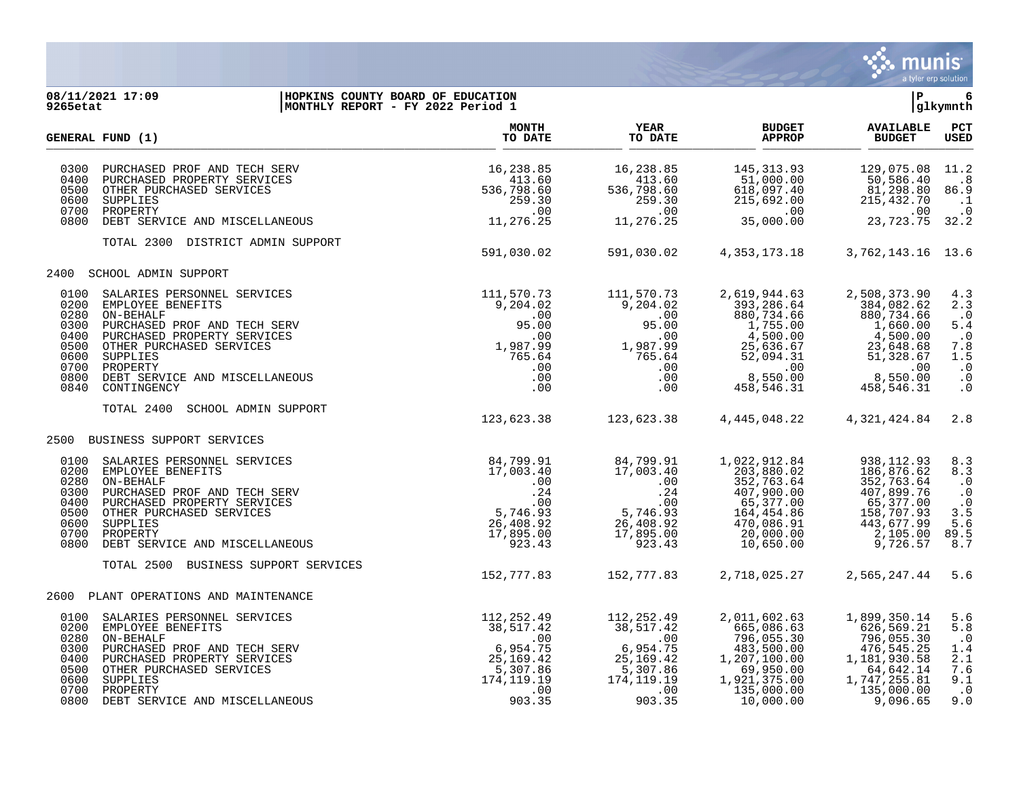

## **08/11/2021 17:09 |HOPKINS COUNTY BOARD OF EDUCATION |P 6 9265etat |MONTHLY REPORT - FY 2022 Period 1 |glkymnth**

|                                                                              | GENERAL FUND (1)                                                                                                                                                                                                                  | <b>MONTH</b><br>TO DATE                                                                             | <b>YEAR</b><br>TO DATE                                                                              | <b>BUDGET</b><br><b>APPROP</b>                                                                                                 | <b>AVAILABLE</b><br><b>BUDGET</b>                                                                                             | PCT<br><b>USED</b>                                                                                      |
|------------------------------------------------------------------------------|-----------------------------------------------------------------------------------------------------------------------------------------------------------------------------------------------------------------------------------|-----------------------------------------------------------------------------------------------------|-----------------------------------------------------------------------------------------------------|--------------------------------------------------------------------------------------------------------------------------------|-------------------------------------------------------------------------------------------------------------------------------|---------------------------------------------------------------------------------------------------------|
| 0300<br>0400<br>0500<br>0600<br>0700<br>0800                                 | PURCHASED PROF AND TECH SERV<br>PURCHASED PROPERTY SERVICES<br>OTHER PURCHASED SERVICES<br>SUPPLIES<br>PROPERTY<br>DEBT SERVICE AND MISCELLANEOUS                                                                                 | 16,238.85<br>413.60<br>536,798.60<br>259.30<br>.00<br>11,276.25                                     | 16,238.85<br>413.60<br>536,798.60<br>259.30<br>.00<br>11,276.25                                     | 145, 313.93<br>51,000.00<br>618,097.40<br>215,692.00<br>.00<br>35,000.00                                                       | 129,075.08<br>50,586.40<br>81,298.80<br>215,432.70<br>.00<br>23,723.75                                                        | 11.2<br>$\overline{\phantom{0}}$ .8<br>86.9<br>$\cdot$ 1<br>$\cdot$ 0<br>32.2                           |
|                                                                              | TOTAL 2300 DISTRICT ADMIN SUPPORT                                                                                                                                                                                                 | 591,030.02                                                                                          | 591,030.02                                                                                          | 4,353,173.18                                                                                                                   | 3,762,143.16                                                                                                                  | 13.6                                                                                                    |
|                                                                              | 2400 SCHOOL ADMIN SUPPORT                                                                                                                                                                                                         |                                                                                                     |                                                                                                     |                                                                                                                                |                                                                                                                               |                                                                                                         |
| 0100<br>0200<br>0280<br>0300<br>0400<br>0500<br>0600<br>0700<br>0800<br>0840 | SALARIES PERSONNEL SERVICES<br>EMPLOYEE BENEFITS<br>ON-BEHALF<br>PURCHASED PROF AND TECH SERV<br>PURCHASED PROPERTY SERVICES<br>OTHER PURCHASED SERVICES<br>SUPPLIES<br>PROPERTY<br>DEBT SERVICE AND MISCELLANEOUS<br>CONTINGENCY | 111,570.73<br>9,204.02<br>.00<br>95.00<br>.00<br>1,987.99<br>765.64<br>.00<br>.00<br>.00            | 111,570.73<br>9,204.02<br>.00<br>95.00<br>.00<br>1,987.99<br>765.64<br>.00<br>.00<br>$.00 \,$       | 2,619,944.63<br>393,286.64<br>880,734.66<br>1,755.00<br>4,500.00<br>25,636.67<br>52,094.31<br>.00<br>8,550.00<br>458, 546.31   | 2,508,373.90<br>384,082.62<br>880,734.66<br>1,660.00<br>4,500.00<br>23,648.68<br>51,328.67<br>.00<br>8,550.00<br>458,546.31   | 4.3<br>2.3<br>$\cdot$ 0<br>5.4<br>$\cdot$ 0<br>7.8<br>1.5<br>$\cdot$ 0<br>$\cdot$ 0<br>$\overline{0}$ . |
|                                                                              | TOTAL 2400<br>SCHOOL ADMIN SUPPORT                                                                                                                                                                                                | 123,623.38                                                                                          | 123,623.38                                                                                          | 4,445,048.22                                                                                                                   | 4,321,424.84                                                                                                                  | 2.8                                                                                                     |
|                                                                              | 2500 BUSINESS SUPPORT SERVICES                                                                                                                                                                                                    |                                                                                                     |                                                                                                     |                                                                                                                                |                                                                                                                               |                                                                                                         |
| 0100<br>0200<br>0280<br>0300<br>0400<br>0500<br>0600<br>0700<br>0800         | SALARIES PERSONNEL SERVICES<br>EMPLOYEE BENEFITS<br>ON-BEHALF<br>PURCHASED PROF AND TECH SERV<br>PURCHASED PROPERTY SERVICES<br>OTHER PURCHASED SERVICES<br>SUPPLIES<br>PROPERTY<br>DEBT SERVICE AND MISCELLANEOUS                | 84,799.91<br>17,003.40<br>$.00 \,$<br>.24<br>.00<br>5,746.93<br>26,408.92<br>17,895.00<br>923.43    | 84,799.91<br>17,003.40<br>.00<br>.24<br>.00<br>5,746.93<br>26,408.92<br>17,895.00<br>923.43         | 1,022,912.84<br>203,880.02<br>352,763.64<br>407,900.00<br>65,377.00<br>164,454.86<br>470,086.91<br>20,000.00<br>10,650.00      | 938, 112.93<br>186,876.62<br>352,763.64<br>407,899.76<br>65,377.00<br>158,707.93<br>443,677.99<br>2,105.00<br>9,726.57        | 8.3<br>8.3<br>$\cdot$ 0<br>$\cdot$ 0<br>$\boldsymbol{\cdot}$ 0<br>3.5<br>5.6<br>89.5<br>8.7             |
|                                                                              | TOTAL 2500 BUSINESS SUPPORT SERVICES                                                                                                                                                                                              | 152,777.83                                                                                          | 152,777.83                                                                                          | 2,718,025.27                                                                                                                   | 2,565,247.44                                                                                                                  | 5.6                                                                                                     |
|                                                                              | 2600 PLANT OPERATIONS AND MAINTENANCE                                                                                                                                                                                             |                                                                                                     |                                                                                                     |                                                                                                                                |                                                                                                                               |                                                                                                         |
| 0100<br>0200<br>0280<br>0300<br>0400<br>0500<br>0600<br>0700<br>0800         | SALARIES PERSONNEL SERVICES<br>EMPLOYEE BENEFITS<br>ON-BEHALF<br>PURCHASED PROF AND TECH SERV<br>PURCHASED PROPERTY SERVICES<br>OTHER PURCHASED SERVICES<br>SUPPLIES<br>PROPERTY<br>DEBT SERVICE AND MISCELLANEOUS                | 112,252.49<br>38,517.42<br>.00<br>6,954.75<br>25,169.42<br>5,307.86<br>174, 119.19<br>.00<br>903.35 | 112,252.49<br>38,517.42<br>.00<br>6,954.75<br>25,169.42<br>5,307.86<br>174, 119.19<br>.00<br>903.35 | 2,011,602.63<br>665,086.63<br>796,055.30<br>483,500.00<br>1,207,100.00<br>69,950.00<br>1,921,375.00<br>135,000.00<br>10,000.00 | 1,899,350.14<br>626,569.21<br>796,055.30<br>476,545.25<br>1,181,930.58<br>64,642.14<br>1,747,255.81<br>135,000.00<br>9,096.65 | 5.6<br>5.8<br>$\cdot$ 0<br>1.4<br>2.1<br>7.6<br>9.1<br>$\cdot$ 0<br>9.0                                 |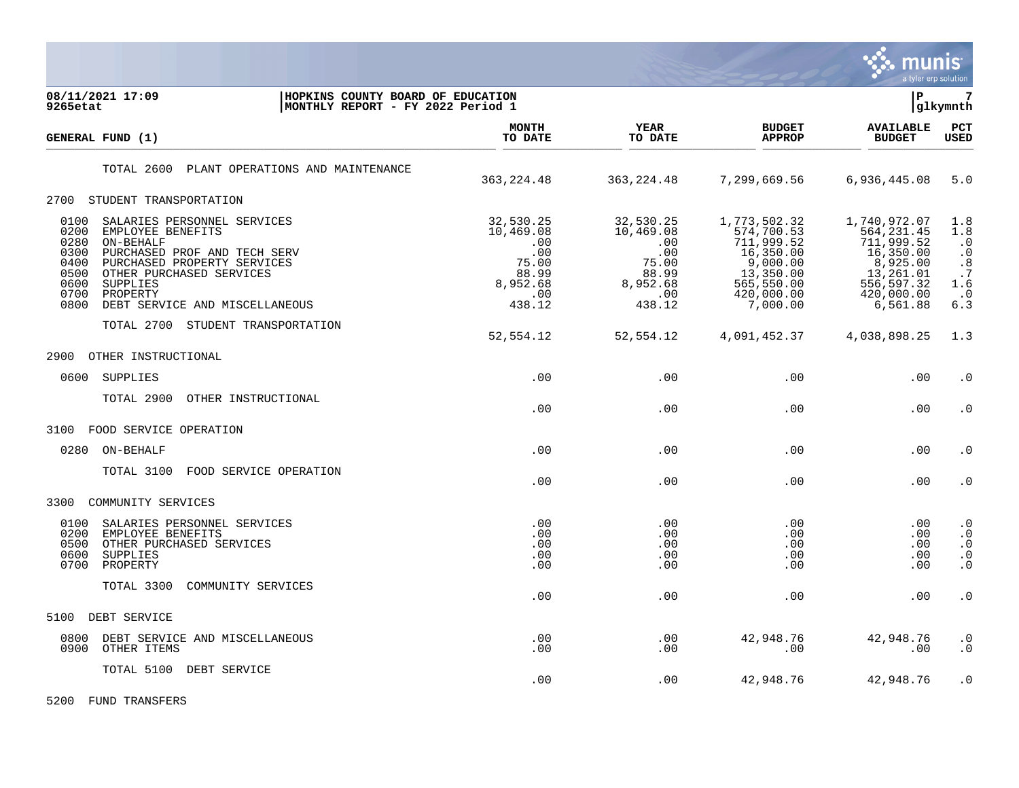

| 08/11/2021 17:09<br>HOPKINS COUNTY BOARD OF EDUCATION<br>MONTHLY REPORT - FY 2022 Period 1<br>9265etat                                                                                                                                                                                     |                                                                                     |                                                                                     |                                                                                                                         | l P                                                                                                                     | $7\phantom{.0}$<br> glkymnth                                                                                         |
|--------------------------------------------------------------------------------------------------------------------------------------------------------------------------------------------------------------------------------------------------------------------------------------------|-------------------------------------------------------------------------------------|-------------------------------------------------------------------------------------|-------------------------------------------------------------------------------------------------------------------------|-------------------------------------------------------------------------------------------------------------------------|----------------------------------------------------------------------------------------------------------------------|
| GENERAL FUND (1)                                                                                                                                                                                                                                                                           | <b>MONTH</b><br>TO DATE                                                             | YEAR<br>TO DATE                                                                     | <b>BUDGET</b><br><b>APPROP</b>                                                                                          | <b>AVAILABLE</b><br><b>BUDGET</b>                                                                                       | PCT<br><b>USED</b>                                                                                                   |
| PLANT OPERATIONS AND MAINTENANCE<br>TOTAL 2600                                                                                                                                                                                                                                             | 363, 224.48                                                                         | 363, 224.48                                                                         | 7,299,669.56                                                                                                            | 6,936,445.08                                                                                                            | 5.0                                                                                                                  |
| STUDENT TRANSPORTATION<br>2700                                                                                                                                                                                                                                                             |                                                                                     |                                                                                     |                                                                                                                         |                                                                                                                         |                                                                                                                      |
| 0100<br>SALARIES PERSONNEL SERVICES<br>0200<br>EMPLOYEE BENEFITS<br>0280<br>ON-BEHALF<br>0300<br>PURCHASED PROF AND TECH SERV<br>0400<br>PURCHASED PROPERTY SERVICES<br>0500<br>OTHER PURCHASED SERVICES<br>0600<br>SUPPLIES<br>0700<br>PROPERTY<br>0800<br>DEBT SERVICE AND MISCELLANEOUS | 32,530.25<br>10,469.08<br>.00<br>.00<br>75.00<br>88.99<br>8,952.68<br>.00<br>438.12 | 32,530.25<br>10,469.08<br>.00<br>.00<br>75.00<br>88.99<br>8,952.68<br>.00<br>438.12 | 1,773,502.32<br>574,700.53<br>711,999.52<br>16, 350.00<br>9,000.00<br>13,350.00<br>565,550.00<br>420,000.00<br>7,000.00 | 1,740,972.07<br>564, 231.45<br>711,999.52<br>16,350.00<br>8,925.00<br>13,261.01<br>556,597.32<br>420,000.00<br>6,561.88 | 1.8<br>1.8<br>$\cdot$ 0<br>$\cdot$ 0<br>$\cdot$ 8<br>.7<br>1.6<br>$\cdot$ 0<br>6.3                                   |
| TOTAL 2700<br>STUDENT TRANSPORTATION                                                                                                                                                                                                                                                       | 52,554.12                                                                           | 52,554.12                                                                           | 4,091,452.37                                                                                                            | 4,038,898.25                                                                                                            | 1.3                                                                                                                  |
| 2900<br>OTHER INSTRUCTIONAL                                                                                                                                                                                                                                                                |                                                                                     |                                                                                     |                                                                                                                         |                                                                                                                         |                                                                                                                      |
| 0600<br>SUPPLIES                                                                                                                                                                                                                                                                           | .00                                                                                 | .00                                                                                 | .00                                                                                                                     | .00                                                                                                                     | $\cdot$ 0                                                                                                            |
| TOTAL 2900<br>OTHER INSTRUCTIONAL                                                                                                                                                                                                                                                          | .00                                                                                 | .00                                                                                 | .00                                                                                                                     | .00                                                                                                                     | $\cdot$ 0                                                                                                            |
| 3100<br>FOOD SERVICE OPERATION                                                                                                                                                                                                                                                             |                                                                                     |                                                                                     |                                                                                                                         |                                                                                                                         |                                                                                                                      |
| 0280<br>ON-BEHALF                                                                                                                                                                                                                                                                          | .00                                                                                 | .00                                                                                 | .00                                                                                                                     | .00                                                                                                                     | $\cdot$ 0                                                                                                            |
| TOTAL 3100<br>FOOD SERVICE OPERATION                                                                                                                                                                                                                                                       | .00                                                                                 | .00                                                                                 | .00                                                                                                                     | $.00 \,$                                                                                                                | $\cdot$ 0                                                                                                            |
| COMMUNITY SERVICES<br>3300                                                                                                                                                                                                                                                                 |                                                                                     |                                                                                     |                                                                                                                         |                                                                                                                         |                                                                                                                      |
| 0100<br>SALARIES PERSONNEL SERVICES<br>0200<br>EMPLOYEE BENEFITS<br>0500<br>OTHER PURCHASED SERVICES<br>0600<br>SUPPLIES<br>0700<br>PROPERTY                                                                                                                                               | .00<br>.00<br>.00<br>.00<br>.00                                                     | .00<br>.00<br>.00<br>.00<br>.00                                                     | .00<br>.00<br>.00<br>.00<br>.00                                                                                         | .00<br>.00<br>$.00 \,$<br>.00<br>$.00 \,$                                                                               | $\boldsymbol{\cdot}$ 0<br>$\cdot$ 0<br>$\boldsymbol{\cdot}$ 0<br>$\begin{smallmatrix} 0 \\ 0 \\ 0 \end{smallmatrix}$ |
| COMMUNITY SERVICES<br>TOTAL 3300                                                                                                                                                                                                                                                           | .00                                                                                 | .00                                                                                 | .00                                                                                                                     | .00                                                                                                                     | $\cdot$ 0                                                                                                            |
| DEBT SERVICE<br>5100                                                                                                                                                                                                                                                                       |                                                                                     |                                                                                     |                                                                                                                         |                                                                                                                         |                                                                                                                      |
| 0800<br>DEBT SERVICE AND MISCELLANEOUS<br>0900<br>OTHER ITEMS                                                                                                                                                                                                                              | .00<br>.00                                                                          | .00<br>.00                                                                          | 42,948.76<br>.00                                                                                                        | 42,948.76<br>$.00 \,$                                                                                                   | $\cdot$ 0<br>$\boldsymbol{\cdot}$ 0                                                                                  |
| TOTAL 5100 DEBT SERVICE                                                                                                                                                                                                                                                                    | .00                                                                                 | .00                                                                                 | 42,948.76                                                                                                               | 42,948.76                                                                                                               | $\cdot$ 0                                                                                                            |

5200 FUND TRANSFERS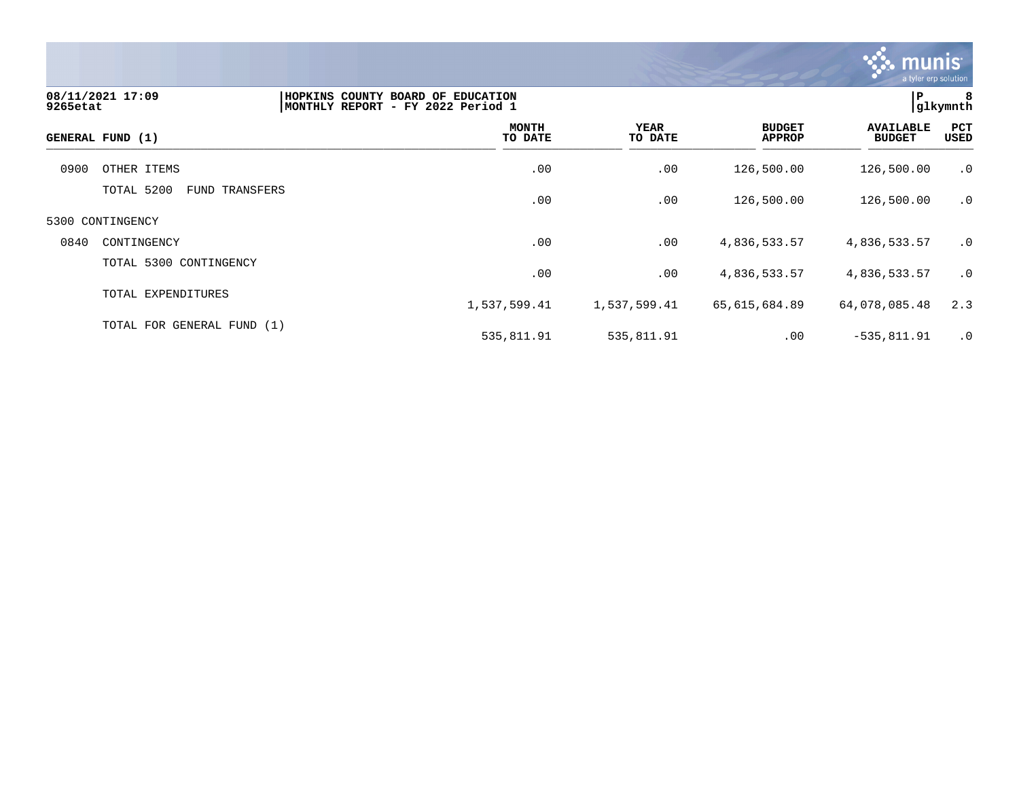

| 9265etat | 08/11/2021 17:09                | HOPKINS COUNTY BOARD OF EDUCATION<br>MONTHLY REPORT - FY 2022 Period 1 |                 |                                | $\mathbf{P}$                      | 8<br> glkymnth |
|----------|---------------------------------|------------------------------------------------------------------------|-----------------|--------------------------------|-----------------------------------|----------------|
|          | GENERAL FUND (1)                | <b>MONTH</b><br>TO DATE                                                | YEAR<br>TO DATE | <b>BUDGET</b><br><b>APPROP</b> | <b>AVAILABLE</b><br><b>BUDGET</b> | PCT<br>USED    |
| 0900     | OTHER ITEMS                     | .00                                                                    | .00             | 126,500.00                     | 126,500.00                        | .0             |
|          | TOTAL 5200<br>TRANSFERS<br>FUND | .00                                                                    | .00             | 126,500.00                     | 126,500.00                        | .0             |
|          | 5300 CONTINGENCY                |                                                                        |                 |                                |                                   |                |
| 0840     | CONTINGENCY                     | .00                                                                    | .00             | 4,836,533.57                   | 4,836,533.57                      | $\cdot$ 0      |
|          | TOTAL 5300 CONTINGENCY          | .00                                                                    | .00             | 4,836,533.57                   | 4,836,533.57                      | $\cdot$ 0      |
|          | TOTAL EXPENDITURES              | 1,537,599.41                                                           | 1,537,599.41    | 65,615,684.89                  | 64,078,085.48                     | 2.3            |
|          | TOTAL FOR GENERAL FUND (1)      | 535,811.91                                                             | 535,811.91      | .00                            | $-535, 811.91$                    | .0             |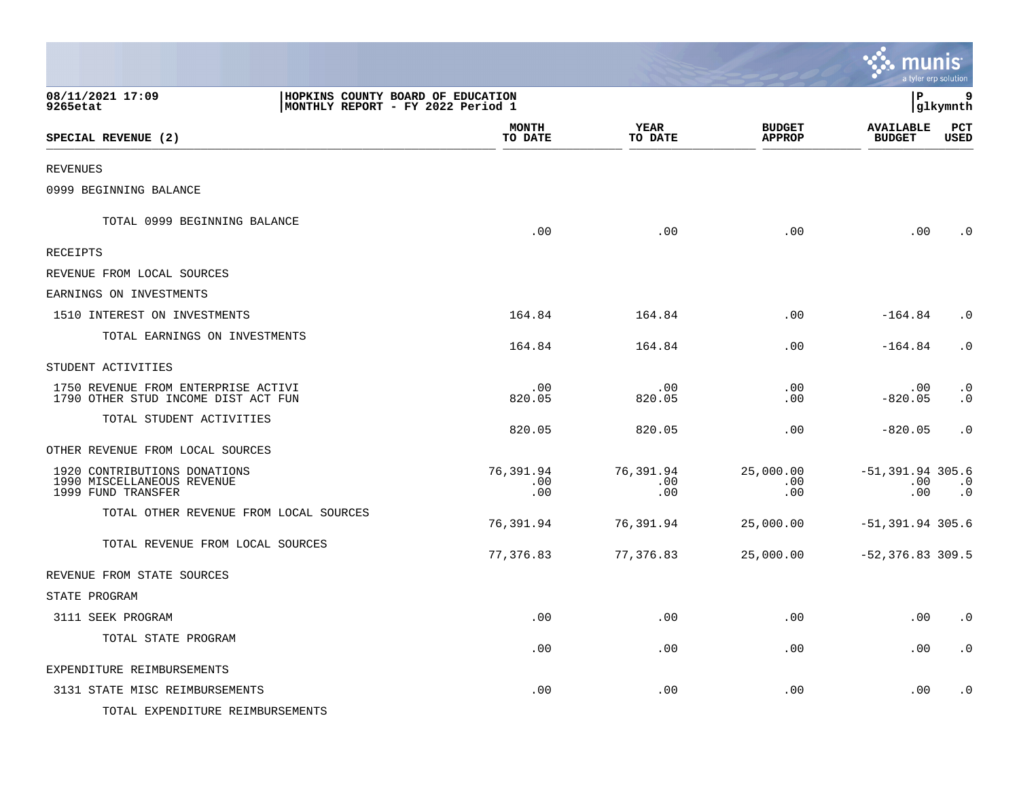|                                                                                                        |                         |                         |                                | munis                             | a tyler erp solution   |
|--------------------------------------------------------------------------------------------------------|-------------------------|-------------------------|--------------------------------|-----------------------------------|------------------------|
| 08/11/2021 17:09<br>HOPKINS COUNTY BOARD OF EDUCATION<br>9265etat<br>MONTHLY REPORT - FY 2022 Period 1 |                         |                         |                                | lР                                | 9<br> glkymnth         |
| SPECIAL REVENUE (2)                                                                                    | <b>MONTH</b><br>TO DATE | <b>YEAR</b><br>TO DATE  | <b>BUDGET</b><br><b>APPROP</b> | <b>AVAILABLE</b><br><b>BUDGET</b> | PCT<br><b>USED</b>     |
| <b>REVENUES</b>                                                                                        |                         |                         |                                |                                   |                        |
| 0999 BEGINNING BALANCE                                                                                 |                         |                         |                                |                                   |                        |
| TOTAL 0999 BEGINNING BALANCE                                                                           | .00                     | .00                     | .00                            | .00                               | $\cdot$ 0              |
| RECEIPTS                                                                                               |                         |                         |                                |                                   |                        |
| REVENUE FROM LOCAL SOURCES                                                                             |                         |                         |                                |                                   |                        |
| EARNINGS ON INVESTMENTS                                                                                |                         |                         |                                |                                   |                        |
| 1510 INTEREST ON INVESTMENTS                                                                           | 164.84                  | 164.84                  | .00                            | $-164.84$                         | $\cdot$ 0              |
| TOTAL EARNINGS ON INVESTMENTS                                                                          | 164.84                  | 164.84                  | .00                            | $-164.84$                         | $\cdot$ 0              |
| STUDENT ACTIVITIES                                                                                     |                         |                         |                                |                                   |                        |
| 1750 REVENUE FROM ENTERPRISE ACTIVI<br>1790 OTHER STUD INCOME DIST ACT FUN                             | .00<br>820.05           | .00<br>820.05           | .00<br>.00                     | .00<br>$-820.05$                  | $\cdot$ 0<br>$\cdot$ 0 |
| TOTAL STUDENT ACTIVITIES                                                                               | 820.05                  | 820.05                  | .00                            | $-820.05$                         | $\cdot$ 0              |
| OTHER REVENUE FROM LOCAL SOURCES                                                                       |                         |                         |                                |                                   |                        |
| 1920 CONTRIBUTIONS DONATIONS<br>1990 MISCELLANEOUS REVENUE<br>1999 FUND TRANSFER                       | 76,391.94<br>.00<br>.00 | 76,391.94<br>.00<br>.00 | 25,000.00<br>.00<br>.00        | $-51, 391.94$ 305.6<br>.00<br>.00 | $\cdot$ 0<br>$\cdot$ 0 |
| TOTAL OTHER REVENUE FROM LOCAL SOURCES                                                                 | 76,391.94               | 76,391.94               | 25,000.00                      | $-51,391.94$ 305.6                |                        |
| TOTAL REVENUE FROM LOCAL SOURCES                                                                       | 77,376.83               | 77,376.83               | 25,000.00                      | $-52,376.83$ 309.5                |                        |
| REVENUE FROM STATE SOURCES                                                                             |                         |                         |                                |                                   |                        |
| STATE PROGRAM                                                                                          |                         |                         |                                |                                   |                        |
| 3111 SEEK PROGRAM                                                                                      | .00                     | .00                     | .00                            | .00                               | $\cdot$ 0              |
| TOTAL STATE PROGRAM                                                                                    | .00                     | .00                     | .00                            | .00                               | $\cdot$ 0              |
| EXPENDITURE REIMBURSEMENTS                                                                             |                         |                         |                                |                                   |                        |
| 3131 STATE MISC REIMBURSEMENTS<br>TOTAL EXPENDITURE REIMBURSEMENTS                                     | .00                     | .00                     | .00                            | .00                               | $\cdot$ 0              |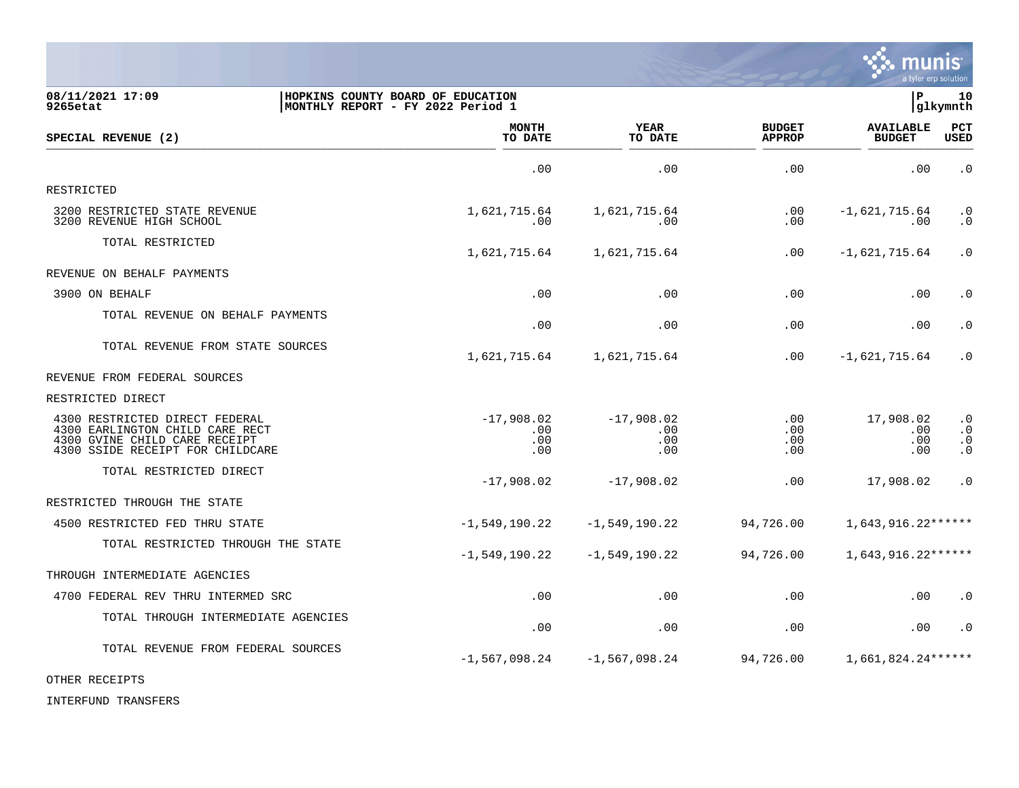

| 08/11/2021 17:09<br>9265etat                                                                                                           | HOPKINS COUNTY BOARD OF EDUCATION<br>MONTHLY REPORT - FY 2022 Period 1 |                                   |                                | P.                                | 10<br>glkymnth                                   |
|----------------------------------------------------------------------------------------------------------------------------------------|------------------------------------------------------------------------|-----------------------------------|--------------------------------|-----------------------------------|--------------------------------------------------|
| SPECIAL REVENUE (2)                                                                                                                    | <b>MONTH</b><br>TO DATE                                                | <b>YEAR</b><br>TO DATE            | <b>BUDGET</b><br><b>APPROP</b> | <b>AVAILABLE</b><br><b>BUDGET</b> | PCT<br><b>USED</b>                               |
|                                                                                                                                        | .00                                                                    | .00                               | .00                            | .00                               | $\cdot$ 0                                        |
| RESTRICTED                                                                                                                             |                                                                        |                                   |                                |                                   |                                                  |
| 3200 RESTRICTED STATE REVENUE<br>3200 REVENUE HIGH SCHOOL                                                                              | 1,621,715.64<br>.00                                                    | 1,621,715.64<br>.00               | .00<br>.00                     | $-1,621,715.64$<br>.00            | $\cdot$ 0<br>$\cdot$ 0                           |
| TOTAL RESTRICTED                                                                                                                       | 1,621,715.64                                                           | 1,621,715.64                      | .00                            | $-1,621,715.64$                   | $\cdot$ 0                                        |
| REVENUE ON BEHALF PAYMENTS                                                                                                             |                                                                        |                                   |                                |                                   |                                                  |
| 3900 ON BEHALF                                                                                                                         | .00                                                                    | .00                               | .00                            | .00                               | $\cdot$ 0                                        |
| TOTAL REVENUE ON BEHALF PAYMENTS                                                                                                       | .00                                                                    | .00                               | .00                            | .00                               | $\cdot$ 0                                        |
| TOTAL REVENUE FROM STATE SOURCES                                                                                                       | 1,621,715.64                                                           | 1,621,715.64                      | .00                            | $-1,621,715.64$                   | $\cdot$ 0                                        |
| REVENUE FROM FEDERAL SOURCES                                                                                                           |                                                                        |                                   |                                |                                   |                                                  |
| RESTRICTED DIRECT                                                                                                                      |                                                                        |                                   |                                |                                   |                                                  |
| 4300 RESTRICTED DIRECT FEDERAL<br>4300 EARLINGTON CHILD CARE RECT<br>4300 GVINE CHILD CARE RECEIPT<br>4300 SSIDE RECEIPT FOR CHILDCARE | $-17,908,02$<br>.00<br>.00<br>.00                                      | $-17,908.02$<br>.00<br>.00<br>.00 | $.00 \,$<br>.00<br>.00<br>.00  | 17,908.02<br>.00<br>.00<br>.00    | $\cdot$ 0<br>$\cdot$ 0<br>$\cdot$ 0<br>$\cdot$ 0 |
| TOTAL RESTRICTED DIRECT                                                                                                                | $-17,908.02$                                                           | $-17,908.02$                      | .00                            | 17,908.02                         | $\cdot$ 0                                        |
| RESTRICTED THROUGH THE STATE                                                                                                           |                                                                        |                                   |                                |                                   |                                                  |
| 4500 RESTRICTED FED THRU STATE                                                                                                         | $-1,549,190.22$                                                        | $-1,549,190.22$                   | 94,726.00                      | $1,643,916.22******$              |                                                  |
| TOTAL RESTRICTED THROUGH THE STATE                                                                                                     | $-1,549,190.22$                                                        | $-1,549,190.22$                   | 94,726.00                      | $1,643,916.22******$              |                                                  |
| THROUGH INTERMEDIATE AGENCIES                                                                                                          |                                                                        |                                   |                                |                                   |                                                  |
| 4700 FEDERAL REV THRU INTERMED SRC                                                                                                     | .00                                                                    | .00                               | .00                            | .00                               | $\cdot$ 0                                        |
| TOTAL THROUGH INTERMEDIATE AGENCIES                                                                                                    | .00                                                                    | .00                               | .00                            | .00                               | $\cdot$ 0                                        |
| TOTAL REVENUE FROM FEDERAL SOURCES                                                                                                     | $-1,567,098.24$                                                        | $-1,567,098.24$                   | 94,726.00                      | 1,661,824.24******                |                                                  |
| OTHER RECEIPTS                                                                                                                         |                                                                        |                                   |                                |                                   |                                                  |

INTERFUND TRANSFERS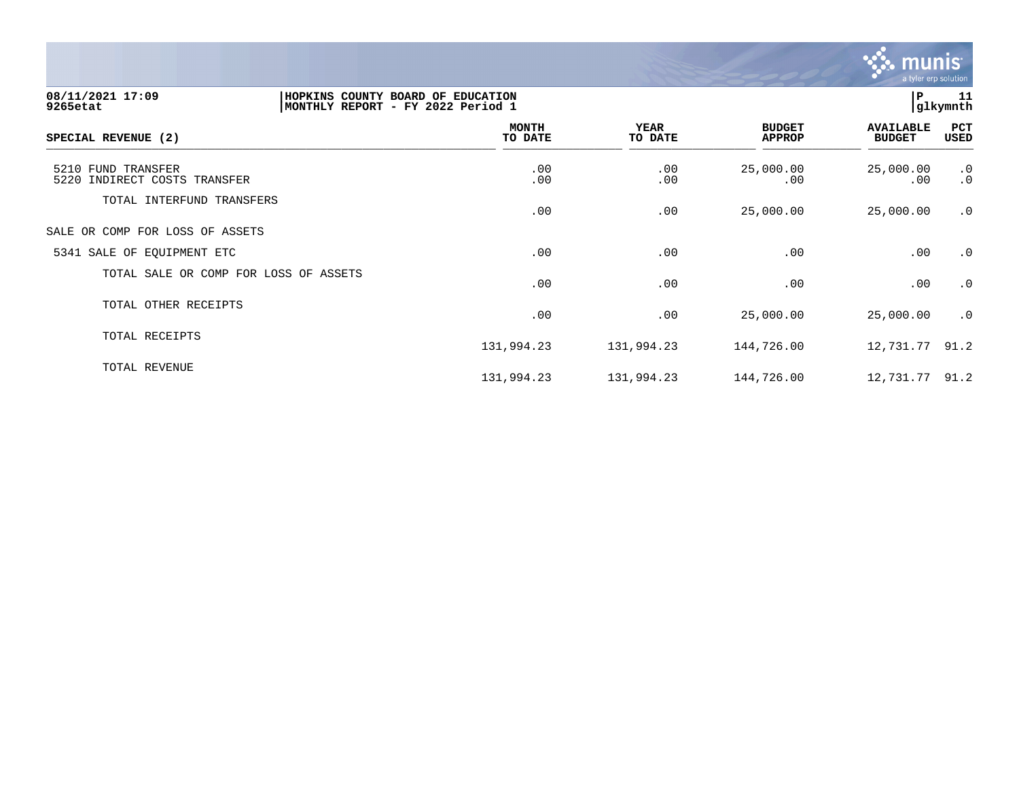

131,994.23 131,994.23 144,726.00 12,731.77 91.2

| 08/11/2021 17:09<br>9265etat                          | HOPKINS COUNTY BOARD OF EDUCATION<br>MONTHLY REPORT - FY 2022 Period 1 |                         |                        |                                | ΙP                                | 11<br>glkymnth  |
|-------------------------------------------------------|------------------------------------------------------------------------|-------------------------|------------------------|--------------------------------|-----------------------------------|-----------------|
| SPECIAL REVENUE (2)                                   |                                                                        | <b>MONTH</b><br>TO DATE | <b>YEAR</b><br>TO DATE | <b>BUDGET</b><br><b>APPROP</b> | <b>AVAILABLE</b><br><b>BUDGET</b> | PCT<br>USED     |
| 5210 FUND TRANSFER<br>INDIRECT COSTS TRANSFER<br>5220 |                                                                        | .00<br>.00              | .00<br>.00             | 25,000.00<br>.00               | 25,000.00<br>.00                  | .0<br>$\cdot$ 0 |
| TOTAL INTERFUND TRANSFERS                             |                                                                        | .00                     | .00                    | 25,000.00                      | 25,000.00                         | $\cdot$ 0       |
| SALE OR COMP FOR LOSS OF ASSETS                       |                                                                        |                         |                        |                                |                                   |                 |
| 5341 SALE OF EQUIPMENT ETC                            |                                                                        | .00                     | .00                    | .00                            | .00                               | .0              |
| TOTAL SALE OR COMP FOR LOSS OF ASSETS                 |                                                                        | .00                     | .00                    | .00                            | .00                               | .0              |
| TOTAL OTHER RECEIPTS                                  |                                                                        | .00                     | .00                    | 25,000.00                      | 25,000.00                         | .0              |
| TOTAL RECEIPTS                                        |                                                                        | 131,994.23              | 131,994.23             | 144,726.00                     | 12,731.77 91.2                    |                 |
| TOTAL REVENUE                                         |                                                                        |                         |                        |                                |                                   |                 |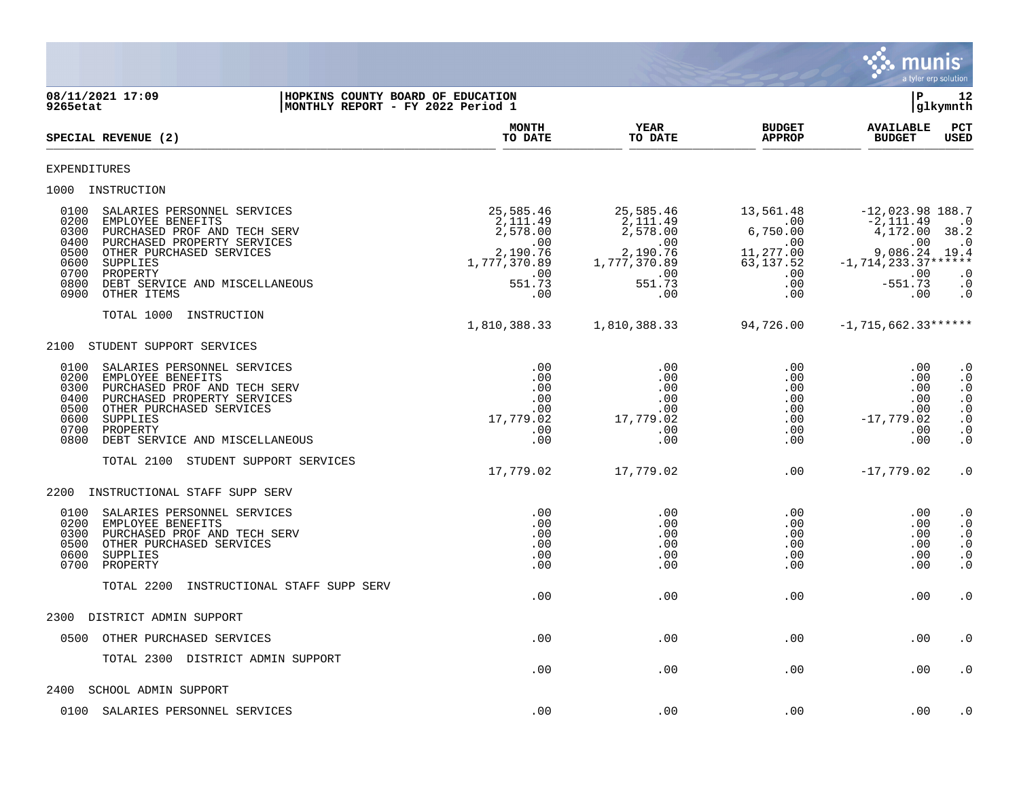

**08/11/2021 17:09 |HOPKINS COUNTY BOARD OF EDUCATION |P 12 MONTHLY REPORT - FY 2022 Period 1 MONTH YEAR BUDGET AVAILABLE PCT** SPECIAL REVENUE (2)  $\frac{10 \text{ B}}{10 \text{ B}}$   $\frac{10 \text{ B}}{10 \text{ B}}$   $\frac{10 \text{ B}}{10 \text{ B}}$   $\frac{10 \text{ B}}{10 \text{ B}}$   $\frac{10 \text{ B}}{10 \text{ B}}$   $\frac{10 \text{ B}}{10 \text{ B}}$   $\frac{10 \text{ B}}{10 \text{ B}}$ EXPENDITURES 1000 INSTRUCTION 0100 SALARIES PERSONNEL SERVICES 25,585.46 25,585.46 13,561.48 -12,023.98 188.7 0200 EMPLOYEE BENEFITS 2,111.49 2,111.49 .00 -2,111.49 .0 0300 PURCHASED PROF AND TECH SERV  $2,578.00$   $2,578.00$   $2,578.00$   $6,750.00$   $4,172.00$   $38.2$ <br>00 .00 00 .00 0400 PURCHASED PROPERTY SERVICES .00 .00 .00 .00 .0 0500 OTHER PURCHASED SERVICES<br>0600 SUPPLIES 0600 SUPPLIES 1,777,370.89 1,777,370.89 63,137.52 -1,714,233.37\*\*\*\*\*\* 0700 PROPERTY .00 .00 .00 .00 .0 0800 DEBT SERVICE AND MISCELLANEOUS 551.73 551.73 .00 -551.73 .0 0900 OTHER ITEMS TOTAL 1000 INSTRUCTION 1,810,388.33 1,810,388.33 94,726.00 -1,715,662.33\*\*\*\*\*\* 2100 STUDENT SUPPORT SERVICES 0100 SALARIES PERSONNEL SERVICES .00 .00 .00 .00 .0 0200 EMPLOYEE BENEFITS .00 .00 .00 .00 .0 0300 PURCHASED PROF AND TECH SERV .00 .00 .00 .00 .0 0400 PURCHASED PROPERTY SERVICES .00 .00 .00 .00 .0 0500 OTHER PURCHASED SERVICES .00 .00 .00 .00 .0 0600 SUPPLIES 17,779.02 17,779.02 .00 -17,779.02 .0 0700 PROPERTY .00 .00 .00 .00 .0 0800 DEBT SERVICE AND MISCELLANEOUS .00 .00 .00 .00 .0 TOTAL 2100 STUDENT SUPPORT SERVICES 17,779.02 17,779.02 .00 -17,779.02 .0 2200 INSTRUCTIONAL STAFF SUPP SERV 0100 SALARIES PERSONNEL SERVICES .00 .00 .00 .00 .0 0200 EMPLOYEE BENEFITS .00 .00 .00 .00 .0 0300 PURCHASED PROF AND TECH SERV .00 .00 .00 .00 .0 0500 OTHER PURCHASED SERVICES .00 .00 .00 .00 .0 0600 SUPPLIES .00 .00 .00 .00 .0 0700 PROPERTY .00 .00 .00 .00 .0 TOTAL 2200 INSTRUCTIONAL STAFF SUPP SERV .00 .00 .00 .00 .0 2300 DISTRICT ADMIN SUPPORT 0500 OTHER PURCHASED SERVICES .00 .00 .00 .00 .0 TOTAL 2300 DISTRICT ADMIN SUPPORT .00 .00 .00 .00 .0 2400 SCHOOL ADMIN SUPPORT

0100 SALARIES PERSONNEL SERVICES .00 .00 .00 .00 .0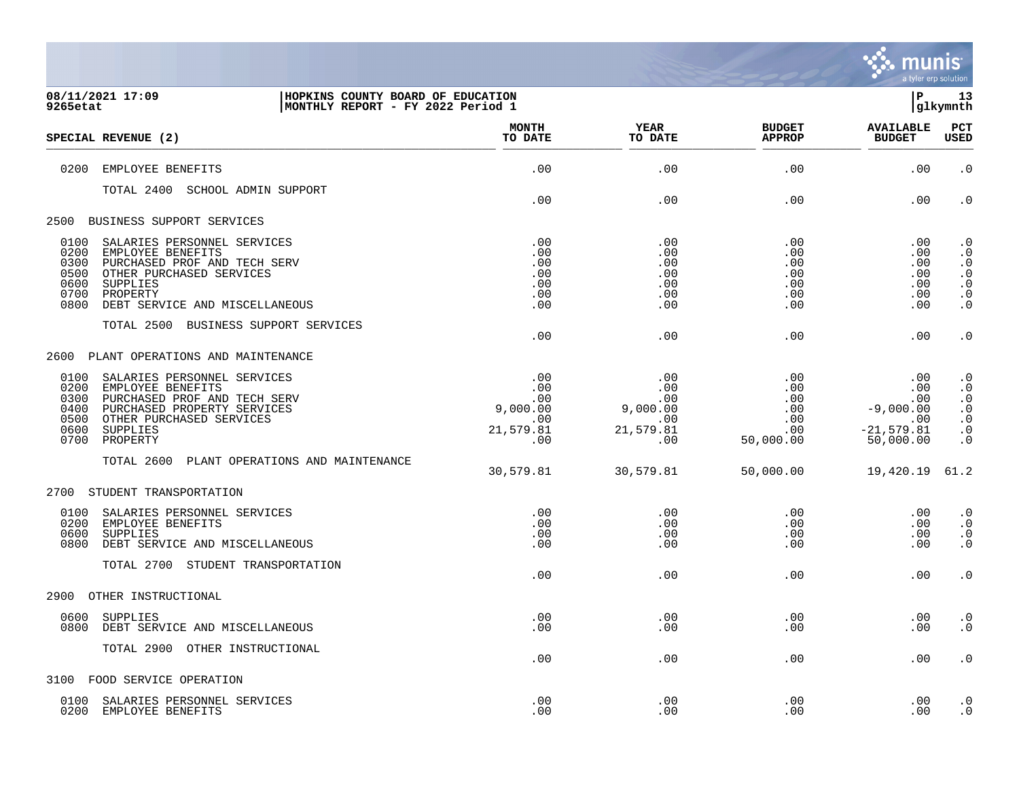

| 9265etat     | 08/11/2021 17:09<br>HOPKINS COUNTY BOARD OF EDUCATION<br> MONTHLY REPORT - FY 2022 Period 1 |                         |                 |                                | l P                               | 13<br> glkymnth        |
|--------------|---------------------------------------------------------------------------------------------|-------------------------|-----------------|--------------------------------|-----------------------------------|------------------------|
|              | SPECIAL REVENUE (2)                                                                         | <b>MONTH</b><br>TO DATE | YEAR<br>TO DATE | <b>BUDGET</b><br><b>APPROP</b> | <b>AVAILABLE</b><br><b>BUDGET</b> | PCT<br><b>USED</b>     |
| 0200         | EMPLOYEE BENEFITS                                                                           | .00                     | .00             | .00                            | .00                               | $\cdot$ 0              |
|              | TOTAL 2400 SCHOOL ADMIN SUPPORT                                                             | .00                     | .00             | .00                            | .00                               | $\cdot$ 0              |
|              | 2500 BUSINESS SUPPORT SERVICES                                                              |                         |                 |                                |                                   |                        |
|              |                                                                                             |                         |                 |                                |                                   |                        |
| 0100<br>0200 | SALARIES PERSONNEL SERVICES<br>EMPLOYEE BENEFITS                                            | .00<br>.00              | .00<br>.00      | .00<br>.00                     | .00<br>$.00 \,$                   | $\cdot$ 0<br>$\cdot$ 0 |
| 0300         | PURCHASED PROF AND TECH SERV                                                                | .00                     | .00             | .00                            | .00                               | $\cdot$ 0              |
| 0500         | OTHER PURCHASED SERVICES                                                                    | .00                     | .00             | .00                            | .00                               | $\cdot$ 0              |
| 0600         | SUPPLIES                                                                                    | .00                     | .00             | .00                            | .00                               | $\boldsymbol{\cdot}$ 0 |
| 0700         | PROPERTY                                                                                    | .00                     | .00             | .00                            | .00                               | $\cdot$ 0              |
| 0800         | DEBT SERVICE AND MISCELLANEOUS                                                              | .00                     | .00             | .00                            | .00                               | . 0                    |
|              | TOTAL 2500 BUSINESS SUPPORT SERVICES                                                        | .00                     | .00             | .00                            | .00                               | $\cdot$ 0              |
|              | 2600 PLANT OPERATIONS AND MAINTENANCE                                                       |                         |                 |                                |                                   |                        |
|              | 0100 SALARIES PERSONNEL SERVICES                                                            | .00                     | .00             | .00                            | .00                               | $\cdot$ 0              |
| 0200         | EMPLOYEE BENEFITS                                                                           | .00                     | .00             | .00                            | .00                               | $\cdot$ 0              |
| 0300         | PURCHASED PROF AND TECH SERV                                                                | .00                     | .00             | .00                            | .00                               | $\cdot$ 0              |
| 0400<br>0500 | PURCHASED PROPERTY SERVICES<br>OTHER PURCHASED SERVICES                                     | 9,000.00<br>.00.        | 9,000.00<br>.00 | .00<br>.00                     | $-9,000.00$<br>.00                | $\cdot$ 0<br>$\cdot$ 0 |
| 0600         | SUPPLIES                                                                                    | 21,579.81               | 21,579.81       | .00                            | $-21, 579.81$                     | $\cdot$ 0              |
| 0700         | PROPERTY                                                                                    | .00                     | .00             | 50,000.00                      | 50,000.00                         | $\cdot$ 0              |
|              | TOTAL 2600 PLANT OPERATIONS AND MAINTENANCE                                                 |                         |                 |                                |                                   |                        |
|              |                                                                                             | 30,579.81               | 30,579.81       | 50,000.00                      | 19,420.19                         | 61.2                   |
|              | 2700 STUDENT TRANSPORTATION                                                                 |                         |                 |                                |                                   |                        |
|              | 0100 SALARIES PERSONNEL SERVICES                                                            | .00                     | .00             | .00                            | .00                               | $\cdot$ 0              |
| 0200         | EMPLOYEE BENEFITS                                                                           | .00                     | .00             | .00                            | .00                               | $\cdot$ 0              |
| 0600<br>0800 | SUPPLIES                                                                                    | .00                     | .00             | .00                            | .00                               | $\cdot$ 0              |
|              | DEBT SERVICE AND MISCELLANEOUS                                                              | .00                     | .00             | .00                            | .00                               | $\cdot$ 0              |
|              | TOTAL 2700 STUDENT TRANSPORTATION                                                           | .00                     | .00             | .00                            | .00                               | . $\boldsymbol{0}$     |
|              | 2900 OTHER INSTRUCTIONAL                                                                    |                         |                 |                                |                                   |                        |
|              |                                                                                             |                         |                 |                                |                                   |                        |
| 0600<br>0800 | SUPPLIES<br>DEBT SERVICE AND MISCELLANEOUS                                                  | .00<br>.00              | .00<br>.00      | .00<br>.00                     | $.00 \,$<br>.00                   | $\cdot$ 0<br>$\cdot$ 0 |
|              | TOTAL 2900 OTHER INSTRUCTIONAL                                                              |                         |                 |                                |                                   |                        |
|              |                                                                                             | .00                     | .00             | .00                            | .00                               | $\cdot$ 0              |
|              | 3100 FOOD SERVICE OPERATION                                                                 |                         |                 |                                |                                   |                        |
|              | 0100 SALARIES PERSONNEL SERVICES                                                            | .00                     | .00             | .00                            | .00                               | $\cdot$ 0              |

0200 EMPLOYEE BENEFITS .00 .00 .00 .00 .0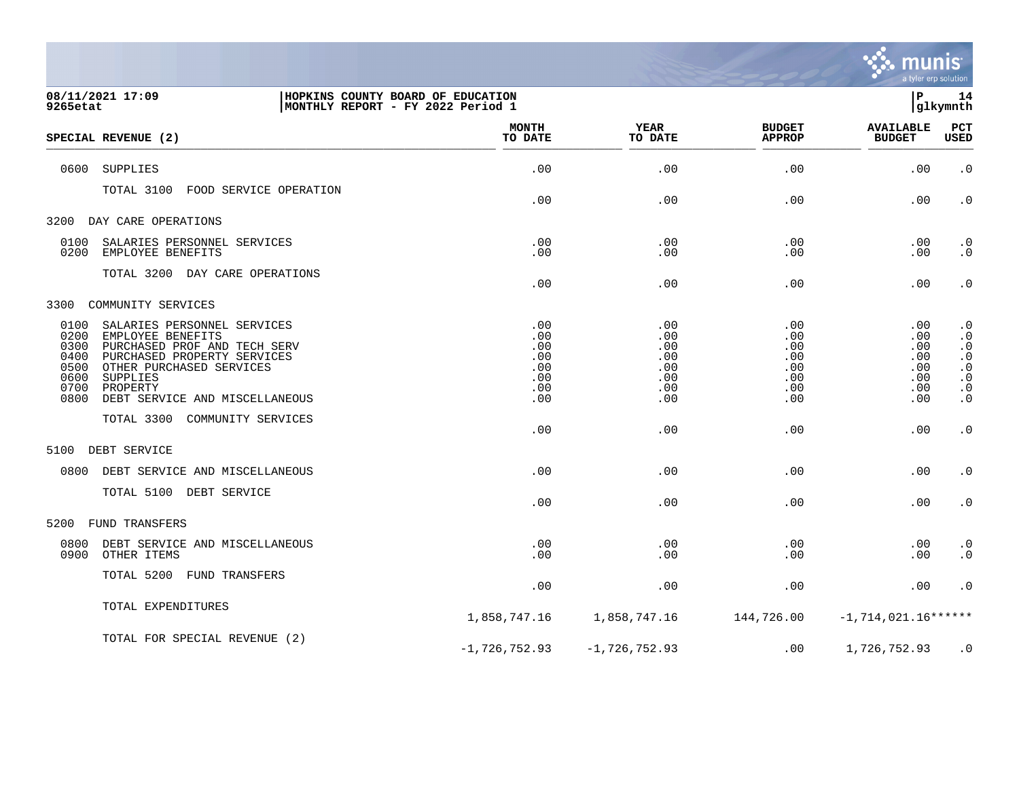

| 08/11/2021 17:09<br>9265etat                                 |                                                                                                                                                                                                       | HOPKINS COUNTY BOARD OF EDUCATION<br>MONTHLY REPORT - FY 2022 Period 1 |                                                      |                                                      | İР                                                   | 14<br>glkymnth                                                                                                                              |
|--------------------------------------------------------------|-------------------------------------------------------------------------------------------------------------------------------------------------------------------------------------------------------|------------------------------------------------------------------------|------------------------------------------------------|------------------------------------------------------|------------------------------------------------------|---------------------------------------------------------------------------------------------------------------------------------------------|
|                                                              | SPECIAL REVENUE (2)                                                                                                                                                                                   | <b>MONTH</b><br>TO DATE                                                | <b>YEAR</b><br>TO DATE                               | <b>BUDGET</b><br><b>APPROP</b>                       | <b>AVAILABLE</b><br><b>BUDGET</b>                    | PCT<br>USED                                                                                                                                 |
| 0600                                                         | SUPPLIES                                                                                                                                                                                              | .00                                                                    | .00                                                  | .00                                                  | .00                                                  | $\cdot$ 0                                                                                                                                   |
|                                                              | TOTAL 3100 FOOD SERVICE OPERATION                                                                                                                                                                     | .00                                                                    | .00                                                  | .00                                                  | .00                                                  | $\cdot$ 0                                                                                                                                   |
|                                                              | 3200 DAY CARE OPERATIONS                                                                                                                                                                              |                                                                        |                                                      |                                                      |                                                      |                                                                                                                                             |
| 0100<br>0200                                                 | SALARIES PERSONNEL SERVICES<br>EMPLOYEE BENEFITS                                                                                                                                                      | .00<br>.00                                                             | .00<br>.00                                           | .00<br>.00                                           | .00<br>.00                                           | $\cdot$ 0<br>$\overline{0}$ .                                                                                                               |
|                                                              | TOTAL 3200 DAY CARE OPERATIONS                                                                                                                                                                        | .00                                                                    | .00                                                  | .00                                                  | .00                                                  | $\cdot$ 0                                                                                                                                   |
|                                                              | 3300 COMMUNITY SERVICES                                                                                                                                                                               |                                                                        |                                                      |                                                      |                                                      |                                                                                                                                             |
| 0100<br>0200<br>0300<br>0400<br>0500<br>0600<br>0700<br>0800 | SALARIES PERSONNEL SERVICES<br>EMPLOYEE BENEFITS<br>PURCHASED PROF AND TECH SERV<br>PURCHASED PROPERTY SERVICES<br>OTHER PURCHASED SERVICES<br>SUPPLIES<br>PROPERTY<br>DEBT SERVICE AND MISCELLANEOUS | .00<br>.00<br>.00<br>.00<br>.00<br>.00<br>.00<br>.00                   | .00<br>.00<br>.00<br>.00<br>.00<br>.00<br>.00<br>.00 | .00<br>.00<br>.00<br>.00<br>.00<br>.00<br>.00<br>.00 | .00<br>.00<br>.00<br>.00<br>.00<br>.00<br>.00<br>.00 | $\begin{smallmatrix} 0.1 \\ 0.1 \end{smallmatrix}$<br>$\begin{smallmatrix} 0 & 0 \\ 0 & 0 \\ 0 & 0 \\ 0 & 0 \end{smallmatrix}$<br>$\cdot$ 0 |
|                                                              | TOTAL 3300 COMMUNITY SERVICES                                                                                                                                                                         | .00                                                                    | .00                                                  | .00                                                  | .00                                                  | $\cdot$ 0                                                                                                                                   |
| 5100                                                         | DEBT SERVICE                                                                                                                                                                                          |                                                                        |                                                      |                                                      |                                                      |                                                                                                                                             |
|                                                              | 0800 DEBT SERVICE AND MISCELLANEOUS                                                                                                                                                                   | .00                                                                    | .00                                                  | .00                                                  | .00                                                  | $\cdot$ 0                                                                                                                                   |
|                                                              | TOTAL 5100 DEBT SERVICE                                                                                                                                                                               | .00                                                                    | .00                                                  | .00                                                  | .00                                                  | $\cdot$ 0                                                                                                                                   |
| 5200                                                         | <b>FUND TRANSFERS</b>                                                                                                                                                                                 |                                                                        |                                                      |                                                      |                                                      |                                                                                                                                             |
| 0800<br>0900                                                 | DEBT SERVICE AND MISCELLANEOUS<br>OTHER ITEMS                                                                                                                                                         | .00<br>.00                                                             | .00<br>.00                                           | .00<br>.00                                           | .00<br>.00                                           | $\cdot$ 0<br>$\cdot$ 0                                                                                                                      |
|                                                              | TOTAL 5200 FUND TRANSFERS                                                                                                                                                                             | .00                                                                    | .00                                                  | .00                                                  | .00                                                  | $\cdot$ 0                                                                                                                                   |
|                                                              | TOTAL EXPENDITURES                                                                                                                                                                                    | 1,858,747.16                                                           | 1,858,747.16                                         | 144,726.00                                           | $-1,714,021.16******$                                |                                                                                                                                             |
|                                                              | TOTAL FOR SPECIAL REVENUE (2)                                                                                                                                                                         | $-1,726,752.93$                                                        | $-1,726,752.93$                                      | .00                                                  | 1,726,752.93                                         | $\cdot$ 0                                                                                                                                   |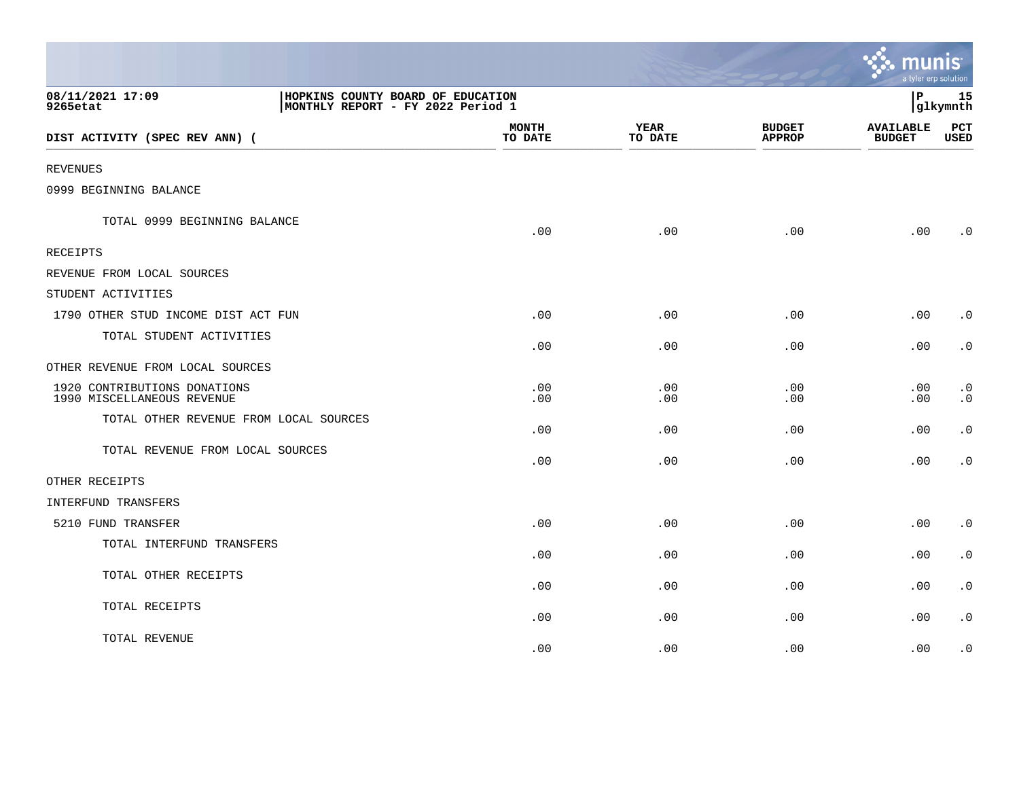|                                                            |                                                                        |                         |                        |                                | <u>្ញ: munis</u><br>a tyler erp solution |                                     |
|------------------------------------------------------------|------------------------------------------------------------------------|-------------------------|------------------------|--------------------------------|------------------------------------------|-------------------------------------|
| 08/11/2021 17:09<br>9265etat                               | HOPKINS COUNTY BOARD OF EDUCATION<br>MONTHLY REPORT - FY 2022 Period 1 |                         |                        |                                | l P                                      | 15<br>glkymnth                      |
| DIST ACTIVITY (SPEC REV ANN) (                             |                                                                        | <b>MONTH</b><br>TO DATE | <b>YEAR</b><br>TO DATE | <b>BUDGET</b><br><b>APPROP</b> | <b>AVAILABLE</b><br><b>BUDGET</b>        | PCT<br><b>USED</b>                  |
| <b>REVENUES</b>                                            |                                                                        |                         |                        |                                |                                          |                                     |
| 0999 BEGINNING BALANCE                                     |                                                                        |                         |                        |                                |                                          |                                     |
| TOTAL 0999 BEGINNING BALANCE                               |                                                                        | .00                     | .00                    | .00                            | .00                                      | $\cdot$ 0                           |
| <b>RECEIPTS</b>                                            |                                                                        |                         |                        |                                |                                          |                                     |
| REVENUE FROM LOCAL SOURCES                                 |                                                                        |                         |                        |                                |                                          |                                     |
| STUDENT ACTIVITIES                                         |                                                                        |                         |                        |                                |                                          |                                     |
| 1790 OTHER STUD INCOME DIST ACT FUN                        |                                                                        | .00                     | .00                    | .00                            | .00                                      | $\cdot$ 0                           |
| TOTAL STUDENT ACTIVITIES                                   |                                                                        | .00                     | .00                    | .00                            | .00                                      | $\cdot$ 0                           |
| OTHER REVENUE FROM LOCAL SOURCES                           |                                                                        |                         |                        |                                |                                          |                                     |
| 1920 CONTRIBUTIONS DONATIONS<br>1990 MISCELLANEOUS REVENUE |                                                                        | .00<br>.00              | .00<br>.00             | .00<br>.00                     | .00<br>.00                               | $\boldsymbol{\cdot}$ 0<br>$\cdot$ 0 |
| TOTAL OTHER REVENUE FROM LOCAL SOURCES                     |                                                                        | .00                     | .00                    | .00                            | .00                                      | $\boldsymbol{\cdot}$ 0              |
| TOTAL REVENUE FROM LOCAL SOURCES                           |                                                                        | .00                     | .00                    | .00                            | .00                                      | $\boldsymbol{\cdot}$ 0              |
| OTHER RECEIPTS                                             |                                                                        |                         |                        |                                |                                          |                                     |
| INTERFUND TRANSFERS                                        |                                                                        |                         |                        |                                |                                          |                                     |
| 5210 FUND TRANSFER                                         |                                                                        | .00                     | .00                    | .00                            | .00                                      | $\cdot$ 0                           |
| TOTAL INTERFUND TRANSFERS                                  |                                                                        | .00                     | .00                    | .00                            | .00                                      | $\cdot$ 0                           |
| TOTAL OTHER RECEIPTS                                       |                                                                        | .00                     | .00                    | .00                            | .00                                      | $\boldsymbol{\cdot}$ 0              |
| TOTAL RECEIPTS                                             |                                                                        | .00                     | .00                    | .00                            | .00                                      | $\cdot$ 0                           |
| TOTAL REVENUE                                              |                                                                        | .00                     | .00                    | .00                            | .00                                      | $\boldsymbol{\cdot}$ 0              |

and the contract of the contract of the contract of the contract of the contract of the contract of the contract of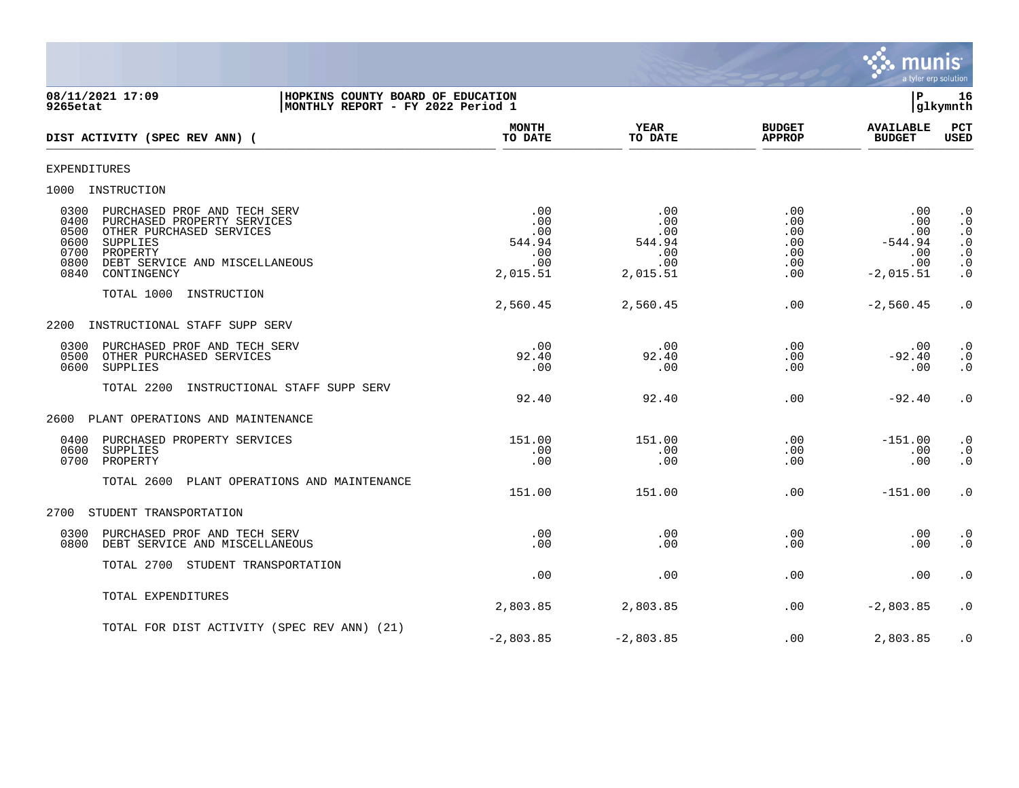

08/11/2021 17:09 **| HOPKINS COUNTY BOARD OF EDUCATION**<br>9265etat | MONTHLY REPORT - FY 2022 Period 1 **MONTHLY REPORT - FY 2022 Period 1 MONTH YEAR BUDGET AVAILABLE PCT DIST ACTIVITY (SPEC REV ANN) (**  $\frac{10 \text{ Bhe}}{10 \text{ Bhe}}$   $\frac{10 \text{ Bhe}}{10 \text{ Bhe}}$   $\frac{10 \text{ Bhe}}{10 \text{ Bhe}}$   $\frac{10 \text{ Bhe}}{10 \text{ Bhe}}$   $\frac{10 \text{ Bhe}}{10 \text{ Bhe}}$   $\frac{10 \text{ Bhe}}{10 \text{ Bhe}}$   $\frac{10 \text{ Bhe}}{10 \text{ Bhe}}$ EXPENDITURES 1000 INSTRUCTION 0300 PURCHASED PROF AND TECH SERV .00 .00 .00 .00 .0 0400 PURCHASED PROPERTY SERVICES .00 .00 .00 .00 .0 0500 OTHER PURCHASED SERVICES .00 .00 .00 .00 .0 0600 SUPPLIES 544.94 544.94 .00 -544.94 .0 0700 PROPERTY .00 .00 .00 .00 .0 0800 DEBT SERVICE AND MISCELLANEOUS .00 .00 .00 .00 .0 0840 CONTINGENCY TOTAL 1000 INSTRUCTION 2,560.45 2,560.45 .00 -2,560.45 .0 2200 INSTRUCTIONAL STAFF SUPP SERV 0300 PURCHASED PROF AND TECH SERV .00 .00 .00 .00 .0 0500 OTHER PURCHASED SERVICES 92.40 92.40 .00 -92.40 .0 0600 SUPPLIES .00 .00 .00 .00 .0 TOTAL 2200 INSTRUCTIONAL STAFF SUPP SERV 92.40 92.40 .00 -92.40 .0 2600 PLANT OPERATIONS AND MAINTENANCE 0400 PURCHASED PROPERTY SERVICES 151.00 151.00 .00 -151.00 .0 0600 SUPPLIES .00 .00 .00 .00 .0 0700 PROPERTY .00 .00 .00 .00 .0 TOTAL 2600 PLANT OPERATIONS AND MAINTENANCE 151.00 151.00 .00 -151.00 .0 2700 STUDENT TRANSPORTATION 0300 PURCHASED PROF AND TECH SERV .00 .00 .00 .00 .0 0800 DEBT SERVICE AND MISCELLANEOUS TOTAL 2700 STUDENT TRANSPORTATION .00 .00 .00 .00 .0 TOTAL EXPENDITURES 2,803.85 2,803.85 .00 -2,803.85 .0 TOTAL FOR DIST ACTIVITY (SPEC REV ANN) (21)  $-2.803.85$   $-2.803.85$   $-2.803.85$   $-2.803.85$   $-2.803.85$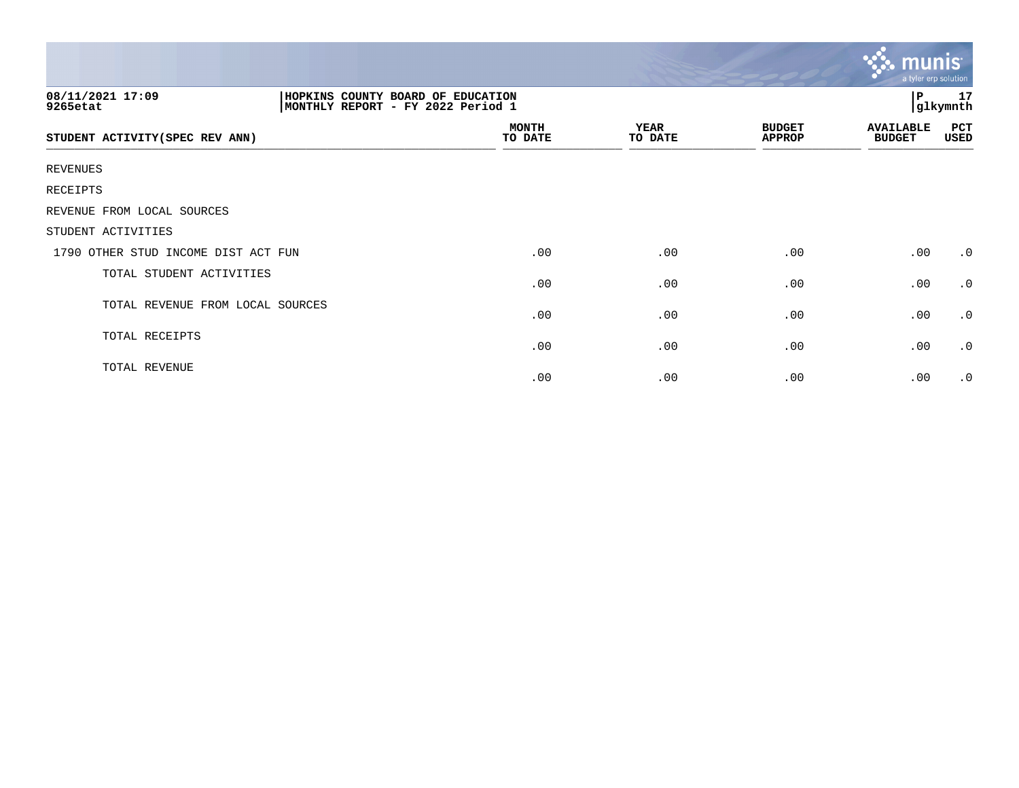|                                     |                                                                        |                         |                        |                                | $\mathbf{\ddot{v}}$ munis<br>a tyler erp solution |                |
|-------------------------------------|------------------------------------------------------------------------|-------------------------|------------------------|--------------------------------|---------------------------------------------------|----------------|
| 08/11/2021 17:09<br>9265etat        | HOPKINS COUNTY BOARD OF EDUCATION<br>MONTHLY REPORT - FY 2022 Period 1 |                         |                        |                                | $\mathbf{P}$                                      | 17<br>glkymnth |
| STUDENT ACTIVITY (SPEC REV ANN)     |                                                                        | <b>MONTH</b><br>TO DATE | <b>YEAR</b><br>TO DATE | <b>BUDGET</b><br><b>APPROP</b> | <b>AVAILABLE</b><br><b>BUDGET</b>                 | PCT<br>USED    |
| <b>REVENUES</b>                     |                                                                        |                         |                        |                                |                                                   |                |
| RECEIPTS                            |                                                                        |                         |                        |                                |                                                   |                |
| REVENUE FROM LOCAL SOURCES          |                                                                        |                         |                        |                                |                                                   |                |
| STUDENT ACTIVITIES                  |                                                                        |                         |                        |                                |                                                   |                |
| 1790 OTHER STUD INCOME DIST ACT FUN |                                                                        | .00                     | .00                    | .00                            | .00                                               | $\cdot$ 0      |
| TOTAL STUDENT ACTIVITIES            |                                                                        | .00                     | .00                    | .00                            | .00                                               | $\cdot$ 0      |
| TOTAL REVENUE FROM LOCAL SOURCES    |                                                                        | .00                     | .00                    | .00                            | .00                                               | $\cdot$ 0      |
| TOTAL RECEIPTS                      |                                                                        | .00                     | .00                    | .00                            | .00                                               | $\cdot$ 0      |
| TOTAL REVENUE                       |                                                                        | .00                     | .00                    | .00                            | .00                                               | $\cdot$ 0      |

the contract of the contract of the contract of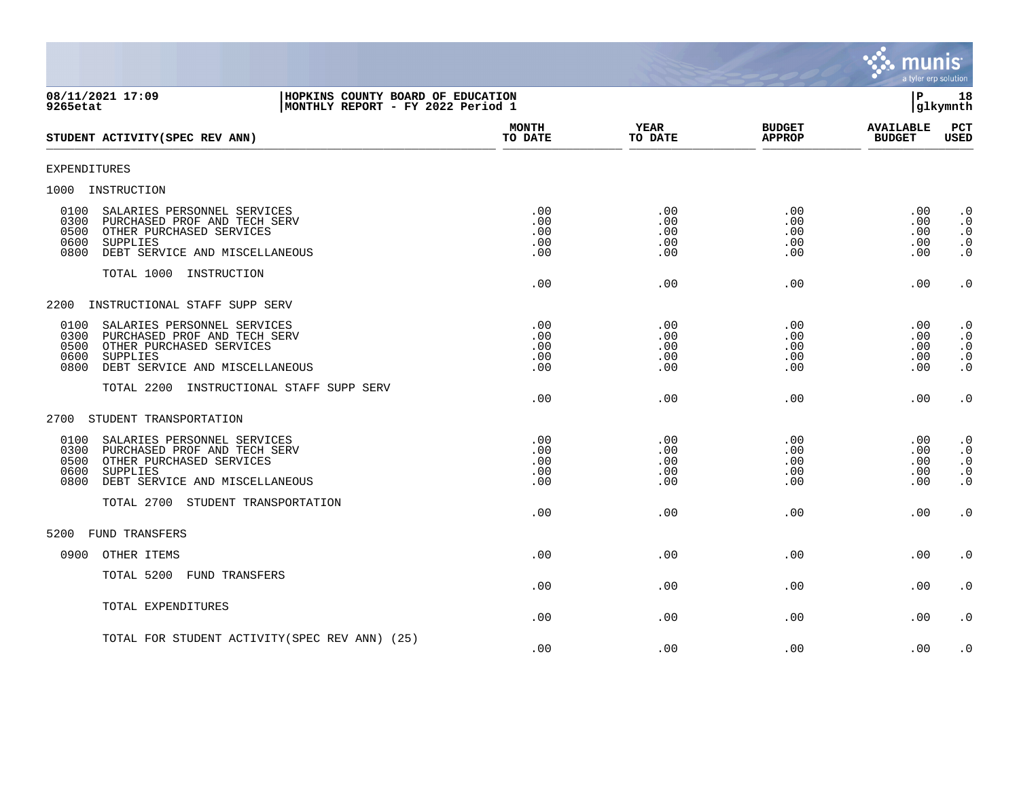

| 08/11/2021 17:09<br>HOPKINS COUNTY BOARD OF EDUCATION<br>MONTHLY REPORT - FY 2022 Period 1<br>9265etat                                                                        |                                 |                                      |                                  | l P                               | 18<br> glkymnth                                               |
|-------------------------------------------------------------------------------------------------------------------------------------------------------------------------------|---------------------------------|--------------------------------------|----------------------------------|-----------------------------------|---------------------------------------------------------------|
| STUDENT ACTIVITY (SPEC REV ANN)                                                                                                                                               | <b>MONTH</b><br>TO DATE         | YEAR<br>TO DATE                      | <b>BUDGET</b><br><b>APPROP</b>   | <b>AVAILABLE</b><br><b>BUDGET</b> | PCT<br><b>USED</b>                                            |
| <b>EXPENDITURES</b>                                                                                                                                                           |                                 |                                      |                                  |                                   |                                                               |
| 1000 INSTRUCTION                                                                                                                                                              |                                 |                                      |                                  |                                   |                                                               |
| SALARIES PERSONNEL SERVICES<br>0100<br>0300<br>PURCHASED PROF AND TECH SERV<br>0500<br>OTHER PURCHASED SERVICES<br>0600<br>SUPPLIES<br>DEBT SERVICE AND MISCELLANEOUS<br>0800 | .00<br>.00<br>.00<br>.00<br>.00 | .00<br>$.00 \,$<br>.00<br>.00<br>.00 | .00<br>.00.<br>.00<br>.00<br>.00 | .00<br>.00<br>.00<br>.00<br>.00   | $\cdot$ 0<br>$\cdot$ 0<br>$\cdot$ 0<br>$\cdot$ 0<br>$\cdot$ 0 |
| TOTAL 1000 INSTRUCTION                                                                                                                                                        | .00                             | .00                                  | .00                              | .00                               | $\boldsymbol{\cdot}$ 0                                        |
| INSTRUCTIONAL STAFF SUPP SERV<br>2200                                                                                                                                         |                                 |                                      |                                  |                                   |                                                               |
| 0100<br>SALARIES PERSONNEL SERVICES<br>0300<br>PURCHASED PROF AND TECH SERV<br>0500<br>OTHER PURCHASED SERVICES<br>0600<br>SUPPLIES<br>0800<br>DEBT SERVICE AND MISCELLANEOUS | .00<br>.00<br>.00<br>.00<br>.00 | .00<br>.00<br>.00<br>.00<br>.00      | .00<br>.00<br>.00<br>.00<br>.00  | .00<br>.00<br>.00<br>.00<br>.00   | $\cdot$ 0<br>$\cdot$ 0<br>$\cdot$ 0<br>$\cdot$ 0<br>$\cdot$ 0 |
| TOTAL 2200 INSTRUCTIONAL STAFF SUPP SERV                                                                                                                                      | .00                             | .00                                  | .00                              | .00                               | $\cdot$ 0                                                     |
| 2700<br>STUDENT TRANSPORTATION                                                                                                                                                |                                 |                                      |                                  |                                   |                                                               |
| 0100<br>SALARIES PERSONNEL SERVICES<br>0300 PURCHASED PROF AND TECH SERV<br>0500<br>OTHER PURCHASED SERVICES<br>0600<br>SUPPLIES<br>0800<br>DEBT SERVICE AND MISCELLANEOUS    | .00<br>.00<br>.00<br>.00<br>.00 | .00<br>.00<br>.00<br>.00<br>.00      | .00<br>.00<br>.00<br>.00.<br>.00 | .00<br>.00<br>.00<br>.00<br>.00   | $\cdot$ 0<br>$\cdot$ 0<br>$\cdot$ 0<br>$\cdot$ 0<br>$\cdot$ 0 |
| TOTAL 2700 STUDENT TRANSPORTATION                                                                                                                                             | .00                             | .00.                                 | .00                              | .00                               | $\cdot$ 0                                                     |
| <b>FUND TRANSFERS</b><br>5200                                                                                                                                                 |                                 |                                      |                                  |                                   |                                                               |
| 0900<br>OTHER ITEMS                                                                                                                                                           | .00                             | .00                                  | .00                              | .00                               | $\cdot$ 0                                                     |
| TOTAL 5200 FUND TRANSFERS                                                                                                                                                     | .00                             | .00                                  | .00                              | .00                               | $\cdot$ 0                                                     |
| TOTAL EXPENDITURES                                                                                                                                                            | .00                             | .00                                  | .00                              | .00                               | $\cdot$ 0                                                     |
| TOTAL FOR STUDENT ACTIVITY (SPEC REV ANN) (25)                                                                                                                                | .00                             | .00                                  | .00                              | .00                               | $\cdot$ 0                                                     |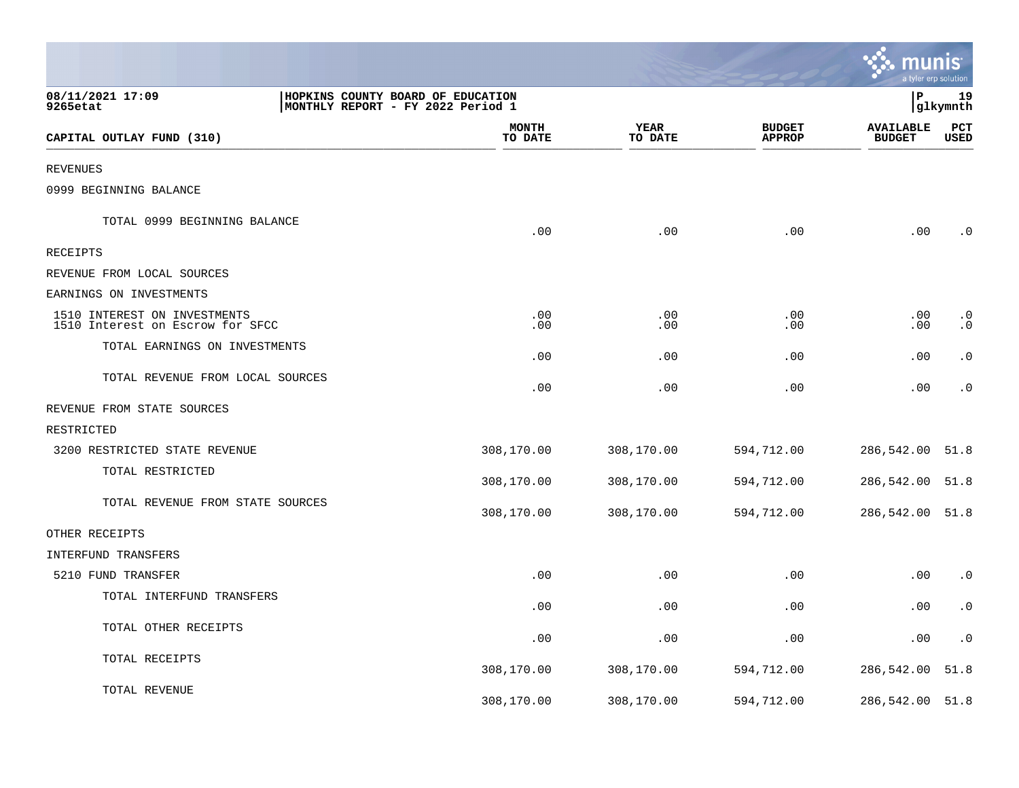|                                                                  |                                                                        |                 |                                | a tyler erp solution              |                        |
|------------------------------------------------------------------|------------------------------------------------------------------------|-----------------|--------------------------------|-----------------------------------|------------------------|
| 08/11/2021 17:09<br>9265etat                                     | HOPKINS COUNTY BOARD OF EDUCATION<br>MONTHLY REPORT - FY 2022 Period 1 |                 |                                | P                                 | 19<br>glkymnth         |
| CAPITAL OUTLAY FUND (310)                                        | <b>MONTH</b><br>TO DATE                                                | YEAR<br>TO DATE | <b>BUDGET</b><br><b>APPROP</b> | <b>AVAILABLE</b><br><b>BUDGET</b> | PCT<br><b>USED</b>     |
| <b>REVENUES</b>                                                  |                                                                        |                 |                                |                                   |                        |
| 0999 BEGINNING BALANCE                                           |                                                                        |                 |                                |                                   |                        |
| TOTAL 0999 BEGINNING BALANCE                                     | .00                                                                    | .00             | .00                            | .00                               | $\cdot$ 0              |
| RECEIPTS                                                         |                                                                        |                 |                                |                                   |                        |
| REVENUE FROM LOCAL SOURCES                                       |                                                                        |                 |                                |                                   |                        |
| EARNINGS ON INVESTMENTS                                          |                                                                        |                 |                                |                                   |                        |
| 1510 INTEREST ON INVESTMENTS<br>1510 Interest on Escrow for SFCC | .00<br>.00                                                             | .00<br>.00      | .00<br>.00                     | .00<br>.00                        | $\cdot$ 0<br>$\cdot$ 0 |
| TOTAL EARNINGS ON INVESTMENTS                                    | .00                                                                    | .00             | .00                            | .00                               | $\cdot$ 0              |
| TOTAL REVENUE FROM LOCAL SOURCES                                 | .00                                                                    | .00             | .00                            | .00                               | $\cdot$ 0              |
| REVENUE FROM STATE SOURCES                                       |                                                                        |                 |                                |                                   |                        |
| RESTRICTED                                                       |                                                                        |                 |                                |                                   |                        |
| 3200 RESTRICTED STATE REVENUE                                    | 308,170.00                                                             | 308,170.00      | 594,712.00                     | 286,542.00                        | 51.8                   |
| TOTAL RESTRICTED                                                 | 308,170.00                                                             | 308,170.00      | 594,712.00                     | 286,542.00                        | 51.8                   |
| TOTAL REVENUE FROM STATE SOURCES                                 | 308,170.00                                                             | 308,170.00      | 594,712.00                     | 286,542.00 51.8                   |                        |
| OTHER RECEIPTS                                                   |                                                                        |                 |                                |                                   |                        |
| INTERFUND TRANSFERS                                              |                                                                        |                 |                                |                                   |                        |
| 5210 FUND TRANSFER                                               | .00                                                                    | .00             | .00                            | .00                               | $\cdot$ 0              |
| TOTAL INTERFUND TRANSFERS                                        | .00                                                                    | .00             | .00                            | .00                               | $\cdot$ 0              |
| TOTAL OTHER RECEIPTS                                             | .00                                                                    | .00             | .00                            | .00                               | $\cdot$ 0              |
| TOTAL RECEIPTS                                                   | 308,170.00                                                             | 308,170.00      | 594,712.00                     | 286,542.00                        | 51.8                   |
| TOTAL REVENUE                                                    | 308,170.00                                                             | 308,170.00      | 594,712.00                     | 286,542.00 51.8                   |                        |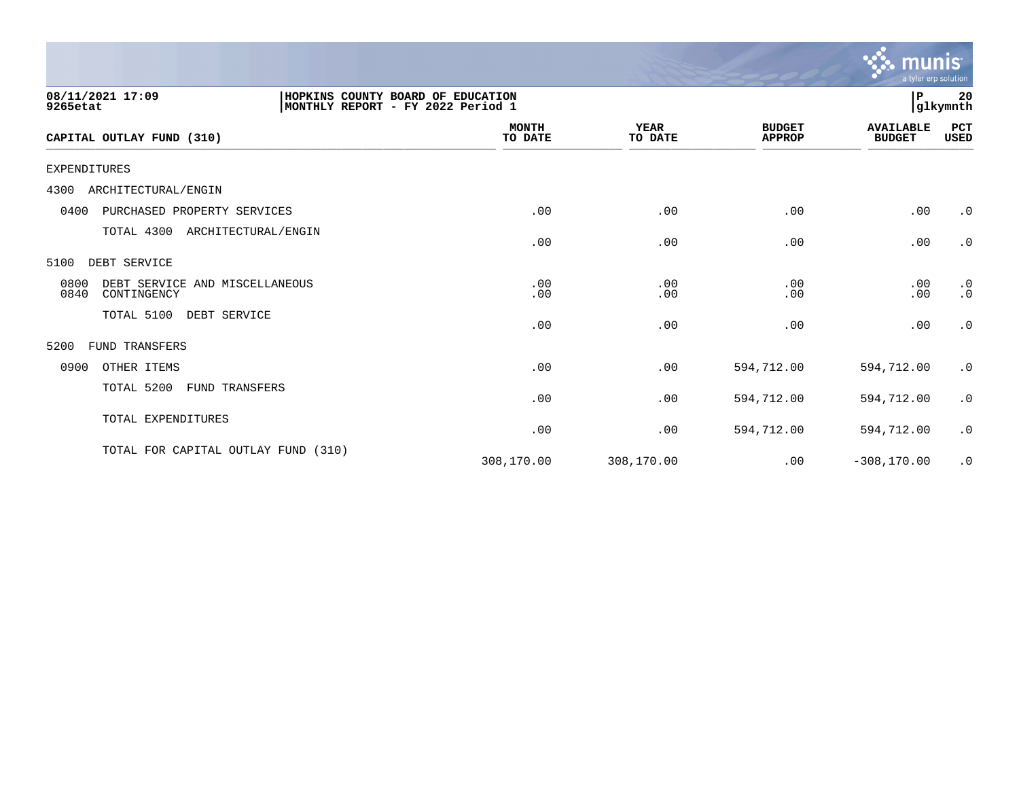

| 08/11/2021 17:09<br>9265etat                                  | HOPKINS COUNTY BOARD OF EDUCATION<br>MONTHLY REPORT - FY 2022 Period 1 |                         |                        |                                | ∣P                                | 20<br> glkymnth        |
|---------------------------------------------------------------|------------------------------------------------------------------------|-------------------------|------------------------|--------------------------------|-----------------------------------|------------------------|
| CAPITAL OUTLAY FUND (310)                                     |                                                                        | <b>MONTH</b><br>TO DATE | <b>YEAR</b><br>TO DATE | <b>BUDGET</b><br><b>APPROP</b> | <b>AVAILABLE</b><br><b>BUDGET</b> | PCT<br><b>USED</b>     |
| EXPENDITURES                                                  |                                                                        |                         |                        |                                |                                   |                        |
| ARCHITECTURAL/ENGIN<br>4300                                   |                                                                        |                         |                        |                                |                                   |                        |
| 0400<br>PURCHASED PROPERTY SERVICES                           |                                                                        | .00                     | .00                    | .00                            | .00                               | $\cdot$ 0              |
| TOTAL 4300                                                    | ARCHITECTURAL/ENGIN                                                    | .00                     | .00                    | .00                            | .00                               | $\cdot$ 0              |
| 5100<br>DEBT SERVICE                                          |                                                                        |                         |                        |                                |                                   |                        |
| DEBT SERVICE AND MISCELLANEOUS<br>0800<br>0840<br>CONTINGENCY |                                                                        | .00<br>.00              | .00<br>.00             | .00<br>.00                     | .00<br>.00                        | $\cdot$ 0<br>$\cdot$ 0 |
| TOTAL 5100<br>DEBT SERVICE                                    |                                                                        | .00                     | .00                    | .00                            | .00                               | $\cdot$ 0              |
| 5200<br>FUND TRANSFERS                                        |                                                                        |                         |                        |                                |                                   |                        |
| 0900<br>OTHER ITEMS                                           |                                                                        | .00                     | .00                    | 594,712.00                     | 594,712.00                        | $\cdot$ 0              |
| TOTAL 5200                                                    | <b>FUND TRANSFERS</b>                                                  | .00                     | .00                    | 594,712.00                     | 594,712.00                        | $\cdot$ 0              |
| TOTAL EXPENDITURES                                            |                                                                        | .00                     | .00                    | 594,712.00                     | 594,712.00                        | $\cdot$ 0              |
| TOTAL FOR CAPITAL OUTLAY FUND (310)                           |                                                                        | 308,170.00              | 308,170.00             | .00                            | $-308, 170.00$                    | $\cdot$ 0              |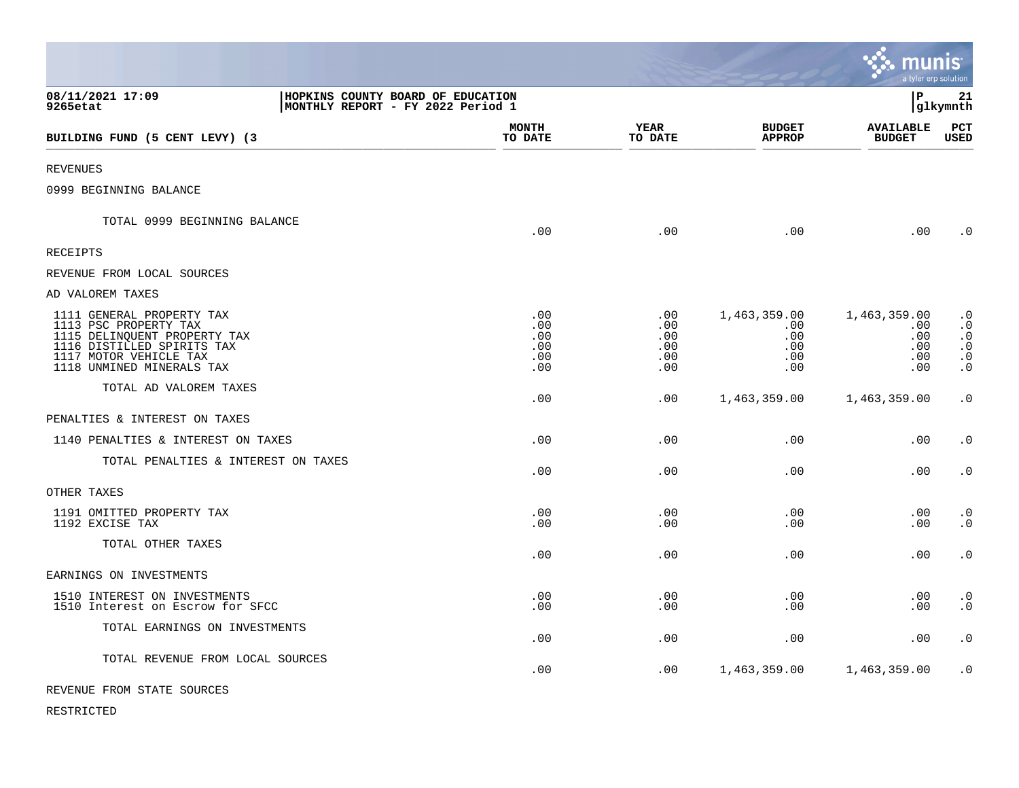|                                                                                                                                                                         |                                                                        |                                        |                                             |                                                 | munis<br>a tyler erp solution                   |                                                                            |
|-------------------------------------------------------------------------------------------------------------------------------------------------------------------------|------------------------------------------------------------------------|----------------------------------------|---------------------------------------------|-------------------------------------------------|-------------------------------------------------|----------------------------------------------------------------------------|
| 08/11/2021 17:09<br>9265etat                                                                                                                                            | HOPKINS COUNTY BOARD OF EDUCATION<br>MONTHLY REPORT - FY 2022 Period 1 |                                        |                                             |                                                 | l P                                             | 21<br> glkymnth                                                            |
| BUILDING FUND (5 CENT LEVY) (3                                                                                                                                          |                                                                        | <b>MONTH</b><br>TO DATE                | <b>YEAR</b><br>TO DATE                      | <b>BUDGET</b><br><b>APPROP</b>                  | <b>AVAILABLE</b><br><b>BUDGET</b>               | PCT<br><b>USED</b>                                                         |
| <b>REVENUES</b>                                                                                                                                                         |                                                                        |                                        |                                             |                                                 |                                                 |                                                                            |
| 0999 BEGINNING BALANCE                                                                                                                                                  |                                                                        |                                        |                                             |                                                 |                                                 |                                                                            |
| TOTAL 0999 BEGINNING BALANCE                                                                                                                                            |                                                                        | .00                                    | .00                                         | .00                                             | .00                                             | $\cdot$ 0                                                                  |
| RECEIPTS                                                                                                                                                                |                                                                        |                                        |                                             |                                                 |                                                 |                                                                            |
| REVENUE FROM LOCAL SOURCES                                                                                                                                              |                                                                        |                                        |                                             |                                                 |                                                 |                                                                            |
| AD VALOREM TAXES                                                                                                                                                        |                                                                        |                                        |                                             |                                                 |                                                 |                                                                            |
| 1111 GENERAL PROPERTY TAX<br>1113 PSC PROPERTY TAX<br>1115 DELINQUENT PROPERTY TAX<br>1116 DISTILLED SPIRITS TAX<br>1117 MOTOR VEHICLE TAX<br>1118 UNMINED MINERALS TAX |                                                                        | .00<br>.00<br>.00<br>.00<br>.00<br>.00 | $.00 \,$<br>.00<br>.00<br>.00<br>.00<br>.00 | 1,463,359.00<br>.00<br>.00<br>.00<br>.00<br>.00 | 1,463,359.00<br>.00<br>.00<br>.00<br>.00<br>.00 | $\cdot$ 0<br>$\cdot$ 0<br>$\cdot$ 0<br>$\cdot$ 0<br>$\cdot$ 0<br>$\cdot$ 0 |
| TOTAL AD VALOREM TAXES                                                                                                                                                  |                                                                        | .00                                    | .00                                         | 1,463,359.00                                    | 1,463,359.00                                    | $\cdot$ 0                                                                  |
| PENALTIES & INTEREST ON TAXES                                                                                                                                           |                                                                        |                                        |                                             |                                                 |                                                 |                                                                            |
| 1140 PENALTIES & INTEREST ON TAXES                                                                                                                                      |                                                                        | .00                                    | .00                                         | .00                                             | .00                                             | $\cdot$ 0                                                                  |
| TOTAL PENALTIES & INTEREST ON TAXES                                                                                                                                     |                                                                        | .00                                    | .00                                         | .00                                             | .00                                             | $\cdot$ 0                                                                  |
| OTHER TAXES                                                                                                                                                             |                                                                        |                                        |                                             |                                                 |                                                 |                                                                            |
| 1191 OMITTED PROPERTY TAX<br>1192 EXCISE TAX                                                                                                                            |                                                                        | .00<br>.00                             | .00<br>.00                                  | .00<br>.00                                      | .00<br>.00                                      | $\cdot$ 0<br>$\cdot$ 0                                                     |
| TOTAL OTHER TAXES                                                                                                                                                       |                                                                        | .00                                    | .00                                         | .00                                             | .00                                             | $\cdot$ 0                                                                  |
| EARNINGS ON INVESTMENTS                                                                                                                                                 |                                                                        |                                        |                                             |                                                 |                                                 |                                                                            |
| 1510 INTEREST ON INVESTMENTS<br>1510 Interest on Escrow for SFCC                                                                                                        |                                                                        | .00<br>.00                             | .00<br>.00                                  | .00<br>.00                                      | .00<br>.00                                      | $\cdot$ 0<br>$\cdot$ 0                                                     |
| TOTAL EARNINGS ON INVESTMENTS                                                                                                                                           |                                                                        | .00                                    | .00                                         | .00                                             | .00                                             | $\cdot$ 0                                                                  |
| TOTAL REVENUE FROM LOCAL SOURCES                                                                                                                                        |                                                                        | .00                                    | .00                                         | 1,463,359.00                                    | 1,463,359.00                                    | $\cdot$ 0                                                                  |
| REVENUE FROM STATE SOURCES                                                                                                                                              |                                                                        |                                        |                                             |                                                 |                                                 |                                                                            |

 $\bullet$ 

RESTRICTED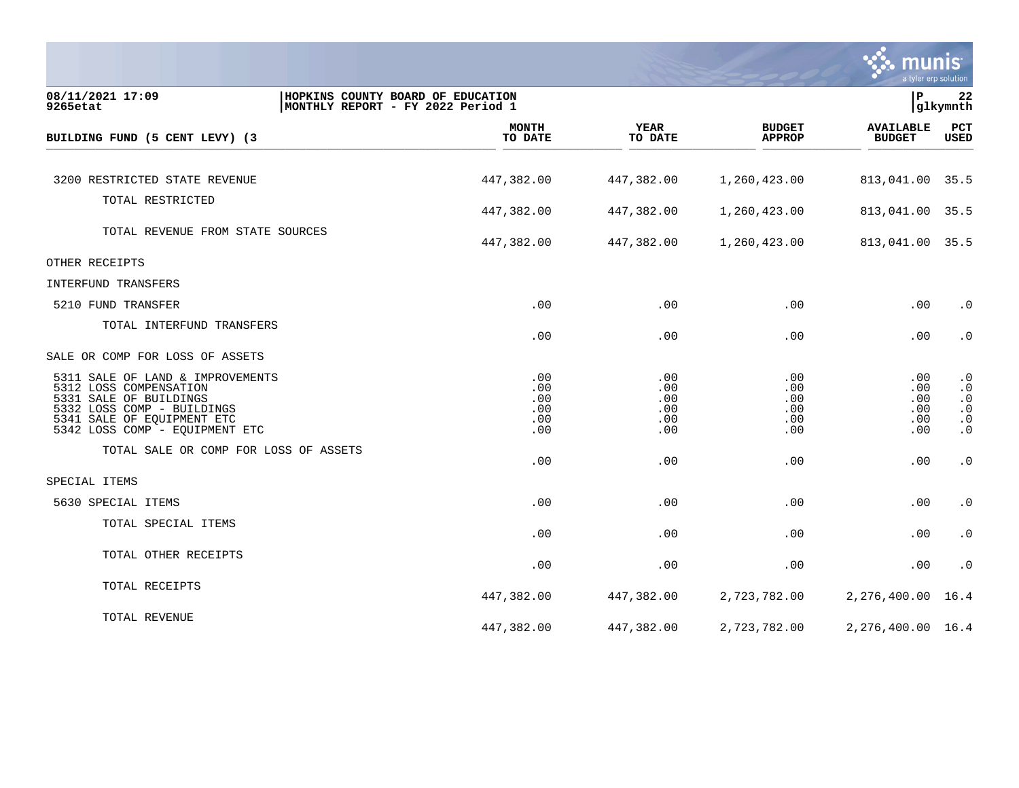

| 08/11/2021 17:09<br>9265etat                                                                                                                                                       | HOPKINS COUNTY BOARD OF EDUCATION<br>MONTHLY REPORT - FY 2022 Period 1 |                                        |                                        | l P                                    | 22<br>glkymnth                                                             |
|------------------------------------------------------------------------------------------------------------------------------------------------------------------------------------|------------------------------------------------------------------------|----------------------------------------|----------------------------------------|----------------------------------------|----------------------------------------------------------------------------|
| BUILDING FUND (5 CENT LEVY) (3                                                                                                                                                     | <b>MONTH</b><br>TO DATE                                                | <b>YEAR</b><br>TO DATE                 | <b>BUDGET</b><br><b>APPROP</b>         | <b>AVAILABLE</b><br><b>BUDGET</b>      | PCT<br><b>USED</b>                                                         |
|                                                                                                                                                                                    |                                                                        |                                        |                                        |                                        |                                                                            |
| 3200 RESTRICTED STATE REVENUE                                                                                                                                                      | 447,382.00                                                             | 447,382.00                             | 1,260,423.00                           | 813,041.00                             | 35.5                                                                       |
| TOTAL RESTRICTED                                                                                                                                                                   | 447,382.00                                                             | 447,382.00                             | 1,260,423.00                           | 813,041.00                             | 35.5                                                                       |
| TOTAL REVENUE FROM STATE SOURCES                                                                                                                                                   | 447,382.00                                                             | 447,382.00                             | 1,260,423.00                           | 813,041.00 35.5                        |                                                                            |
| OTHER RECEIPTS                                                                                                                                                                     |                                                                        |                                        |                                        |                                        |                                                                            |
| INTERFUND TRANSFERS                                                                                                                                                                |                                                                        |                                        |                                        |                                        |                                                                            |
| 5210 FUND TRANSFER                                                                                                                                                                 | .00                                                                    | .00                                    | .00                                    | .00                                    | $\cdot$ 0                                                                  |
| TOTAL INTERFUND TRANSFERS                                                                                                                                                          | .00                                                                    | .00                                    | .00                                    | .00                                    | $\cdot$ 0                                                                  |
| SALE OR COMP FOR LOSS OF ASSETS                                                                                                                                                    |                                                                        |                                        |                                        |                                        |                                                                            |
| 5311 SALE OF LAND & IMPROVEMENTS<br>5312 LOSS COMPENSATION<br>5331 SALE OF BUILDINGS<br>5332 LOSS COMP - BUILDINGS<br>5341 SALE OF EQUIPMENT ETC<br>5342 LOSS COMP - EQUIPMENT ETC | .00<br>.00<br>.00<br>.00<br>.00<br>.00                                 | .00<br>.00<br>.00<br>.00<br>.00<br>.00 | .00<br>.00<br>.00<br>.00<br>.00<br>.00 | .00<br>.00<br>.00<br>.00<br>.00<br>.00 | $\cdot$ 0<br>$\cdot$ 0<br>$\cdot$ 0<br>$\cdot$ 0<br>$\cdot$ 0<br>$\cdot$ 0 |
| TOTAL SALE OR COMP FOR LOSS OF ASSETS                                                                                                                                              | .00                                                                    | .00                                    | .00                                    | .00                                    | $\cdot$ 0                                                                  |
| SPECIAL ITEMS                                                                                                                                                                      |                                                                        |                                        |                                        |                                        |                                                                            |
| 5630 SPECIAL ITEMS                                                                                                                                                                 | .00                                                                    | .00                                    | .00                                    | .00                                    | $\cdot$ 0                                                                  |
| TOTAL SPECIAL ITEMS                                                                                                                                                                | .00                                                                    | .00                                    | .00                                    | .00                                    | $\cdot$ 0                                                                  |
| TOTAL OTHER RECEIPTS                                                                                                                                                               | .00                                                                    | .00                                    | .00                                    | .00                                    | $\cdot$ 0                                                                  |
| TOTAL RECEIPTS                                                                                                                                                                     | 447,382.00                                                             | 447,382.00                             | 2,723,782.00                           | 2,276,400.00                           | 16.4                                                                       |
| TOTAL REVENUE                                                                                                                                                                      | 447,382.00                                                             | 447,382.00                             | 2,723,782.00                           | 2,276,400.00 16.4                      |                                                                            |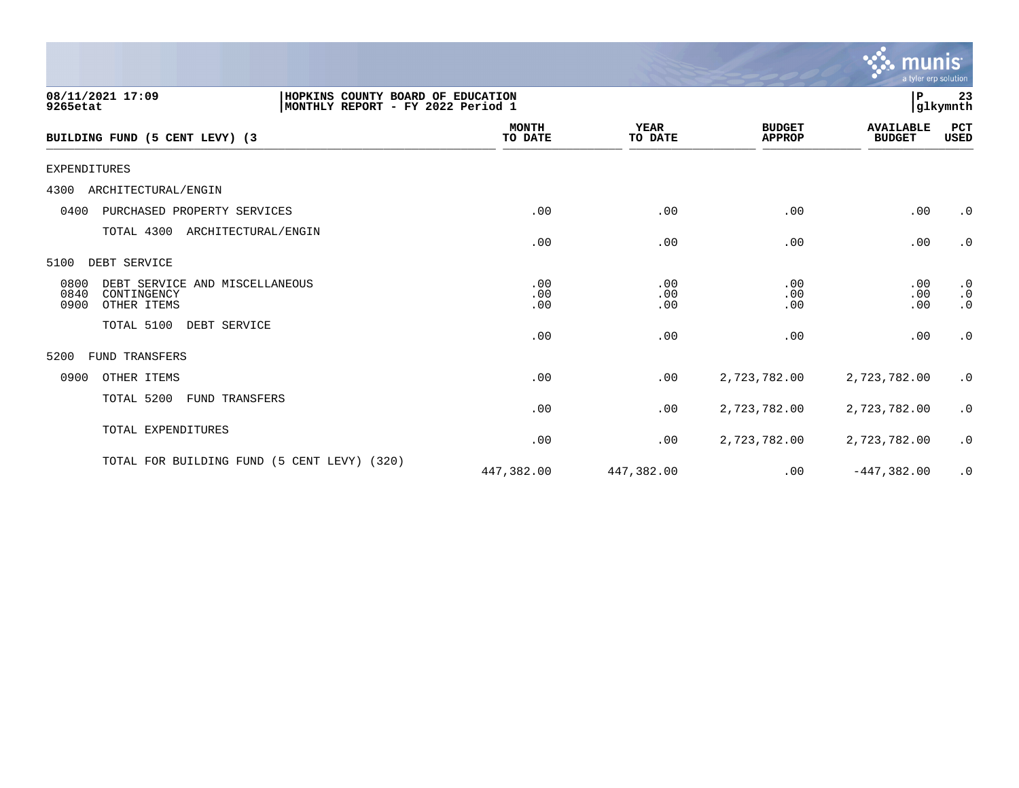|                                                                                                         |                         |                        |                                | <b>munis</b><br>a tyler erp solution |                                     |
|---------------------------------------------------------------------------------------------------------|-------------------------|------------------------|--------------------------------|--------------------------------------|-------------------------------------|
| 08/11/2021 17:09<br>HOPKINS COUNTY BOARD OF EDUCATION<br>9265etat<br> MONTHLY REPORT - FY 2022 Period 1 |                         |                        |                                | P                                    | 23<br> glkymnth                     |
| BUILDING FUND (5 CENT LEVY) (3                                                                          | <b>MONTH</b><br>TO DATE | <b>YEAR</b><br>TO DATE | <b>BUDGET</b><br><b>APPROP</b> | <b>AVAILABLE</b><br><b>BUDGET</b>    | PCT<br>USED                         |
| <b>EXPENDITURES</b>                                                                                     |                         |                        |                                |                                      |                                     |
| 4300<br>ARCHITECTURAL/ENGIN                                                                             |                         |                        |                                |                                      |                                     |
| 0400<br>PURCHASED PROPERTY SERVICES                                                                     | .00                     | .00                    | .00                            | .00                                  | $\cdot$ 0                           |
| TOTAL 4300<br>ARCHITECTURAL/ENGIN                                                                       | .00                     | .00                    | .00                            | .00                                  | $\cdot$ 0                           |
| DEBT SERVICE<br>5100                                                                                    |                         |                        |                                |                                      |                                     |
| 0800<br>DEBT SERVICE AND MISCELLANEOUS<br>0840<br>CONTINGENCY<br>0900<br>OTHER ITEMS                    | .00<br>.00<br>.00       | .00<br>.00<br>.00      | .00<br>.00<br>.00              | .00<br>.00<br>.00                    | $\cdot$ 0<br>$\cdot$ 0<br>$\cdot$ 0 |
| TOTAL 5100<br>DEBT SERVICE                                                                              | .00                     | .00                    | .00                            | .00                                  | $\cdot$ 0                           |
| 5200<br><b>FUND TRANSFERS</b>                                                                           |                         |                        |                                |                                      |                                     |
| 0900<br>OTHER ITEMS                                                                                     | .00                     | .00                    | 2,723,782.00                   | 2,723,782.00                         | $\cdot$ 0                           |
| TOTAL 5200<br>FUND TRANSFERS                                                                            | .00                     | .00                    | 2,723,782.00                   | 2,723,782.00                         | $\cdot$ 0                           |
| TOTAL EXPENDITURES                                                                                      | .00                     | .00                    | 2,723,782.00                   | 2,723,782.00                         | $\cdot$ 0                           |
| TOTAL FOR BUILDING FUND (5 CENT LEVY) (320)                                                             | 447,382.00              | 447,382.00             | .00                            | $-447,382.00$                        | $\cdot$ 0                           |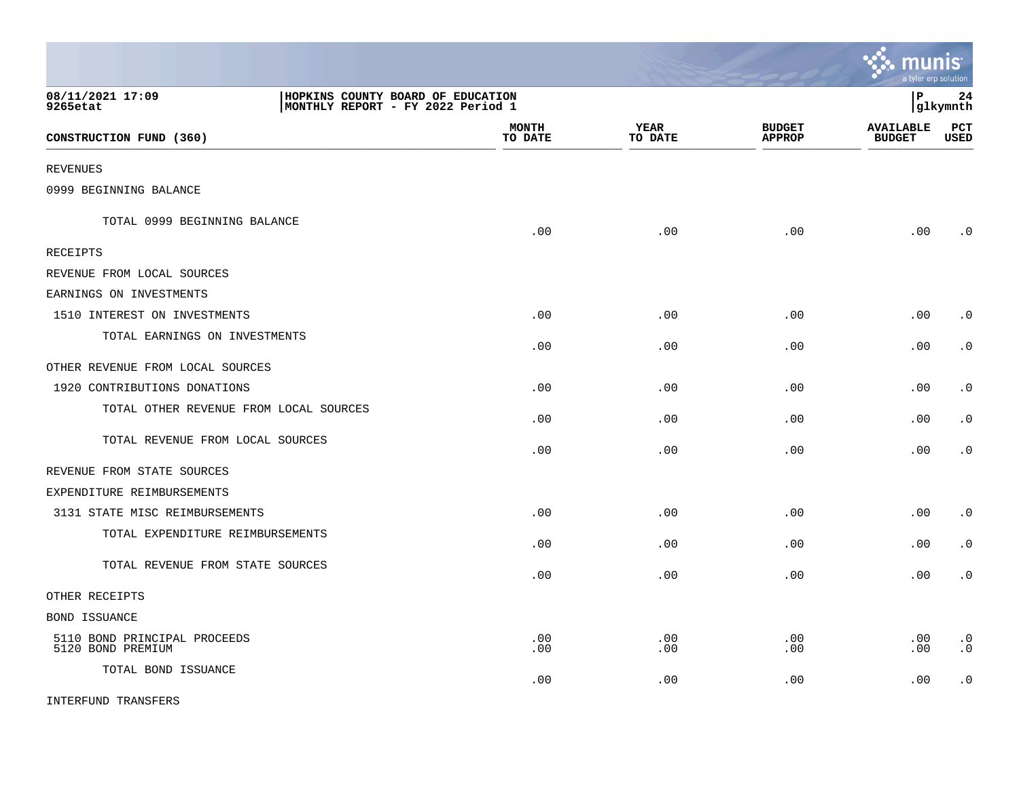|                                                                                                        |                         |                        |                                | <u>ः munis</u><br>a tyler erp solution |                        |
|--------------------------------------------------------------------------------------------------------|-------------------------|------------------------|--------------------------------|----------------------------------------|------------------------|
| 08/11/2021 17:09<br>HOPKINS COUNTY BOARD OF EDUCATION<br>MONTHLY REPORT - FY 2022 Period 1<br>9265etat |                         |                        |                                | lР                                     | 24<br>glkymnth         |
| CONSTRUCTION FUND (360)                                                                                | <b>MONTH</b><br>TO DATE | <b>YEAR</b><br>TO DATE | <b>BUDGET</b><br><b>APPROP</b> | <b>AVAILABLE</b><br><b>BUDGET</b>      | PCT<br><b>USED</b>     |
| <b>REVENUES</b>                                                                                        |                         |                        |                                |                                        |                        |
| 0999 BEGINNING BALANCE                                                                                 |                         |                        |                                |                                        |                        |
| TOTAL 0999 BEGINNING BALANCE                                                                           | .00                     | .00                    | .00                            | .00                                    | $\cdot$ 0              |
| RECEIPTS                                                                                               |                         |                        |                                |                                        |                        |
| REVENUE FROM LOCAL SOURCES                                                                             |                         |                        |                                |                                        |                        |
| EARNINGS ON INVESTMENTS                                                                                |                         |                        |                                |                                        |                        |
| 1510 INTEREST ON INVESTMENTS                                                                           | .00                     | .00                    | .00                            | .00                                    | $\cdot$ 0              |
| TOTAL EARNINGS ON INVESTMENTS                                                                          | .00                     | .00                    | .00                            | .00                                    | $\cdot$ 0              |
| OTHER REVENUE FROM LOCAL SOURCES                                                                       |                         |                        |                                |                                        |                        |
| 1920 CONTRIBUTIONS DONATIONS                                                                           | .00                     | .00                    | .00                            | .00                                    | . 0                    |
| TOTAL OTHER REVENUE FROM LOCAL SOURCES                                                                 | .00                     | .00                    | .00                            | .00                                    | $\cdot$ 0              |
| TOTAL REVENUE FROM LOCAL SOURCES                                                                       | .00                     | .00                    | .00                            | .00                                    | . 0                    |
| REVENUE FROM STATE SOURCES                                                                             |                         |                        |                                |                                        |                        |
| EXPENDITURE REIMBURSEMENTS                                                                             |                         |                        |                                |                                        |                        |
| 3131 STATE MISC REIMBURSEMENTS                                                                         | .00                     | .00                    | .00                            | .00                                    | $\cdot$ 0              |
| TOTAL EXPENDITURE REIMBURSEMENTS                                                                       | .00                     | .00                    | .00                            | .00                                    | $\cdot$ 0              |
| TOTAL REVENUE FROM STATE SOURCES                                                                       | .00                     | .00                    | .00                            | .00                                    | $\cdot$ 0              |
| OTHER RECEIPTS                                                                                         |                         |                        |                                |                                        |                        |
| BOND ISSUANCE                                                                                          |                         |                        |                                |                                        |                        |
| 5110 BOND PRINCIPAL PROCEEDS<br>5120 BOND PREMIUM                                                      | .00<br>.00              | .00<br>.00             | .00<br>.00                     | .00<br>.00                             | $\cdot$ 0<br>$\cdot$ 0 |
| TOTAL BOND ISSUANCE                                                                                    | .00                     | .00                    | .00                            | .00                                    | $\cdot$ 0              |
| INTERFUND TRANSFERS                                                                                    |                         |                        |                                |                                        |                        |

 $\mathcal{L}$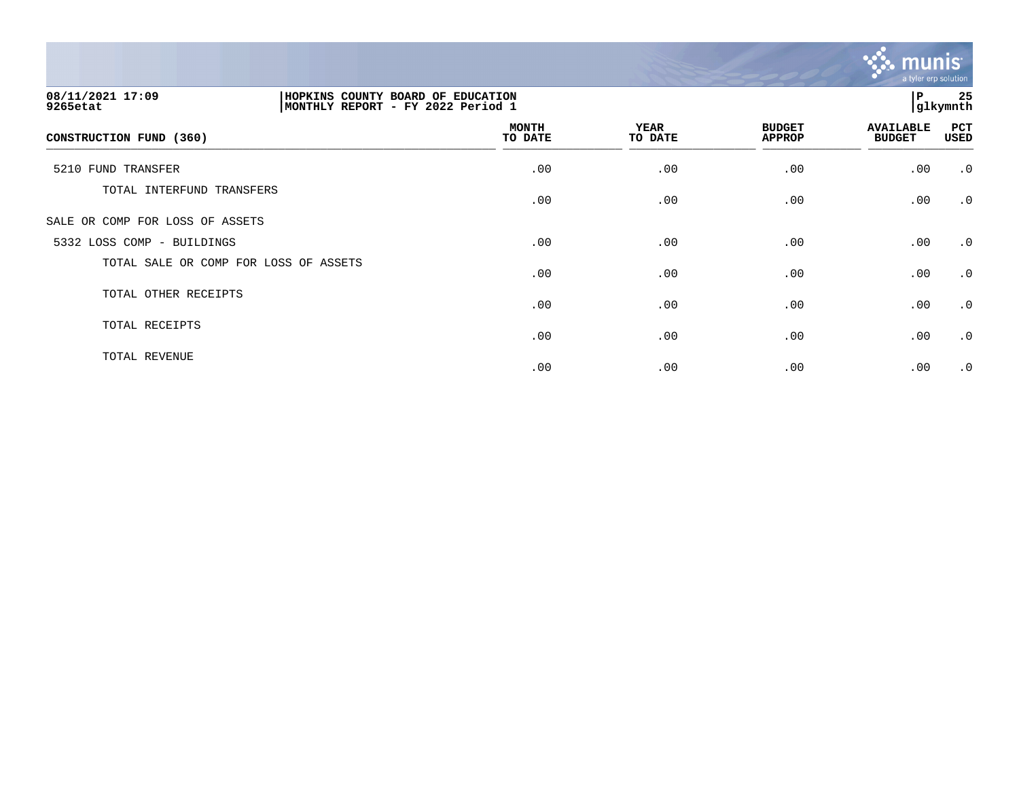

| 08/11/2021 17:09<br>9265etat          | HOPKINS<br>COUNTY BOARD OF EDUCATION<br> MONTHLY REPORT - FY 2022 Period 1 |                         |                        |                                |                                   |                    |  |
|---------------------------------------|----------------------------------------------------------------------------|-------------------------|------------------------|--------------------------------|-----------------------------------|--------------------|--|
| CONSTRUCTION FUND (360)               |                                                                            | <b>MONTH</b><br>TO DATE | <b>YEAR</b><br>TO DATE | <b>BUDGET</b><br><b>APPROP</b> | <b>AVAILABLE</b><br><b>BUDGET</b> | PCT<br><b>USED</b> |  |
| 5210 FUND TRANSFER                    |                                                                            | .00                     | .00                    | .00                            | .00                               | .0                 |  |
| TOTAL INTERFUND TRANSFERS             |                                                                            | .00                     | .00                    | .00                            | .00                               | $\cdot$ 0          |  |
| SALE OR COMP FOR LOSS OF ASSETS       |                                                                            |                         |                        |                                |                                   |                    |  |
| 5332 LOSS COMP - BUILDINGS            |                                                                            | .00                     | .00                    | .00                            | .00                               | $\cdot$ 0          |  |
| TOTAL SALE OR COMP FOR LOSS OF ASSETS |                                                                            | .00                     | .00                    | .00                            | .00                               | $\cdot$ 0          |  |
| TOTAL OTHER RECEIPTS                  |                                                                            | .00                     | .00                    | .00                            | .00                               | $\cdot$ 0          |  |
| TOTAL RECEIPTS                        |                                                                            | .00                     | .00                    | .00                            | .00                               | $\cdot$ 0          |  |
| TOTAL REVENUE                         |                                                                            | .00                     | .00                    | .00                            | .00                               | $\cdot$ 0          |  |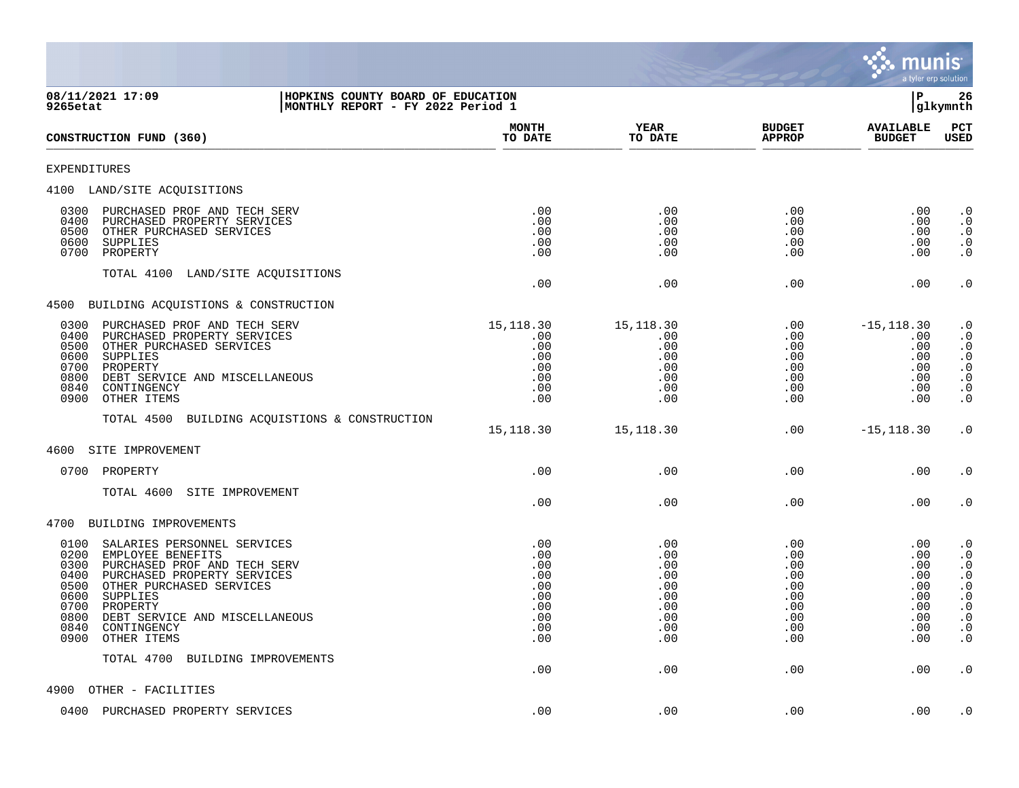

**08/11/2021 17:09 |HOPKINS COUNTY BOARD OF EDUCATION |P 26 9265etat |MONTHLY REPORT - FY 2022 Period 1 |glkymnth MONTH YEAR BUDGET AVAILABLE PCT CONSTRUCTION FUND (360)**  $\frac{10 \text{ Bhe}}{10 \text{ Bhe}}$   $\frac{10 \text{ Bhe}}{10 \text{ Bhe}}$   $\frac{10 \text{ Bhe}}{10 \text{ Bhe}}$   $\frac{10 \text{ Bhe}}{10 \text{ Bhe}}$   $\frac{10 \text{ Bhe}}{10 \text{ Bhe}}$   $\frac{10 \text{ Bhe}}{10 \text{ Bhe}}$ EXPENDITURES 4100 LAND/SITE ACQUISITIONS 0300 PURCHASED PROF AND TECH SERV .00 .00 .00 .00 .0 0400 PURCHASED PROPERTY SERVICES .00 .00 .00 .00 .0 0500 OTHER PURCHASED SERVICES .00 .00 .00 .00 .0 0600 SUPPLIES .00 .00 .00 .00 .0 0700 PROPERTY .00 .00 .00 .00 .0 TOTAL 4100 LAND/SITE ACQUISITIONS .00 .00 .00 .00 .0 4500 BUILDING ACQUISTIONS & CONSTRUCTION 0300 PURCHASED PROF AND TECH SERV 15,118.30 15,118.30 .00 -15,118.30 .0 0400 PURCHASED PROPERTY SERVICES .00 .00 .00 .00 .0 0500 OTHER PURCHASED SERVICES .00 .00 .00 .00 .0 0600 SUPPLIES .00 .00 .00 .00 .0 0700 PROPERTY .00 .00 .00 .00 .0 0800 DEBT SERVICE AND MISCELLANEOUS .00 .00 .00 .00 .0 0840 CONTINGENCY .00 .00 .00 .00 .0 0900 OTHER ITEMS .00 .00 .00 .00 .0 TOTAL 4500 BUILDING ACQUISTIONS & CONSTRUCTION 15,118.30 15,118.30 .00 -15,118.30 .0 4600 SITE IMPROVEMENT 0700 PROPERTY .00 .00 .00 .00 .0 TOTAL 4600 SITE IMPROVEMENT .00 .00 .00 .00 .0 4700 BUILDING IMPROVEMENTS 0100 SALARIES PERSONNEL SERVICES .00 .00 .00 .00 .0 0200 EMPLOYEE BENEFITS .00 .00 .00 .00 .0 0300 PURCHASED PROF AND TECH SERV .00 .00 .00 .00 .0 0400 PURCHASED PROPERTY SERVICES .00 .00 .00 .00 .0 0500 OTHER PURCHASED SERVICES .00 .00 .00 .00 .0 0600 SUPPLIES .00 .00 .00 .00 .0 0700 PROPERTY .00 .00 .00 .00 .0 0800 DEBT SERVICE AND MISCELLANEOUS .00 .00 .00 .00 .0 0840 CONTINGENCY .00 .00 .00 .00 .0 0900 OTHER ITEMS .00 .00 .00 .00 .0 TOTAL 4700 BUILDING IMPROVEMENTS .00 .00 .00 .00 .0 4900 OTHER - FACILITIES

0400 PURCHASED PROPERTY SERVICES .00 .00 .00 .00 .0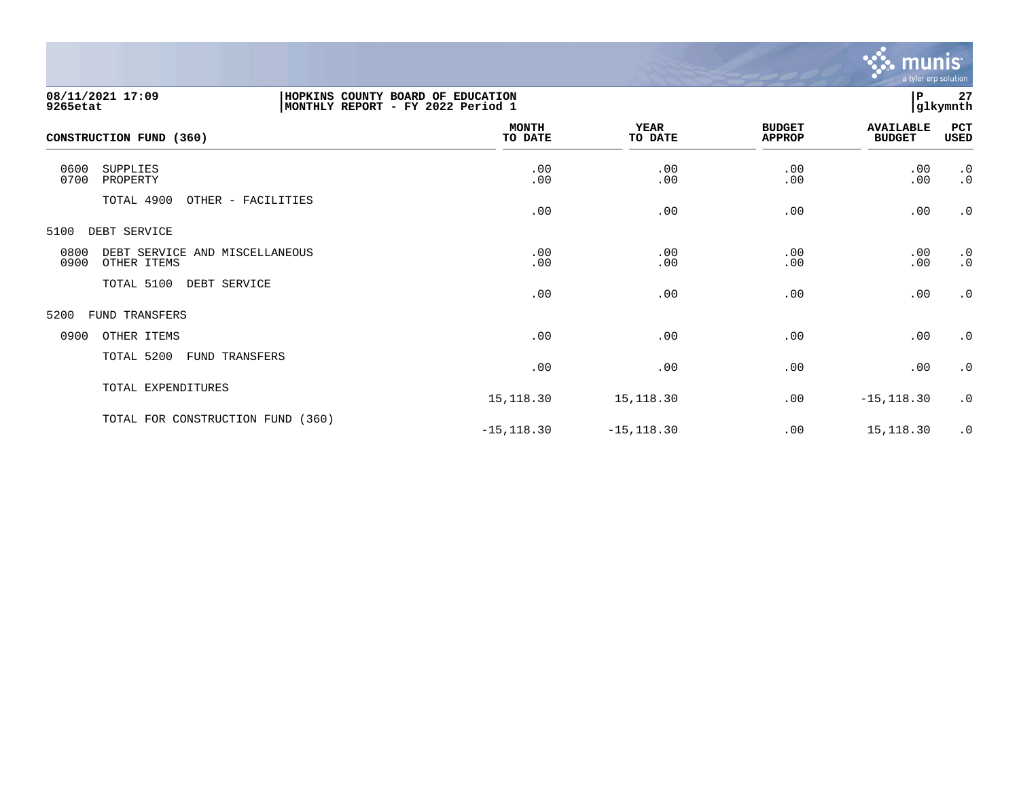

| 08/11/2021 17:09<br>9265etat                                  | HOPKINS COUNTY BOARD OF EDUCATION<br>MONTHLY REPORT - FY 2022 Period 1 |                         |                        |                                | P                                 | 27<br>glkymnth         |
|---------------------------------------------------------------|------------------------------------------------------------------------|-------------------------|------------------------|--------------------------------|-----------------------------------|------------------------|
| CONSTRUCTION FUND (360)                                       |                                                                        | <b>MONTH</b><br>TO DATE | <b>YEAR</b><br>TO DATE | <b>BUDGET</b><br><b>APPROP</b> | <b>AVAILABLE</b><br><b>BUDGET</b> | PCT<br>USED            |
| 0600<br>SUPPLIES<br>0700<br>PROPERTY                          |                                                                        | .00<br>.00              | .00<br>.00             | .00<br>.00                     | .00<br>.00                        | .0<br>$\cdot$ 0        |
| TOTAL 4900                                                    | OTHER - FACILITIES                                                     | .00                     | .00                    | .00                            | .00                               | $\cdot$ 0              |
| 5100<br>DEBT SERVICE                                          |                                                                        |                         |                        |                                |                                   |                        |
| 0800<br>DEBT SERVICE AND MISCELLANEOUS<br>0900<br>OTHER ITEMS |                                                                        | .00<br>.00              | .00<br>.00             | .00<br>.00                     | .00<br>.00                        | $\cdot$ 0<br>$\cdot$ 0 |
| TOTAL 5100                                                    | DEBT SERVICE                                                           | .00                     | .00                    | .00                            | .00                               | $\cdot$ 0              |
| 5200<br><b>FUND TRANSFERS</b>                                 |                                                                        |                         |                        |                                |                                   |                        |
| 0900<br>OTHER ITEMS                                           |                                                                        | .00                     | .00                    | .00                            | .00                               | $\cdot$ 0              |
| TOTAL 5200                                                    | FUND TRANSFERS                                                         | .00                     | .00                    | .00                            | .00                               | $\cdot$ 0              |
| TOTAL EXPENDITURES                                            |                                                                        | 15, 118.30              | 15,118.30              | .00                            | $-15, 118.30$                     | .0                     |
| TOTAL FOR CONSTRUCTION FUND (360)                             |                                                                        | $-15, 118.30$           | $-15, 118.30$          | .00                            | 15,118.30                         | $\cdot$ 0              |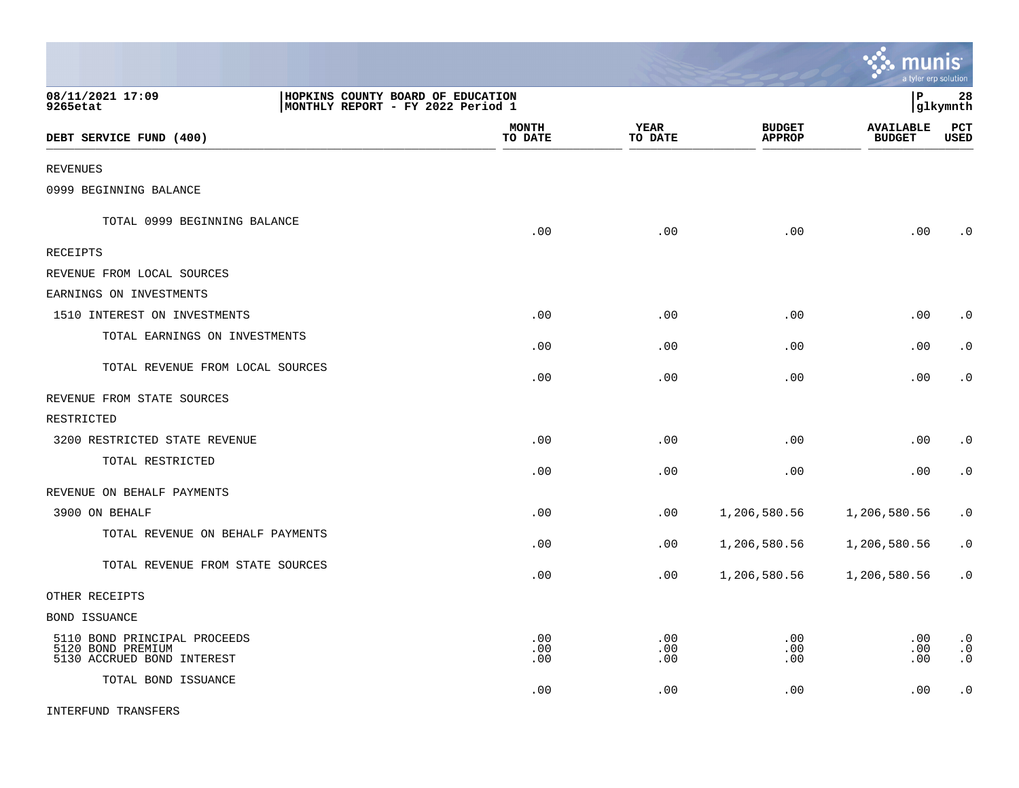|                                                                                 |                                                                        |                        |                                | munis                             | a tyler erp solution                |
|---------------------------------------------------------------------------------|------------------------------------------------------------------------|------------------------|--------------------------------|-----------------------------------|-------------------------------------|
| 08/11/2021 17:09<br>9265etat                                                    | HOPKINS COUNTY BOARD OF EDUCATION<br>MONTHLY REPORT - FY 2022 Period 1 |                        |                                | l P                               | 28<br> glkymnth                     |
| DEBT SERVICE FUND (400)                                                         | <b>MONTH</b><br>TO DATE                                                | <b>YEAR</b><br>TO DATE | <b>BUDGET</b><br><b>APPROP</b> | <b>AVAILABLE</b><br><b>BUDGET</b> | PCT<br><b>USED</b>                  |
| <b>REVENUES</b>                                                                 |                                                                        |                        |                                |                                   |                                     |
| 0999 BEGINNING BALANCE                                                          |                                                                        |                        |                                |                                   |                                     |
| TOTAL 0999 BEGINNING BALANCE                                                    | .00                                                                    | .00                    | .00                            | .00                               | $\cdot$ 0                           |
| <b>RECEIPTS</b>                                                                 |                                                                        |                        |                                |                                   |                                     |
| REVENUE FROM LOCAL SOURCES                                                      |                                                                        |                        |                                |                                   |                                     |
| EARNINGS ON INVESTMENTS                                                         |                                                                        |                        |                                |                                   |                                     |
| 1510 INTEREST ON INVESTMENTS                                                    | .00                                                                    | .00                    | .00                            | .00                               | $\cdot$ 0                           |
| TOTAL EARNINGS ON INVESTMENTS                                                   | .00                                                                    | .00                    | .00                            | .00                               | $\cdot$ 0                           |
| TOTAL REVENUE FROM LOCAL SOURCES                                                | .00                                                                    | .00                    | .00                            | .00                               | $\cdot$ 0                           |
| REVENUE FROM STATE SOURCES                                                      |                                                                        |                        |                                |                                   |                                     |
| RESTRICTED                                                                      |                                                                        |                        |                                |                                   |                                     |
| 3200 RESTRICTED STATE REVENUE                                                   | .00                                                                    | .00                    | .00                            | .00                               | $\cdot$ 0                           |
| TOTAL RESTRICTED                                                                | .00                                                                    | .00                    | .00                            | .00                               | $\cdot$ 0                           |
| REVENUE ON BEHALF PAYMENTS                                                      |                                                                        |                        |                                |                                   |                                     |
| 3900 ON BEHALF                                                                  | .00                                                                    | .00                    | 1,206,580.56                   | 1,206,580.56                      | $\cdot$ 0                           |
| TOTAL REVENUE ON BEHALF PAYMENTS                                                | .00                                                                    | .00                    | 1,206,580.56                   | 1,206,580.56                      | $\cdot$ 0                           |
| TOTAL REVENUE FROM STATE SOURCES                                                | .00                                                                    | .00                    | 1,206,580.56                   | 1,206,580.56                      | $\cdot$ 0                           |
| OTHER RECEIPTS                                                                  |                                                                        |                        |                                |                                   |                                     |
| BOND ISSUANCE                                                                   |                                                                        |                        |                                |                                   |                                     |
| 5110 BOND PRINCIPAL PROCEEDS<br>5120 BOND PREMIUM<br>5130 ACCRUED BOND INTEREST | .00<br>.00<br>.00                                                      | .00<br>.00<br>.00      | .00<br>.00<br>.00              | .00<br>.00<br>.00                 | $\cdot$ 0<br>$\cdot$ 0<br>$\cdot$ 0 |
| TOTAL BOND ISSUANCE                                                             | .00                                                                    | .00                    | .00                            | .00                               | $\cdot$ 0                           |
| <b>INTERFUND TRANSFERS</b>                                                      |                                                                        |                        |                                |                                   |                                     |

**Contract Contract Contract Contract Contract**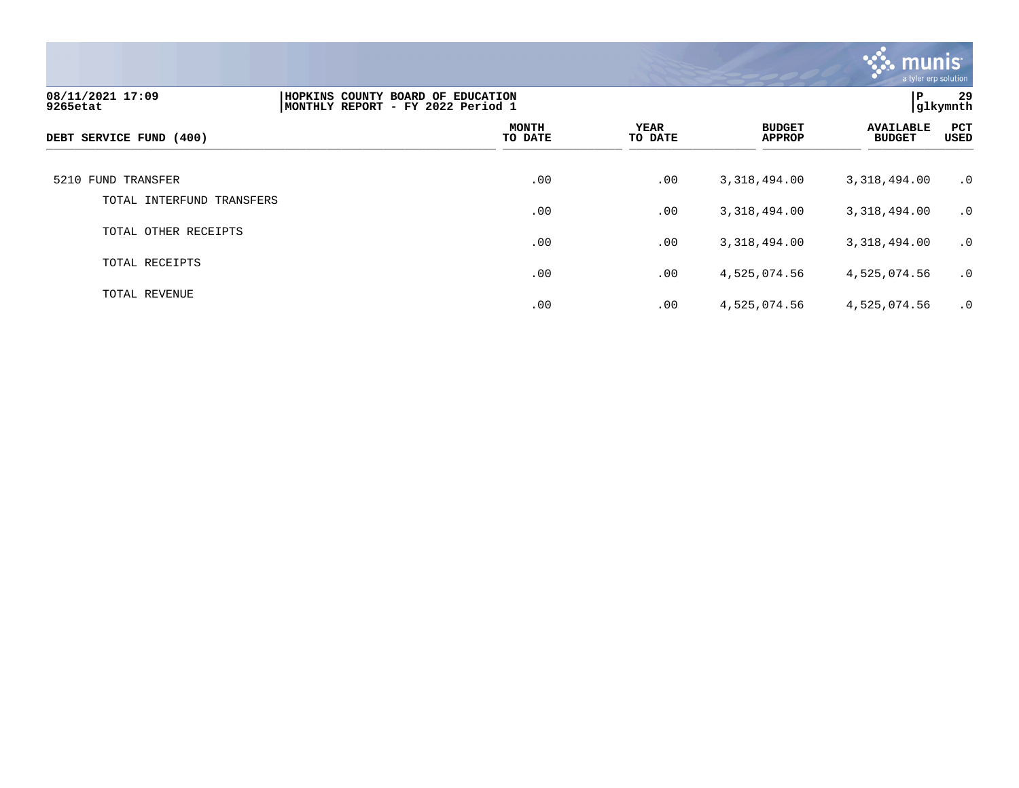

| 08/11/2021 17:09<br>9265etat | HOPKINS COUNTY BOARD OF EDUCATION<br>MONTHLY REPORT - FY 2022 Period 1 |                         |                 |                                | P                                 | 29<br> glkymnth    |
|------------------------------|------------------------------------------------------------------------|-------------------------|-----------------|--------------------------------|-----------------------------------|--------------------|
| DEBT SERVICE FUND (400)      |                                                                        | <b>MONTH</b><br>TO DATE | YEAR<br>TO DATE | <b>BUDGET</b><br><b>APPROP</b> | <b>AVAILABLE</b><br><b>BUDGET</b> | PCT<br><b>USED</b> |
| 5210 FUND TRANSFER           |                                                                        | .00                     | .00             | 3,318,494.00                   | 3,318,494.00                      | $\cdot$ 0          |
| TOTAL INTERFUND TRANSFERS    |                                                                        | .00                     | .00             | 3,318,494.00                   | 3,318,494.00                      | $\cdot$ 0          |
| TOTAL OTHER RECEIPTS         |                                                                        | .00                     | .00             | 3,318,494.00                   | 3,318,494.00                      | $\cdot$ 0          |
| TOTAL RECEIPTS               |                                                                        | .00                     | .00             | 4,525,074.56                   | 4,525,074.56                      | $\cdot$ 0          |
| TOTAL REVENUE                |                                                                        | .00                     | .00             | 4,525,074.56                   | 4,525,074.56                      | $\cdot$ 0          |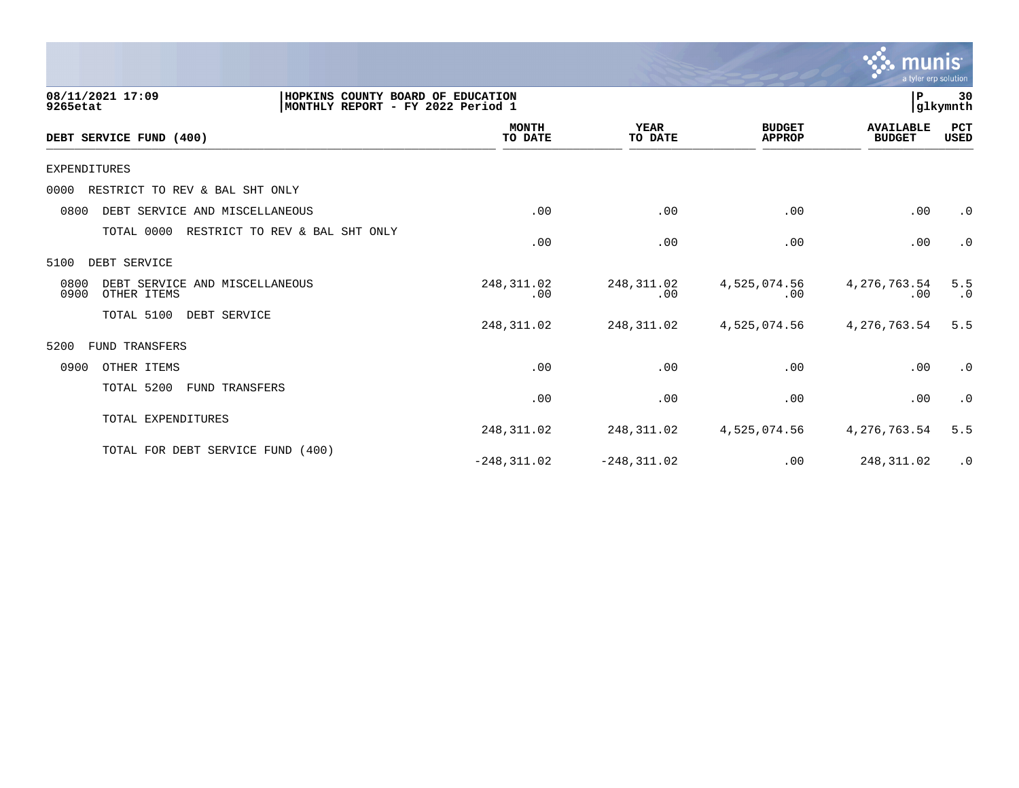

| 08/11/2021 17:09<br>9265etat                                  |                                | 30<br>l P<br>HOPKINS COUNTY BOARD OF EDUCATION<br> glkymnth<br>MONTHLY REPORT - FY 2022 Period 1 |                        |                                |                                   |                    |  |  |
|---------------------------------------------------------------|--------------------------------|--------------------------------------------------------------------------------------------------|------------------------|--------------------------------|-----------------------------------|--------------------|--|--|
| DEBT SERVICE FUND (400)                                       |                                | <b>MONTH</b><br>TO DATE                                                                          | <b>YEAR</b><br>TO DATE | <b>BUDGET</b><br><b>APPROP</b> | <b>AVAILABLE</b><br><b>BUDGET</b> | PCT<br><b>USED</b> |  |  |
| <b>EXPENDITURES</b>                                           |                                |                                                                                                  |                        |                                |                                   |                    |  |  |
| 0000<br>RESTRICT TO REV & BAL SHT ONLY                        |                                |                                                                                                  |                        |                                |                                   |                    |  |  |
| 0800<br>DEBT SERVICE AND MISCELLANEOUS                        |                                | .00                                                                                              | .00                    | .00                            | .00                               | $\cdot$ 0          |  |  |
| TOTAL 0000                                                    | RESTRICT TO REV & BAL SHT ONLY | .00                                                                                              | .00                    | .00                            | .00                               | $\cdot$ 0          |  |  |
| 5100<br>DEBT SERVICE                                          |                                |                                                                                                  |                        |                                |                                   |                    |  |  |
| 0800<br>DEBT SERVICE AND MISCELLANEOUS<br>0900<br>OTHER ITEMS |                                | 248,311.02<br>.00                                                                                | 248,311.02<br>.00      | 4,525,074.56<br>$.00 \,$       | 4,276,763.54<br>.00               | 5.5<br>.0          |  |  |
| TOTAL 5100                                                    | DEBT SERVICE                   | 248,311.02                                                                                       | 248,311.02             | 4,525,074.56                   | 4,276,763.54                      | 5.5                |  |  |
| 5200<br>TRANSFERS<br>FUND                                     |                                |                                                                                                  |                        |                                |                                   |                    |  |  |
| 0900<br>OTHER ITEMS                                           |                                | .00                                                                                              | .00                    | .00                            | .00                               | .0                 |  |  |
| TOTAL 5200                                                    | FUND TRANSFERS                 | .00                                                                                              | .00                    | .00                            | .00                               | $\cdot$ 0          |  |  |
| TOTAL EXPENDITURES                                            |                                | 248,311.02                                                                                       | 248,311.02             | 4,525,074.56                   | 4,276,763.54                      | 5.5                |  |  |
| TOTAL FOR DEBT SERVICE FUND (400)                             |                                | $-248, 311.02$                                                                                   | $-248, 311.02$         | .00                            | 248,311.02                        | $\cdot$ 0          |  |  |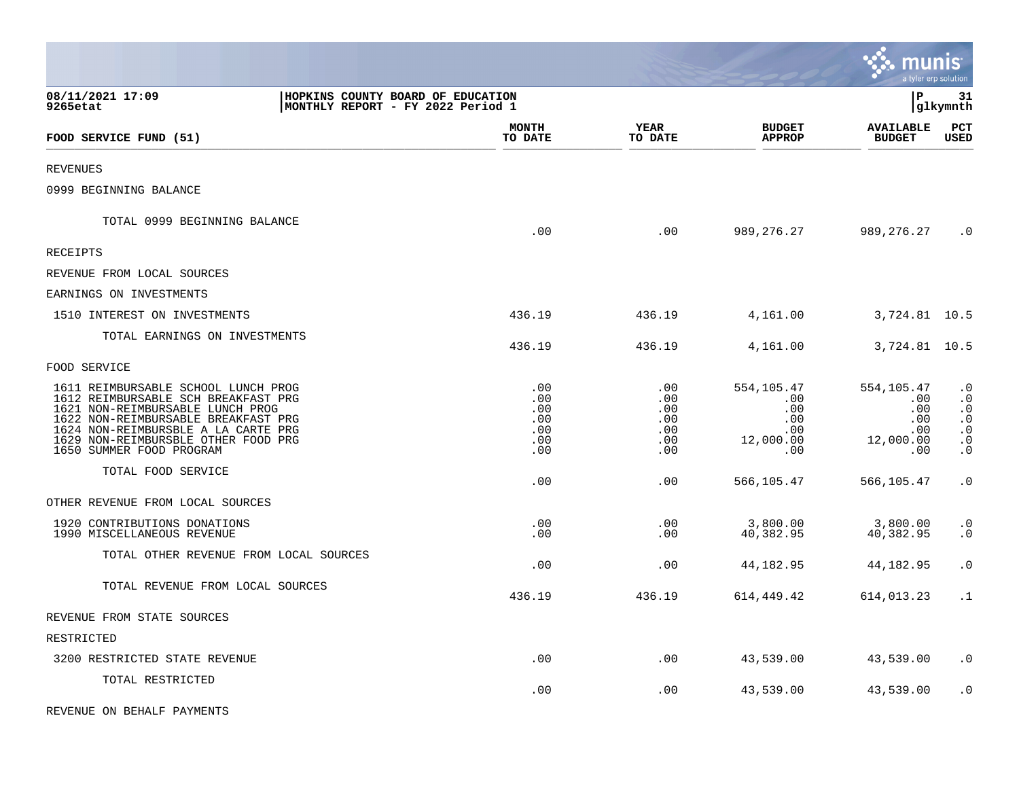|                                                                                                                                                                                                                                                                 |                                                                        |                                               |                                                                              | munis                                                      | a tyler erp solution                                                                    |
|-----------------------------------------------------------------------------------------------------------------------------------------------------------------------------------------------------------------------------------------------------------------|------------------------------------------------------------------------|-----------------------------------------------|------------------------------------------------------------------------------|------------------------------------------------------------|-----------------------------------------------------------------------------------------|
| 08/11/2021 17:09<br>9265etat                                                                                                                                                                                                                                    | HOPKINS COUNTY BOARD OF EDUCATION<br>MONTHLY REPORT - FY 2022 Period 1 |                                               |                                                                              | P.                                                         | 31<br> glkymnth                                                                         |
| FOOD SERVICE FUND (51)                                                                                                                                                                                                                                          | <b>MONTH</b><br>TO DATE                                                | <b>YEAR</b><br>TO DATE                        | <b>BUDGET</b><br><b>APPROP</b>                                               | <b>AVAILABLE</b><br><b>BUDGET</b>                          | PCT<br><b>USED</b>                                                                      |
| <b>REVENUES</b>                                                                                                                                                                                                                                                 |                                                                        |                                               |                                                                              |                                                            |                                                                                         |
| 0999 BEGINNING BALANCE                                                                                                                                                                                                                                          |                                                                        |                                               |                                                                              |                                                            |                                                                                         |
| TOTAL 0999 BEGINNING BALANCE                                                                                                                                                                                                                                    | .00                                                                    | .00                                           | 989,276.27                                                                   | 989,276.27                                                 | $\cdot$ 0                                                                               |
| <b>RECEIPTS</b>                                                                                                                                                                                                                                                 |                                                                        |                                               |                                                                              |                                                            |                                                                                         |
| REVENUE FROM LOCAL SOURCES                                                                                                                                                                                                                                      |                                                                        |                                               |                                                                              |                                                            |                                                                                         |
| EARNINGS ON INVESTMENTS                                                                                                                                                                                                                                         |                                                                        |                                               |                                                                              |                                                            |                                                                                         |
| 1510 INTEREST ON INVESTMENTS                                                                                                                                                                                                                                    | 436.19                                                                 | 436.19                                        | 4,161.00                                                                     | 3,724.81 10.5                                              |                                                                                         |
| TOTAL EARNINGS ON INVESTMENTS                                                                                                                                                                                                                                   | 436.19                                                                 | 436.19                                        | 4,161.00                                                                     | 3,724.81 10.5                                              |                                                                                         |
| FOOD SERVICE                                                                                                                                                                                                                                                    |                                                                        |                                               |                                                                              |                                                            |                                                                                         |
| 1611 REIMBURSABLE SCHOOL LUNCH PROG<br>1612 REIMBURSABLE SCH BREAKFAST PRG<br>1621 NON-REIMBURSABLE LUNCH PROG<br>1622 NON-REIMBURSABLE BREAKFAST PRG<br>1624 NON-REIMBURSBLE A LA CARTE PRG<br>1629 NON-REIMBURSBLE OTHER FOOD PRG<br>1650 SUMMER FOOD PROGRAM | .00<br>.00<br>.00<br>.00<br>.00<br>.00<br>.00                          | .00<br>.00<br>.00<br>.00<br>.00<br>.00<br>.00 | 554,105.47<br>$.00 \ \rm$<br>.00<br>$.00 \,$<br>$.00 \,$<br>12,000.00<br>.00 | 554,105.47<br>.00<br>.00<br>.00<br>.00<br>12,000.00<br>.00 | $\cdot$ 0<br>$\cdot$ 0<br>$\cdot$ 0<br>$\cdot$ 0<br>$\cdot$ 0<br>$\cdot$ 0<br>$\cdot$ 0 |
| TOTAL FOOD SERVICE                                                                                                                                                                                                                                              | .00                                                                    | .00                                           | 566,105.47                                                                   | 566,105.47                                                 | $\cdot$ 0                                                                               |
| OTHER REVENUE FROM LOCAL SOURCES                                                                                                                                                                                                                                |                                                                        |                                               |                                                                              |                                                            |                                                                                         |
| 1920 CONTRIBUTIONS DONATIONS<br>1990 MISCELLANEOUS REVENUE                                                                                                                                                                                                      | .00<br>.00                                                             | .00<br>.00                                    | 3,800.00<br>40,382.95                                                        | 3,800.00<br>40,382.95                                      | $\cdot$ 0<br>$\cdot$ 0                                                                  |
| TOTAL OTHER REVENUE FROM LOCAL SOURCES                                                                                                                                                                                                                          | .00                                                                    | .00                                           | 44,182.95                                                                    | 44,182.95                                                  | $\cdot$ 0                                                                               |
| TOTAL REVENUE FROM LOCAL SOURCES                                                                                                                                                                                                                                | 436.19                                                                 | 436.19                                        | 614,449.42                                                                   | 614,013.23                                                 | $\cdot$ 1                                                                               |
| REVENUE FROM STATE SOURCES                                                                                                                                                                                                                                      |                                                                        |                                               |                                                                              |                                                            |                                                                                         |
| RESTRICTED                                                                                                                                                                                                                                                      |                                                                        |                                               |                                                                              |                                                            |                                                                                         |
| 3200 RESTRICTED STATE REVENUE                                                                                                                                                                                                                                   | .00                                                                    | .00                                           | 43,539.00                                                                    | 43,539.00                                                  | $\cdot$ 0                                                                               |
| TOTAL RESTRICTED                                                                                                                                                                                                                                                | .00                                                                    | .00                                           | 43,539.00                                                                    | 43,539.00                                                  | $\cdot$ 0                                                                               |
| REVENUE ON BEHALF PAYMENTS                                                                                                                                                                                                                                      |                                                                        |                                               |                                                                              |                                                            |                                                                                         |

 $\bullet$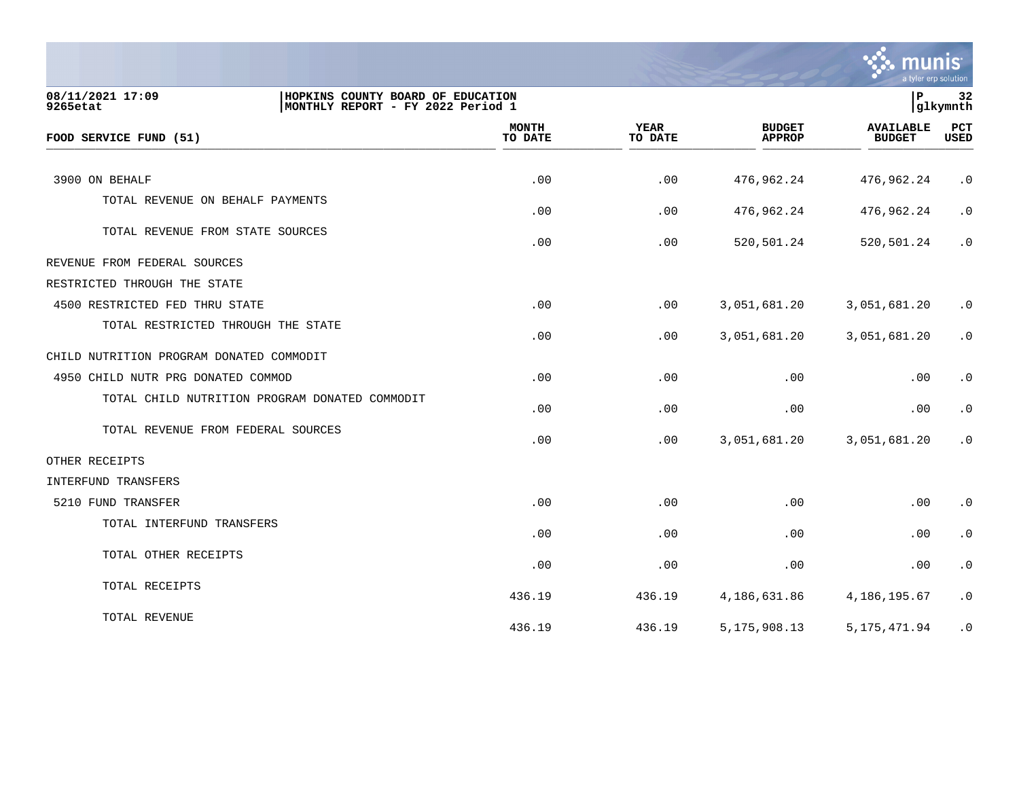

| 08/11/2021 17:09<br>9265etat                   | HOPKINS COUNTY BOARD OF EDUCATION<br>MONTHLY REPORT - FY 2022 Period 1 |                         |                        |                                | l P                               | 32<br>glkymnth     |
|------------------------------------------------|------------------------------------------------------------------------|-------------------------|------------------------|--------------------------------|-----------------------------------|--------------------|
| FOOD SERVICE FUND (51)                         |                                                                        | <b>MONTH</b><br>TO DATE | <b>YEAR</b><br>TO DATE | <b>BUDGET</b><br><b>APPROP</b> | <b>AVAILABLE</b><br><b>BUDGET</b> | PCT<br><b>USED</b> |
| 3900 ON BEHALF                                 |                                                                        | .00                     | .00                    | 476,962.24                     | 476,962.24                        | $\cdot$ 0          |
| TOTAL REVENUE ON BEHALF PAYMENTS               |                                                                        | .00                     | .00                    | 476,962.24                     | 476,962.24                        | $\cdot$ 0          |
| TOTAL REVENUE FROM STATE SOURCES               |                                                                        | .00                     | .00                    | 520,501.24                     | 520,501.24                        | $\cdot$ 0          |
| REVENUE FROM FEDERAL SOURCES                   |                                                                        |                         |                        |                                |                                   |                    |
| RESTRICTED THROUGH THE STATE                   |                                                                        |                         |                        |                                |                                   |                    |
| 4500 RESTRICTED FED THRU STATE                 |                                                                        | .00                     | .00                    | 3,051,681.20                   | 3,051,681.20                      | $\cdot$ 0          |
| TOTAL RESTRICTED THROUGH THE STATE             |                                                                        | .00                     | .00                    | 3,051,681.20                   | 3,051,681.20                      | $\cdot$ 0          |
| CHILD NUTRITION PROGRAM DONATED COMMODIT       |                                                                        |                         |                        |                                |                                   |                    |
| 4950 CHILD NUTR PRG DONATED COMMOD             |                                                                        | .00                     | .00                    | .00                            | .00                               | $\cdot$ 0          |
| TOTAL CHILD NUTRITION PROGRAM DONATED COMMODIT |                                                                        | .00                     | .00                    | .00                            | .00                               | $\cdot$ 0          |
| TOTAL REVENUE FROM FEDERAL SOURCES             |                                                                        | .00                     | .00                    | 3,051,681.20                   | 3,051,681.20                      | $\cdot$ 0          |
| OTHER RECEIPTS                                 |                                                                        |                         |                        |                                |                                   |                    |
| INTERFUND TRANSFERS                            |                                                                        |                         |                        |                                |                                   |                    |
| 5210 FUND TRANSFER                             |                                                                        | .00                     | .00                    | .00                            | .00                               | $\cdot$ 0          |
| TOTAL INTERFUND TRANSFERS                      |                                                                        | .00                     | .00                    | .00                            | .00                               | $\cdot$ 0          |
| TOTAL OTHER RECEIPTS                           |                                                                        | .00                     | .00                    | .00                            | .00                               | $\cdot$ 0          |
| TOTAL RECEIPTS                                 |                                                                        | 436.19                  | 436.19                 | 4,186,631.86                   | 4,186,195.67                      | $\cdot$ 0          |
| TOTAL REVENUE                                  |                                                                        | 436.19                  | 436.19                 | 5, 175, 908. 13                | 5, 175, 471.94                    | $\cdot$ 0          |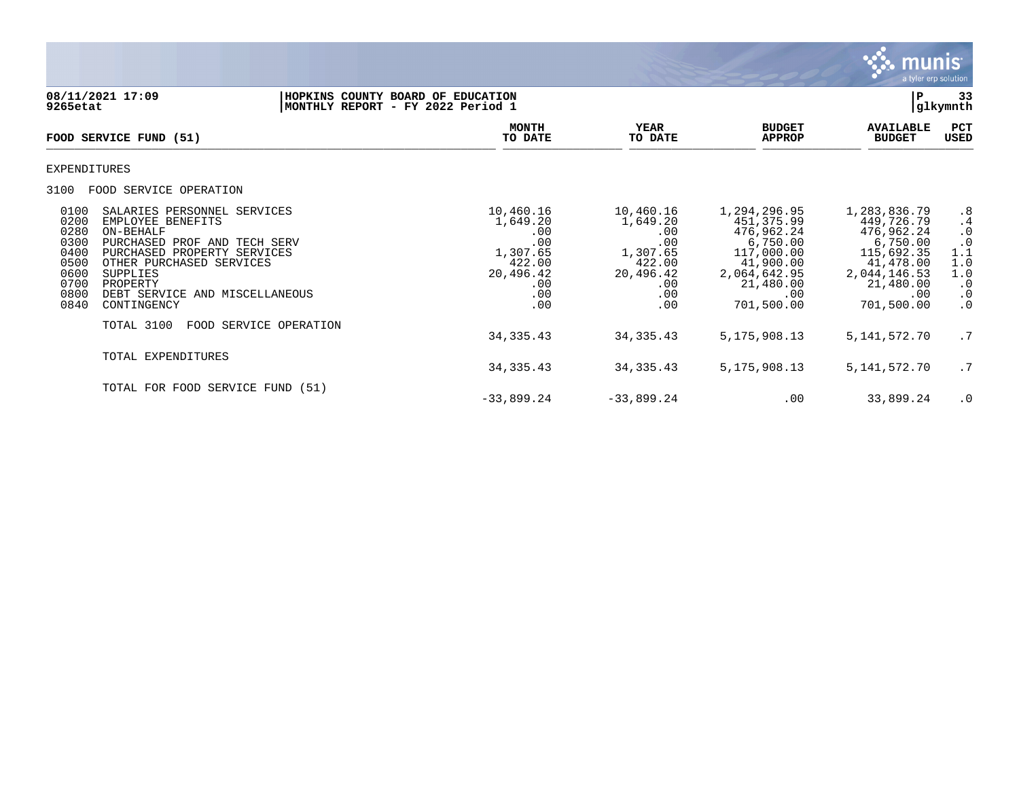

## **08/11/2021 17:09 |HOPKINS COUNTY BOARD OF EDUCATION |P 33 9265etat |MONTHLY REPORT - FY 2022 Period 1 |glkymnth**

| FOOD SERVICE FUND (51)                                                                                                                                                                                                                                                                                                   | <b>MONTH</b><br>TO DATE                                                                     | YEAR<br>TO DATE                                                                             | <b>BUDGET</b><br><b>APPROP</b>                                                                                                     | <b>AVAILABLE</b><br><b>BUDGET</b>                                                                                                 | PCT<br><b>USED</b>                                                                |
|--------------------------------------------------------------------------------------------------------------------------------------------------------------------------------------------------------------------------------------------------------------------------------------------------------------------------|---------------------------------------------------------------------------------------------|---------------------------------------------------------------------------------------------|------------------------------------------------------------------------------------------------------------------------------------|-----------------------------------------------------------------------------------------------------------------------------------|-----------------------------------------------------------------------------------|
| EXPENDITURES                                                                                                                                                                                                                                                                                                             |                                                                                             |                                                                                             |                                                                                                                                    |                                                                                                                                   |                                                                                   |
| 3100<br>FOOD SERVICE OPERATION                                                                                                                                                                                                                                                                                           |                                                                                             |                                                                                             |                                                                                                                                    |                                                                                                                                   |                                                                                   |
| 0100<br>SALARIES PERSONNEL SERVICES<br>0200<br>EMPLOYEE BENEFITS<br>0280<br>ON-BEHALF<br>0300<br>PURCHASED PROF AND TECH SERV<br>0400<br>PURCHASED PROPERTY SERVICES<br>0500<br>OTHER PURCHASED SERVICES<br>0600<br><b>SUPPLIES</b><br>0700<br>PROPERTY<br>0800<br>DEBT SERVICE AND MISCELLANEOUS<br>0840<br>CONTINGENCY | 10,460.16<br>1,649.20<br>.00<br>.00<br>1,307.65<br>422.00<br>20,496.42<br>.00<br>.00<br>.00 | 10,460.16<br>1,649.20<br>.00<br>.00<br>1,307.65<br>422.00<br>20,496.42<br>.00<br>.00<br>.00 | 1,294,296.95<br>451, 375.99<br>476,962.24<br>6,750.00<br>117,000.00<br>41,900.00<br>2,064,642.95<br>21,480.00<br>.00<br>701,500.00 | 1,283,836.79<br>449,726.79<br>476,962.24<br>6,750.00<br>115,692.35<br>41,478.00<br>2,044,146.53<br>21,480.00<br>.00<br>701,500.00 | .8<br>.4<br>$\cdot$ 0<br>1:1<br>1.0<br>1.0<br>$\cdot$ 0<br>$\cdot$ 0<br>$\cdot$ 0 |
| TOTAL 3100<br>FOOD SERVICE OPERATION                                                                                                                                                                                                                                                                                     | 34, 335. 43                                                                                 | 34, 335. 43                                                                                 | 5, 175, 908. 13                                                                                                                    | 5, 141, 572. 70                                                                                                                   | .7                                                                                |
| TOTAL EXPENDITURES                                                                                                                                                                                                                                                                                                       | 34, 335. 43                                                                                 | 34, 335. 43                                                                                 | 5, 175, 908. 13                                                                                                                    | 5, 141, 572. 70                                                                                                                   | .7                                                                                |
| TOTAL FOR FOOD SERVICE FUND (51)                                                                                                                                                                                                                                                                                         | $-33,899.24$                                                                                | $-33,899.24$                                                                                | .00                                                                                                                                | 33,899.24                                                                                                                         | $\cdot$ 0                                                                         |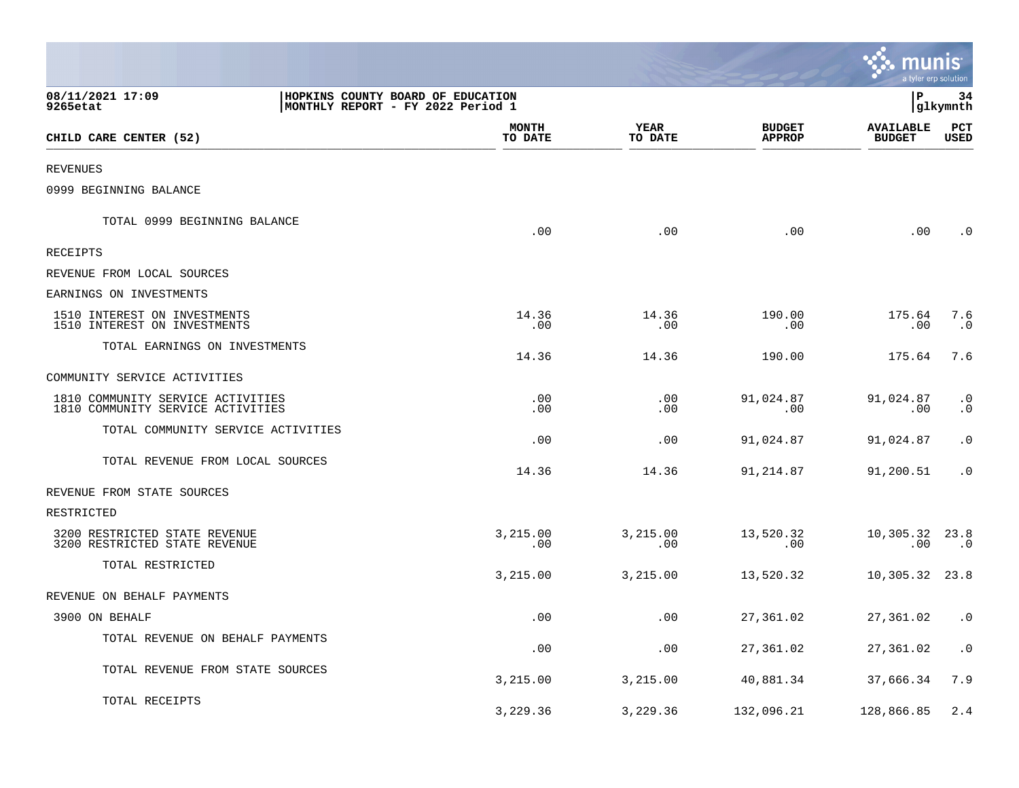|                                                                        |                                                                        |                      |                                | munis <sup>.</sup>                | a tyler erp solution   |
|------------------------------------------------------------------------|------------------------------------------------------------------------|----------------------|--------------------------------|-----------------------------------|------------------------|
| 08/11/2021 17:09<br>9265etat                                           | HOPKINS COUNTY BOARD OF EDUCATION<br>MONTHLY REPORT - FY 2022 Period 1 |                      |                                | ΙP                                | 34<br>glkymnth         |
| CHILD CARE CENTER (52)                                                 | <b>MONTH</b><br>TO DATE                                                | YEAR<br>TO DATE      | <b>BUDGET</b><br><b>APPROP</b> | <b>AVAILABLE</b><br><b>BUDGET</b> | PCT<br><b>USED</b>     |
| <b>REVENUES</b>                                                        |                                                                        |                      |                                |                                   |                        |
| 0999 BEGINNING BALANCE                                                 |                                                                        |                      |                                |                                   |                        |
| TOTAL 0999 BEGINNING BALANCE                                           | .00                                                                    | .00                  | .00                            | .00                               | $\cdot$ 0              |
| RECEIPTS                                                               |                                                                        |                      |                                |                                   |                        |
| REVENUE FROM LOCAL SOURCES                                             |                                                                        |                      |                                |                                   |                        |
| EARNINGS ON INVESTMENTS                                                |                                                                        |                      |                                |                                   |                        |
| 1510 INTEREST ON INVESTMENTS<br>1510 INTEREST ON INVESTMENTS           | 14.36<br>.00                                                           | 14.36<br>.00         | 190.00<br>.00                  | 175.64<br>.00                     | 7.6<br>$\cdot$ 0       |
| TOTAL EARNINGS ON INVESTMENTS                                          | 14.36                                                                  | 14.36                | 190.00                         | 175.64                            | 7.6                    |
| COMMUNITY SERVICE ACTIVITIES                                           |                                                                        |                      |                                |                                   |                        |
| 1810 COMMUNITY SERVICE ACTIVITIES<br>1810 COMMUNITY SERVICE ACTIVITIES | .00<br>.00                                                             | .00<br>.00           | 91,024.87<br>.00               | 91,024.87<br>$.00 \,$             | $\cdot$ 0<br>$\cdot$ 0 |
| TOTAL COMMUNITY SERVICE ACTIVITIES                                     | .00                                                                    | .00                  | 91,024.87                      | 91,024.87                         | $\cdot$ 0              |
| TOTAL REVENUE FROM LOCAL SOURCES                                       | 14.36                                                                  | 14.36                | 91,214.87                      | 91,200.51                         | $\cdot$ 0              |
| REVENUE FROM STATE SOURCES                                             |                                                                        |                      |                                |                                   |                        |
| RESTRICTED                                                             |                                                                        |                      |                                |                                   |                        |
| 3200 RESTRICTED STATE REVENUE<br>3200 RESTRICTED STATE REVENUE         | 3,215.00<br>$.00 \,$                                                   | 3,215.00<br>$.00 \,$ | 13,520.32<br>$.00 \,$          | 10,305.32 23.8<br>.00             | $\cdot$ 0              |
| TOTAL RESTRICTED                                                       | 3,215.00                                                               | 3,215.00             | 13,520.32                      | 10,305.32 23.8                    |                        |
| REVENUE ON BEHALF PAYMENTS                                             |                                                                        |                      |                                |                                   |                        |
| 3900 ON BEHALF                                                         | .00                                                                    | .00                  | 27,361.02                      | 27,361.02 .0                      |                        |
| TOTAL REVENUE ON BEHALF PAYMENTS                                       | .00                                                                    | .00                  | 27,361.02                      | 27,361.02                         | $\boldsymbol{\cdot}$ 0 |
| TOTAL REVENUE FROM STATE SOURCES                                       | 3,215.00                                                               | 3,215.00             | 40,881.34                      | 37,666.34                         | 7.9                    |
| TOTAL RECEIPTS                                                         | 3,229.36                                                               | 3,229.36             | 132,096.21                     | 128,866.85 2.4                    |                        |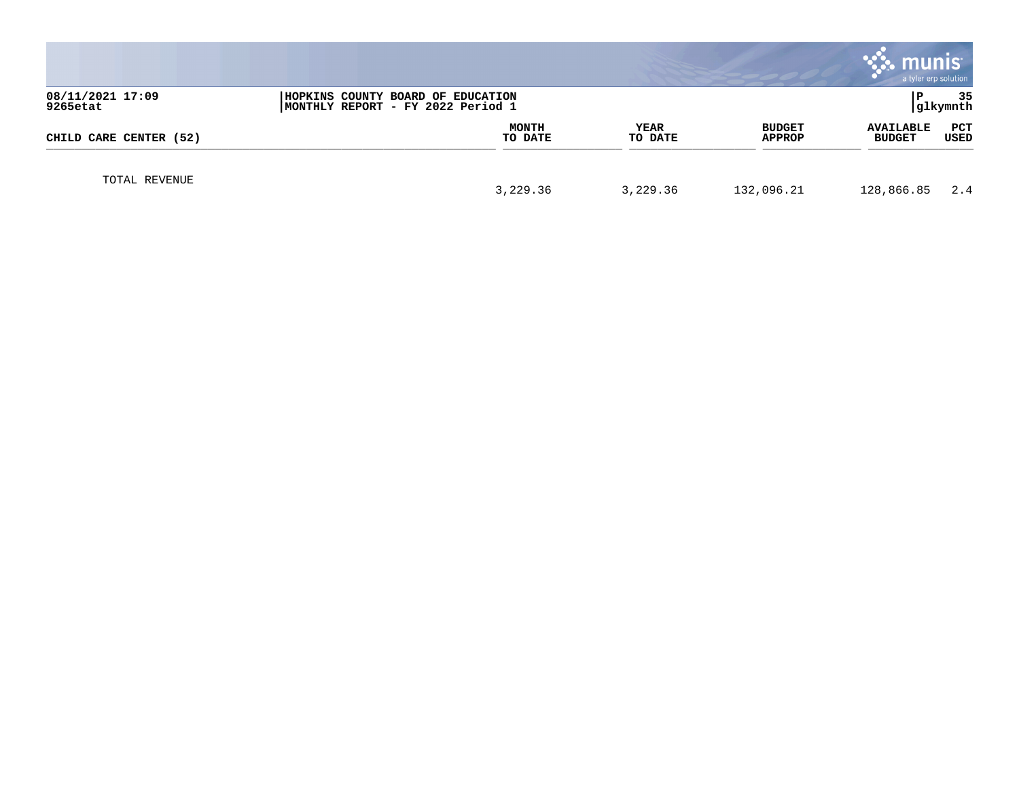|                              |                                                                        |                 |                         | <b>munis</b>                      | a tyler erp solution |
|------------------------------|------------------------------------------------------------------------|-----------------|-------------------------|-----------------------------------|----------------------|
| 08/11/2021 17:09<br>9265etat | HOPKINS COUNTY BOARD OF EDUCATION<br>MONTHLY REPORT - FY 2022 Period 1 |                 |                         | l P                               | 35<br>glkymnth       |
| CHILD CARE CENTER (52)       | <b>MONTH</b><br>TO DATE                                                | YEAR<br>TO DATE | <b>BUDGET</b><br>APPROP | <b>AVAILABLE</b><br><b>BUDGET</b> | PCT<br>USED          |
| TOTAL REVENUE                | 3,229.36                                                               | 3,229.36        | 132,096.21              | 128,866.85                        | 2.4                  |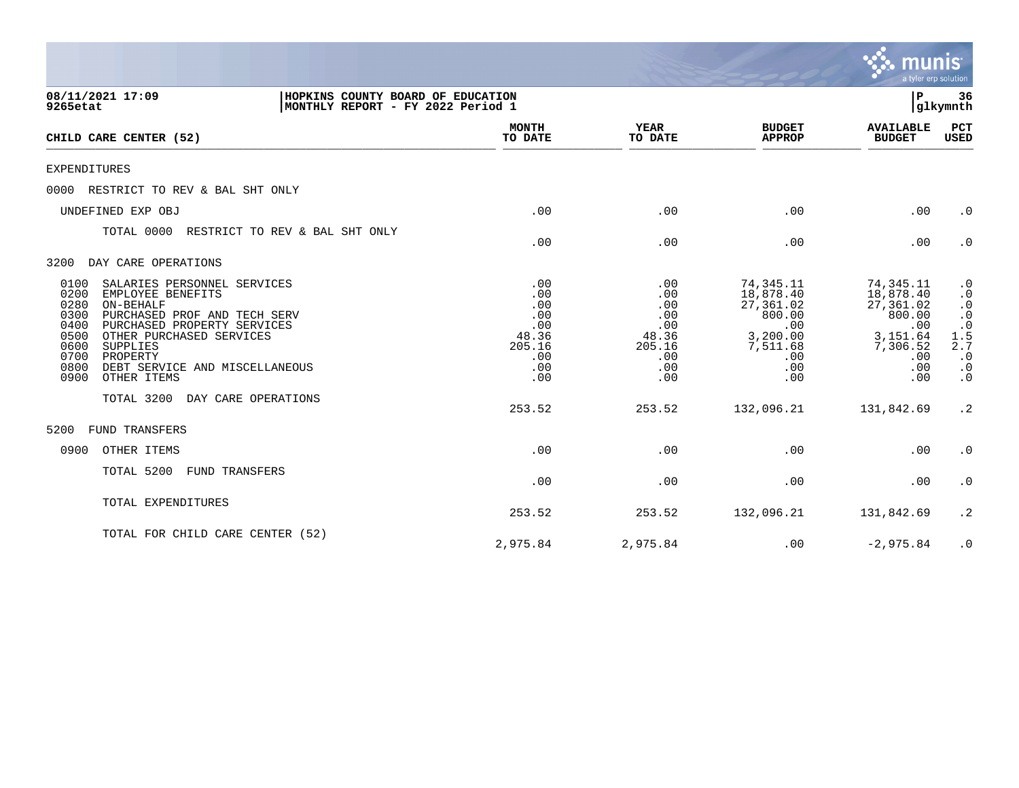|                                                                                                                                                                                                                                                                                                                   |                                                                         |                                                                         |                                                                                                        | <b>munis</b><br>a tyler erp solution                                                              |                                                                                                                                         |
|-------------------------------------------------------------------------------------------------------------------------------------------------------------------------------------------------------------------------------------------------------------------------------------------------------------------|-------------------------------------------------------------------------|-------------------------------------------------------------------------|--------------------------------------------------------------------------------------------------------|---------------------------------------------------------------------------------------------------|-----------------------------------------------------------------------------------------------------------------------------------------|
| 08/11/2021 17:09<br>HOPKINS COUNTY BOARD OF EDUCATION<br>9265etat<br>MONTHLY REPORT - FY 2022 Period 1                                                                                                                                                                                                            |                                                                         |                                                                         |                                                                                                        | Р                                                                                                 | 36<br>glkymnth                                                                                                                          |
| CHILD CARE CENTER (52)                                                                                                                                                                                                                                                                                            | <b>MONTH</b><br>TO DATE                                                 | <b>YEAR</b><br>TO DATE                                                  | <b>BUDGET</b><br><b>APPROP</b>                                                                         | <b>AVAILABLE</b><br><b>BUDGET</b>                                                                 | <b>PCT</b><br>USED                                                                                                                      |
| <b>EXPENDITURES</b>                                                                                                                                                                                                                                                                                               |                                                                         |                                                                         |                                                                                                        |                                                                                                   |                                                                                                                                         |
| RESTRICT TO REV & BAL SHT ONLY<br>0000                                                                                                                                                                                                                                                                            |                                                                         |                                                                         |                                                                                                        |                                                                                                   |                                                                                                                                         |
| UNDEFINED EXP OBJ                                                                                                                                                                                                                                                                                                 | .00                                                                     | .00                                                                     | .00                                                                                                    | .00                                                                                               | $\cdot$ 0                                                                                                                               |
| TOTAL 0000<br>RESTRICT TO REV & BAL SHT ONLY                                                                                                                                                                                                                                                                      | .00                                                                     | .00                                                                     | .00                                                                                                    | .00                                                                                               | $\cdot$ 0                                                                                                                               |
| 3200<br>DAY CARE OPERATIONS                                                                                                                                                                                                                                                                                       |                                                                         |                                                                         |                                                                                                        |                                                                                                   |                                                                                                                                         |
| 0100<br>SALARIES PERSONNEL SERVICES<br>0200<br>EMPLOYEE BENEFITS<br>0280<br>ON-BEHALF<br>0300<br>PURCHASED PROF AND TECH SERV<br>0400<br>PURCHASED PROPERTY SERVICES<br>0500<br>OTHER PURCHASED SERVICES<br>0600<br>SUPPLIES<br>0700<br>PROPERTY<br>0800<br>DEBT SERVICE AND MISCELLANEOUS<br>0900<br>OTHER ITEMS | .00<br>.00<br>.00<br>.00<br>.00<br>48.36<br>205.16<br>.00<br>.00<br>.00 | .00<br>.00<br>.00<br>.00<br>.00<br>48.36<br>205.16<br>.00<br>.00<br>.00 | 74,345.11<br>18,878.40<br>27,361.02<br>800.00<br>.00<br>3,200.00<br>7,511.68<br>.00<br>$.00 \,$<br>.00 | 74,345.11<br>18,878.40<br>27,361.02<br>800.00<br>.00<br>3,151.64<br>7,306.52<br>.00<br>.00<br>.00 | $\cdot$ 0<br>$\begin{array}{c} .0 \\ .0 \\ .0 \\ .0 \\ .5 \\ .5 \end{array}$<br>2.7<br>$\cdot$ 0<br>$\cdot$ 0<br>$\boldsymbol{\cdot}$ 0 |
| TOTAL 3200<br>DAY CARE OPERATIONS                                                                                                                                                                                                                                                                                 | 253.52                                                                  | 253.52                                                                  | 132,096.21                                                                                             | 131,842.69                                                                                        | $\cdot$ 2                                                                                                                               |
| 5200<br>FUND TRANSFERS                                                                                                                                                                                                                                                                                            |                                                                         |                                                                         |                                                                                                        |                                                                                                   |                                                                                                                                         |
| 0900<br>OTHER ITEMS                                                                                                                                                                                                                                                                                               | .00                                                                     | .00                                                                     | .00                                                                                                    | .00                                                                                               | $\cdot$ 0                                                                                                                               |
| TOTAL 5200<br>FUND TRANSFERS                                                                                                                                                                                                                                                                                      | .00                                                                     | .00                                                                     | .00                                                                                                    | .00                                                                                               | $\cdot$ 0                                                                                                                               |
| TOTAL EXPENDITURES                                                                                                                                                                                                                                                                                                | 253.52                                                                  | 253.52                                                                  | 132,096.21                                                                                             | 131,842.69                                                                                        | $\cdot$ 2                                                                                                                               |
| TOTAL FOR CHILD CARE CENTER (52)                                                                                                                                                                                                                                                                                  | 2,975.84                                                                | 2,975.84                                                                | .00                                                                                                    | $-2,975.84$                                                                                       | $\cdot$ 0                                                                                                                               |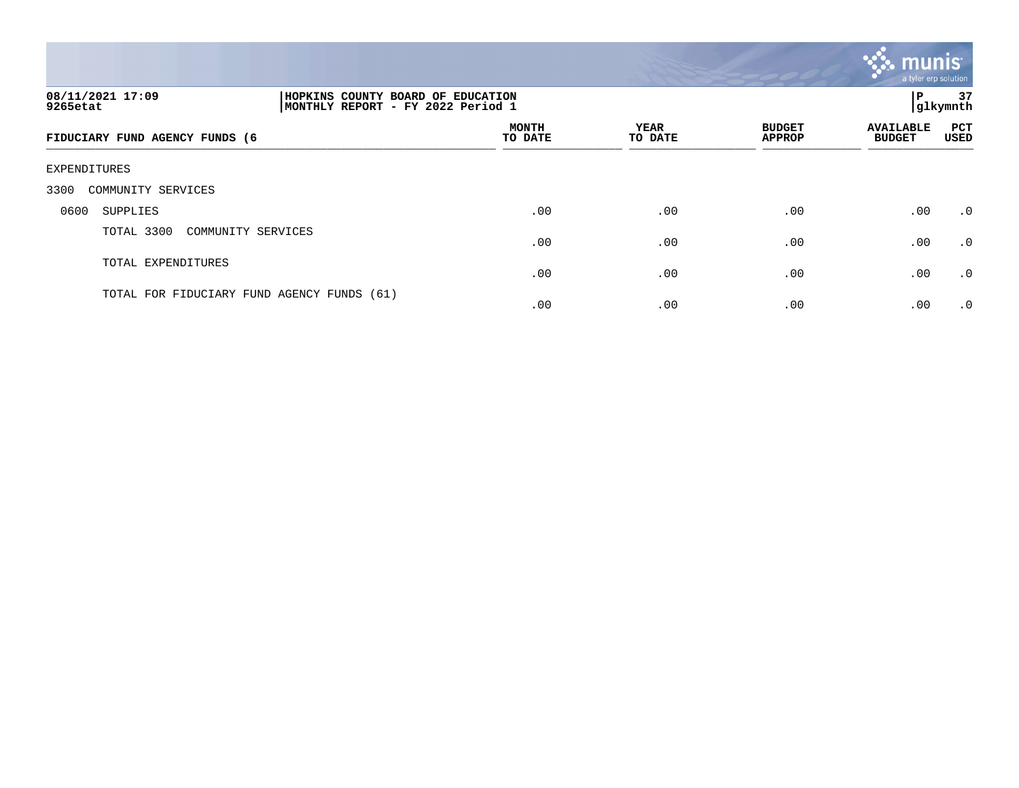

| 08/11/2021 17:09<br>9265etat   |                                            | HOPKINS COUNTY BOARD OF EDUCATION<br>Р<br>glkymnth<br>MONTHLY REPORT - FY 2022 Period 1 |                 |                                |                                   |                    |  |
|--------------------------------|--------------------------------------------|-----------------------------------------------------------------------------------------|-----------------|--------------------------------|-----------------------------------|--------------------|--|
| FIDUCIARY FUND AGENCY FUNDS (6 |                                            | <b>MONTH</b><br>TO DATE                                                                 | YEAR<br>TO DATE | <b>BUDGET</b><br><b>APPROP</b> | <b>AVAILABLE</b><br><b>BUDGET</b> | <b>PCT</b><br>USED |  |
| EXPENDITURES                   |                                            |                                                                                         |                 |                                |                                   |                    |  |
| 3300<br>COMMUNITY SERVICES     |                                            |                                                                                         |                 |                                |                                   |                    |  |
| 0600<br>SUPPLIES               |                                            | .00                                                                                     | .00             | .00                            | .00                               | $\cdot$ 0          |  |
| TOTAL 3300                     | COMMUNITY SERVICES                         | .00                                                                                     | .00             | .00                            | .00                               | $\cdot$ 0          |  |
| TOTAL EXPENDITURES             |                                            | .00                                                                                     | .00             | .00                            | .00                               | $\cdot$ 0          |  |
|                                | TOTAL FOR FIDUCIARY FUND AGENCY FUNDS (61) | .00                                                                                     | .00             | .00                            | .00                               | $\cdot$ 0          |  |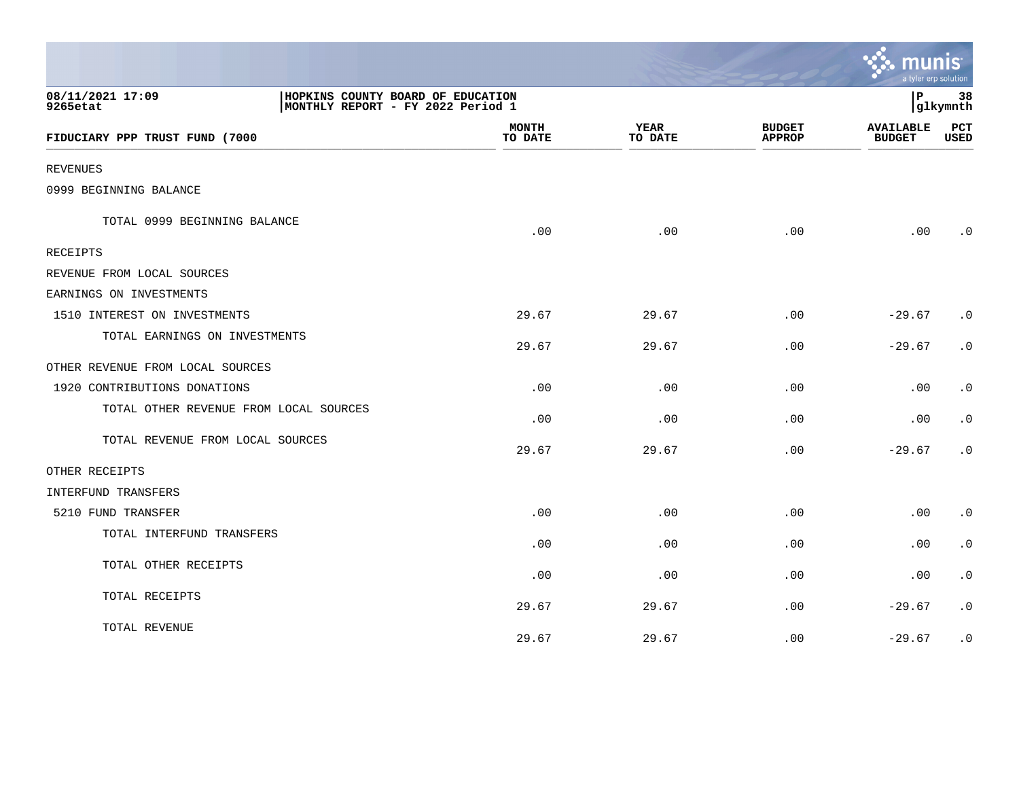|                                        |                                                                        |                         |                        |                                | $\mathbf{\mathcal{C}}$ . munis<br>a tyler erp solution |                    |
|----------------------------------------|------------------------------------------------------------------------|-------------------------|------------------------|--------------------------------|--------------------------------------------------------|--------------------|
| 08/11/2021 17:09<br>9265etat           | HOPKINS COUNTY BOARD OF EDUCATION<br>MONTHLY REPORT - FY 2022 Period 1 |                         |                        |                                | l P                                                    | 38<br>glkymnth     |
| FIDUCIARY PPP TRUST FUND (7000         |                                                                        | <b>MONTH</b><br>TO DATE | <b>YEAR</b><br>TO DATE | <b>BUDGET</b><br><b>APPROP</b> | <b>AVAILABLE</b><br><b>BUDGET</b>                      | PCT<br><b>USED</b> |
| <b>REVENUES</b>                        |                                                                        |                         |                        |                                |                                                        |                    |
| 0999 BEGINNING BALANCE                 |                                                                        |                         |                        |                                |                                                        |                    |
| TOTAL 0999 BEGINNING BALANCE           |                                                                        | .00                     | .00                    | .00                            | .00                                                    | $\cdot$ 0          |
| <b>RECEIPTS</b>                        |                                                                        |                         |                        |                                |                                                        |                    |
| REVENUE FROM LOCAL SOURCES             |                                                                        |                         |                        |                                |                                                        |                    |
| EARNINGS ON INVESTMENTS                |                                                                        |                         |                        |                                |                                                        |                    |
| 1510 INTEREST ON INVESTMENTS           |                                                                        | 29.67                   | 29.67                  | .00                            | $-29.67$                                               | $\cdot$ 0          |
| TOTAL EARNINGS ON INVESTMENTS          |                                                                        | 29.67                   | 29.67                  | .00                            | $-29.67$                                               | $\cdot$ 0          |
| OTHER REVENUE FROM LOCAL SOURCES       |                                                                        |                         |                        |                                |                                                        |                    |
| 1920 CONTRIBUTIONS DONATIONS           |                                                                        | .00                     | .00                    | .00                            | .00                                                    | $\cdot$ 0          |
| TOTAL OTHER REVENUE FROM LOCAL SOURCES |                                                                        | .00                     | .00                    | .00                            | .00                                                    | $\cdot$ 0          |
| TOTAL REVENUE FROM LOCAL SOURCES       |                                                                        | 29.67                   | 29.67                  | .00                            | $-29.67$                                               | $\cdot$ 0          |
| OTHER RECEIPTS                         |                                                                        |                         |                        |                                |                                                        |                    |
| INTERFUND TRANSFERS                    |                                                                        |                         |                        |                                |                                                        |                    |
| 5210 FUND TRANSFER                     |                                                                        | .00                     | .00                    | .00                            | .00                                                    | $\cdot$ 0          |
| TOTAL INTERFUND TRANSFERS              |                                                                        | .00                     | .00                    | .00                            | .00                                                    | $\cdot$ 0          |
| TOTAL OTHER RECEIPTS                   |                                                                        | .00                     | .00                    | .00                            | .00                                                    | $\cdot$ 0          |
| TOTAL RECEIPTS                         |                                                                        | 29.67                   | 29.67                  | .00                            | $-29.67$                                               | $\cdot$ 0          |
| TOTAL REVENUE                          |                                                                        | 29.67                   | 29.67                  | .00                            | $-29.67$                                               | $\cdot$ 0          |

the contract of the contract of the contract of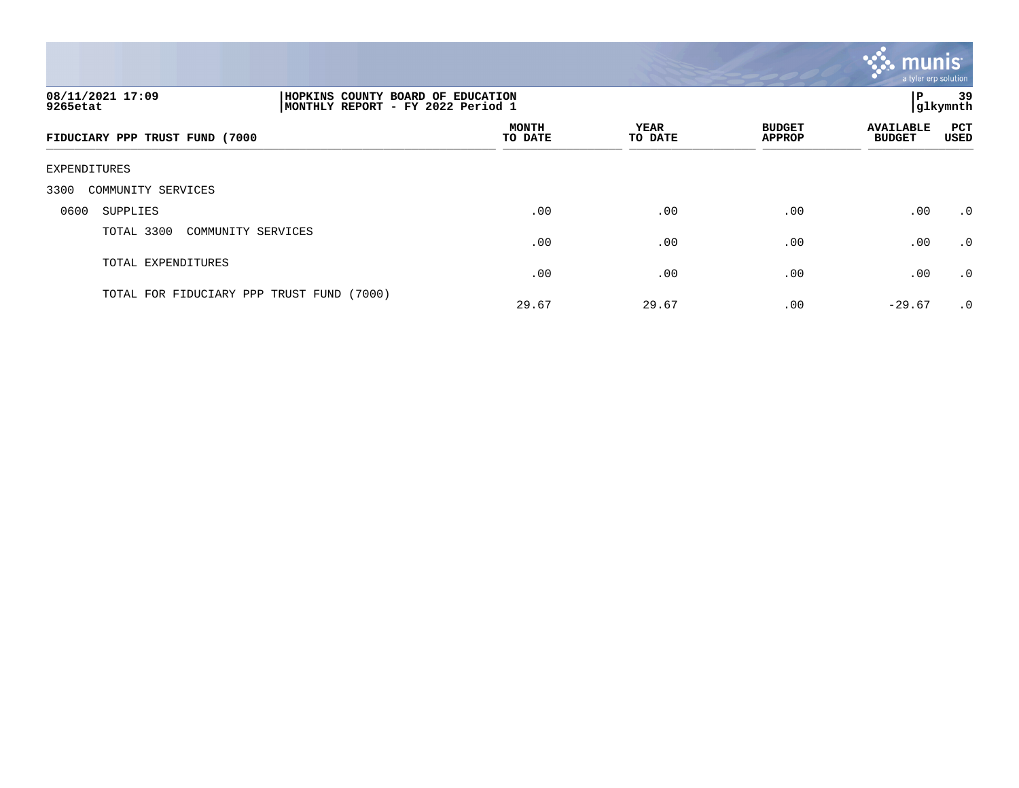

| 08/11/2021 17:09<br>9265etat              |                    | HOPKINS COUNTY BOARD OF EDUCATION<br>Р<br>glkymnth <br> MONTHLY REPORT - FY 2022 Period 1 |                        |                                |                                   |                    |  |
|-------------------------------------------|--------------------|-------------------------------------------------------------------------------------------|------------------------|--------------------------------|-----------------------------------|--------------------|--|
| FIDUCIARY PPP TRUST FUND (7000            |                    | <b>MONTH</b><br>TO DATE                                                                   | <b>YEAR</b><br>TO DATE | <b>BUDGET</b><br><b>APPROP</b> | <b>AVAILABLE</b><br><b>BUDGET</b> | <b>PCT</b><br>USED |  |
| EXPENDITURES                              |                    |                                                                                           |                        |                                |                                   |                    |  |
| 3300<br>COMMUNITY SERVICES                |                    |                                                                                           |                        |                                |                                   |                    |  |
| 0600<br>SUPPLIES                          |                    | .00                                                                                       | .00                    | .00                            | .00                               | .0                 |  |
| TOTAL 3300                                | COMMUNITY SERVICES | .00                                                                                       | .00                    | .00                            | .00                               | .0                 |  |
| TOTAL EXPENDITURES                        |                    | .00                                                                                       | .00                    | .00                            | .00                               | $\cdot$ 0          |  |
| TOTAL FOR FIDUCIARY PPP TRUST FUND (7000) |                    | 29.67                                                                                     | 29.67                  | .00                            | $-29.67$                          | .0                 |  |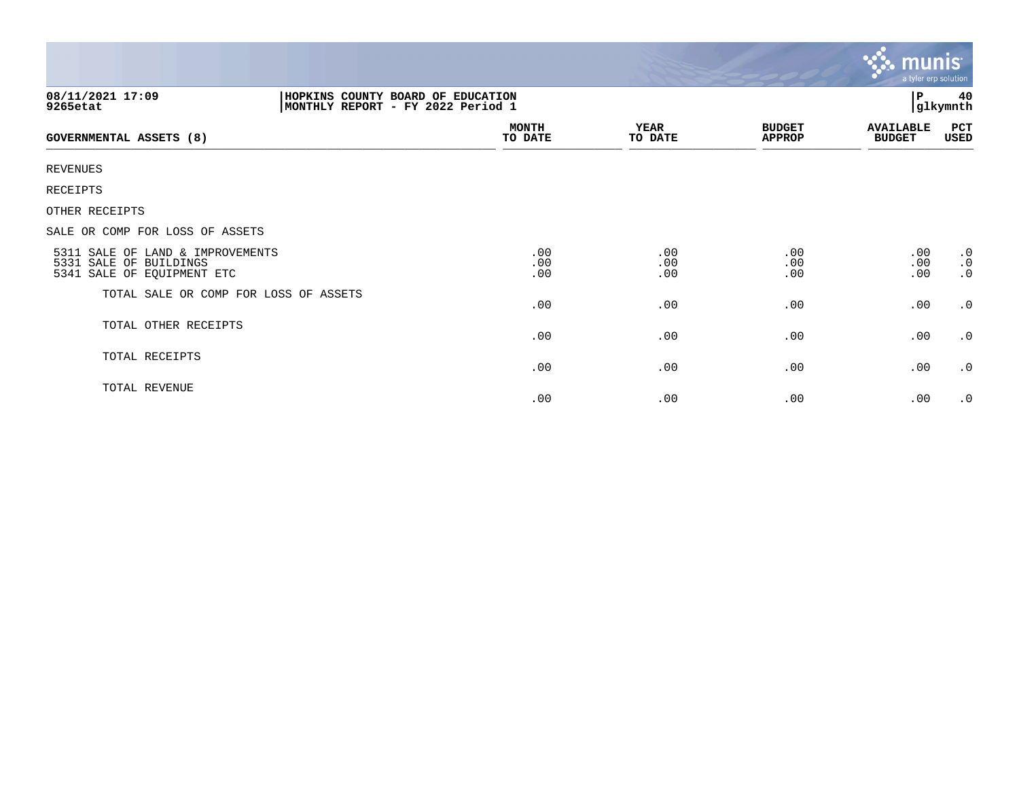| 08/11/2021 17:09<br>9265etat                                                             | HOPKINS COUNTY BOARD OF EDUCATION<br>MONTHLY REPORT - FY 2022 Period 1 |                   |                                | $\, {\bf P}$                      | 40<br>glkymnth                      |  |  |  |
|------------------------------------------------------------------------------------------|------------------------------------------------------------------------|-------------------|--------------------------------|-----------------------------------|-------------------------------------|--|--|--|
| GOVERNMENTAL ASSETS (8)                                                                  | <b>MONTH</b><br>TO DATE                                                | YEAR<br>TO DATE   | <b>BUDGET</b><br><b>APPROP</b> | <b>AVAILABLE</b><br><b>BUDGET</b> | PCT<br>USED                         |  |  |  |
| <b>REVENUES</b>                                                                          |                                                                        |                   |                                |                                   |                                     |  |  |  |
| RECEIPTS                                                                                 |                                                                        |                   |                                |                                   |                                     |  |  |  |
| OTHER RECEIPTS                                                                           |                                                                        |                   |                                |                                   |                                     |  |  |  |
| SALE OR COMP FOR LOSS OF ASSETS                                                          |                                                                        |                   |                                |                                   |                                     |  |  |  |
| 5311 SALE OF LAND & IMPROVEMENTS<br>5331 SALE OF BUILDINGS<br>5341 SALE OF EQUIPMENT ETC | .00<br>.00<br>.00                                                      | .00<br>.00<br>.00 | .00<br>.00<br>.00              | .00<br>.00<br>.00                 | $\cdot$ 0<br>$\cdot$ 0<br>$\cdot$ 0 |  |  |  |
| TOTAL SALE OR COMP FOR LOSS OF ASSETS                                                    | .00                                                                    | .00               | .00                            | .00                               | $\cdot$ 0                           |  |  |  |
| TOTAL OTHER RECEIPTS                                                                     | .00                                                                    | .00               | .00                            | .00                               | $\cdot$ 0                           |  |  |  |
| TOTAL RECEIPTS                                                                           | .00                                                                    | .00               | .00                            | .00                               | $\cdot$ 0                           |  |  |  |
| TOTAL REVENUE                                                                            | .00                                                                    | .00               | .00                            | .00                               | $\cdot$ 0                           |  |  |  |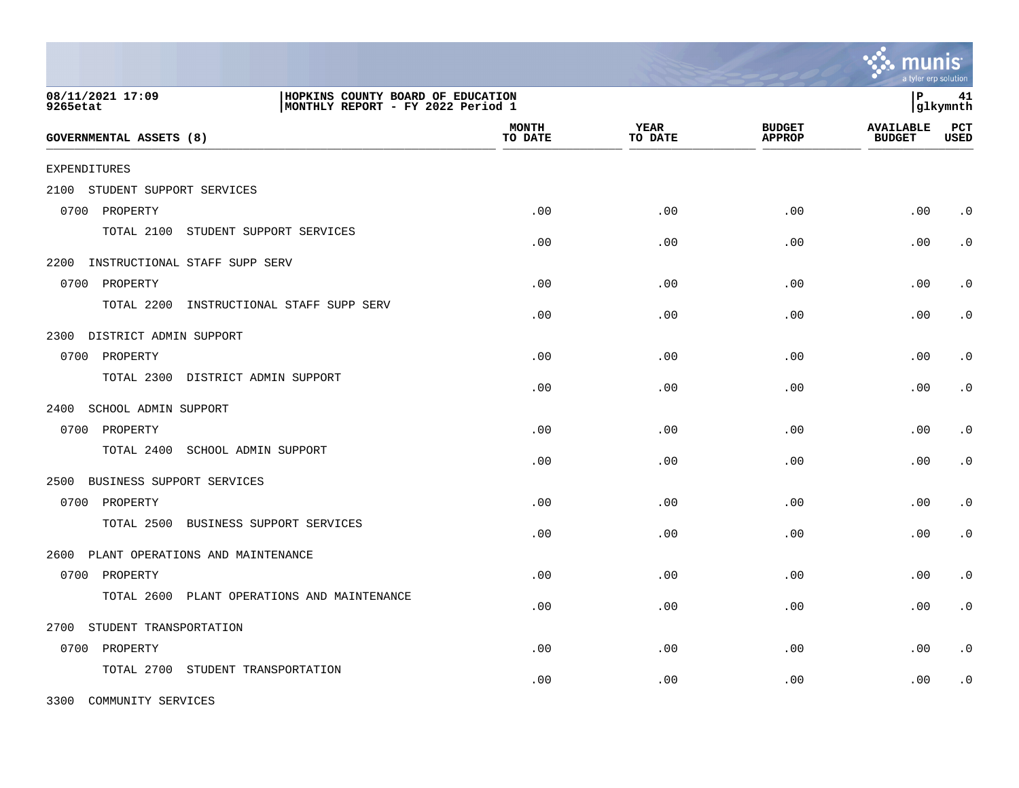|                                                                                                        |                                  |                         |                        |                                | a tyler erp solution              |                    |
|--------------------------------------------------------------------------------------------------------|----------------------------------|-------------------------|------------------------|--------------------------------|-----------------------------------|--------------------|
| 08/11/2021 17:09<br>HOPKINS COUNTY BOARD OF EDUCATION<br>MONTHLY REPORT - FY 2022 Period 1<br>9265etat |                                  |                         |                        |                                | l P                               | 41<br> glkymnth    |
| GOVERNMENTAL ASSETS (8)                                                                                |                                  | <b>MONTH</b><br>TO DATE | <b>YEAR</b><br>TO DATE | <b>BUDGET</b><br><b>APPROP</b> | <b>AVAILABLE</b><br><b>BUDGET</b> | PCT<br><b>USED</b> |
| <b>EXPENDITURES</b>                                                                                    |                                  |                         |                        |                                |                                   |                    |
| 2100<br>STUDENT SUPPORT SERVICES                                                                       |                                  |                         |                        |                                |                                   |                    |
| 0700 PROPERTY                                                                                          |                                  | .00                     | .00                    | .00                            | .00                               | $\cdot$ 0          |
| TOTAL 2100<br>STUDENT SUPPORT SERVICES                                                                 |                                  | .00                     | .00                    | .00                            | .00                               | $\cdot$ 0          |
| 2200<br>INSTRUCTIONAL STAFF SUPP SERV                                                                  |                                  |                         |                        |                                |                                   |                    |
| 0700 PROPERTY                                                                                          |                                  | .00                     | .00                    | .00                            | .00                               | $\cdot$ 0          |
| TOTAL 2200                                                                                             | INSTRUCTIONAL STAFF SUPP SERV    | .00                     | .00                    | .00                            | .00                               | $\cdot$ 0          |
| DISTRICT ADMIN SUPPORT<br>2300                                                                         |                                  |                         |                        |                                |                                   |                    |
| 0700 PROPERTY                                                                                          |                                  | .00                     | .00                    | .00                            | .00                               | $\cdot$ 0          |
| TOTAL 2300 DISTRICT ADMIN SUPPORT                                                                      |                                  | .00                     | .00                    | .00                            | .00                               | $\cdot$ 0          |
| 2400<br>SCHOOL ADMIN SUPPORT                                                                           |                                  |                         |                        |                                |                                   |                    |
| 0700 PROPERTY                                                                                          |                                  | .00                     | .00                    | .00                            | .00                               | $\cdot$ 0          |
| TOTAL 2400<br>SCHOOL ADMIN SUPPORT                                                                     |                                  | .00                     | .00                    | .00                            | .00                               | $\cdot$ 0          |
| 2500<br>BUSINESS SUPPORT SERVICES                                                                      |                                  |                         |                        |                                |                                   |                    |
| 0700 PROPERTY                                                                                          |                                  | .00                     | .00                    | .00                            | .00                               | $\cdot$ 0          |
| TOTAL 2500                                                                                             | BUSINESS SUPPORT SERVICES        | .00                     | .00                    | .00                            | .00                               | $\cdot$ 0          |
| PLANT OPERATIONS AND MAINTENANCE<br>2600                                                               |                                  |                         |                        |                                |                                   |                    |
| 0700 PROPERTY                                                                                          |                                  | .00                     | .00                    | .00                            | .00                               | $\cdot$ 0          |
| TOTAL 2600                                                                                             | PLANT OPERATIONS AND MAINTENANCE | .00                     | .00                    | .00                            | .00                               | $\cdot$ 0          |
| 2700<br>STUDENT TRANSPORTATION                                                                         |                                  |                         |                        |                                |                                   |                    |
| 0700 PROPERTY                                                                                          |                                  | .00                     | .00                    | .00                            | .00                               | $\cdot$ 0          |
| TOTAL 2700<br>STUDENT TRANSPORTATION                                                                   |                                  | .00                     | .00                    | .00                            | .00                               | $\cdot$ 0          |

3300 COMMUNITY SERVICES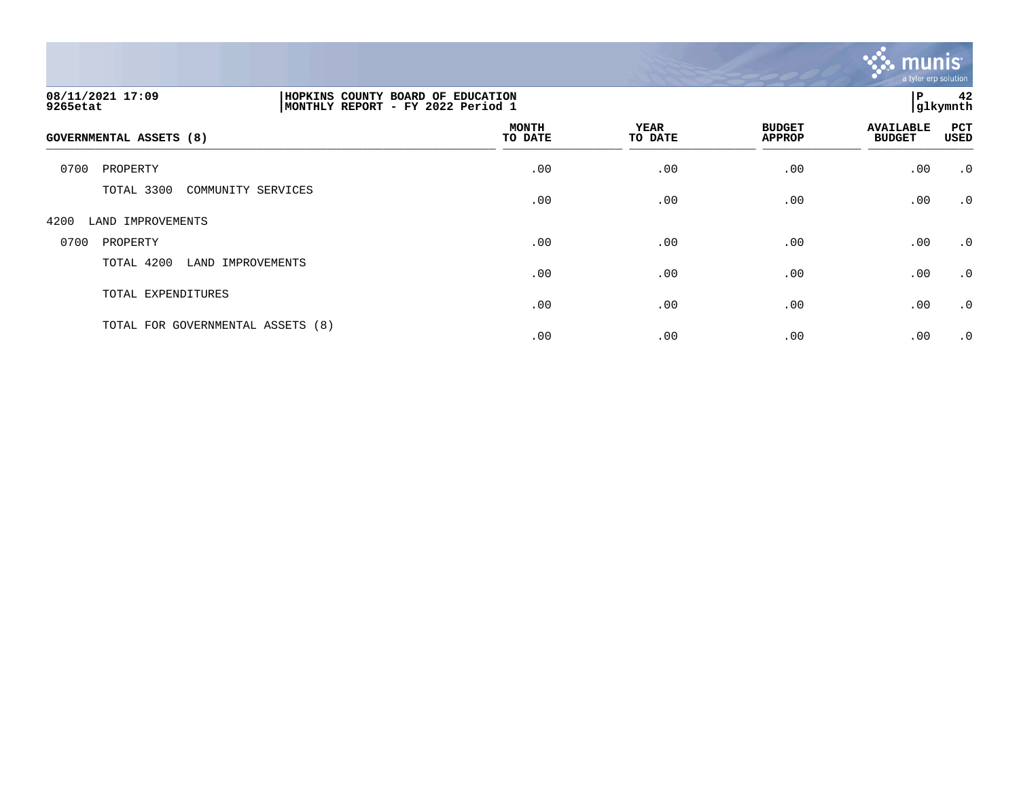

| 08/11/2021 17:09<br>9265etat      | 42<br>HOPKINS COUNTY BOARD OF EDUCATION<br>P<br>glkymnth<br> MONTHLY REPORT - FY 2022 Period 1 |                        |                                |                                   |             |
|-----------------------------------|------------------------------------------------------------------------------------------------|------------------------|--------------------------------|-----------------------------------|-------------|
| GOVERNMENTAL ASSETS (8)           | <b>MONTH</b><br>TO DATE                                                                        | <b>YEAR</b><br>TO DATE | <b>BUDGET</b><br><b>APPROP</b> | <b>AVAILABLE</b><br><b>BUDGET</b> | PCT<br>USED |
| 0700<br>PROPERTY                  | .00                                                                                            | .00                    | .00                            | .00                               | $\cdot$ 0   |
| TOTAL 3300<br>COMMUNITY SERVICES  | .00                                                                                            | .00                    | .00                            | .00                               | $\cdot$ 0   |
| 4200<br>LAND IMPROVEMENTS         |                                                                                                |                        |                                |                                   |             |
| 0700<br>PROPERTY                  | .00                                                                                            | .00                    | .00                            | .00                               | $\cdot$ 0   |
| TOTAL 4200<br>LAND IMPROVEMENTS   | .00                                                                                            | .00                    | .00                            | .00                               | $\cdot$ 0   |
| TOTAL EXPENDITURES                | .00                                                                                            | .00                    | .00                            | .00                               | $\cdot$ 0   |
| TOTAL FOR GOVERNMENTAL ASSETS (8) | .00                                                                                            | .00                    | .00                            | .00                               | $\cdot$ 0   |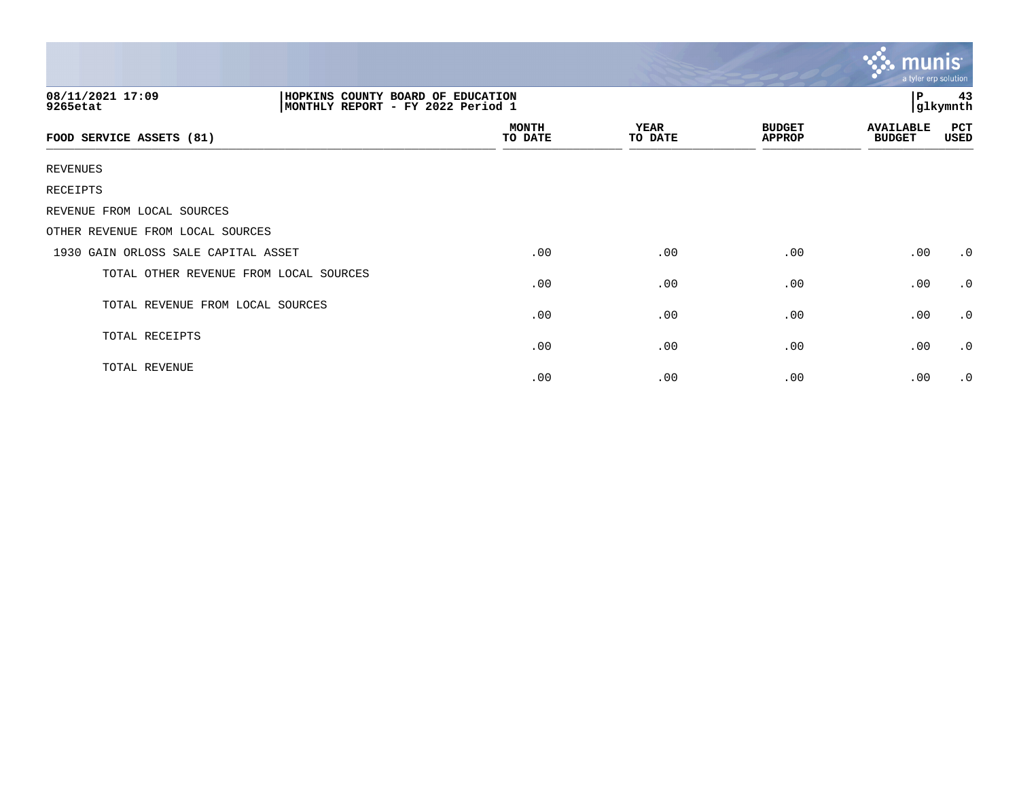|                                        |                                                                        |                        |                                |                                   | munis<br>a tyler erp solution |  |
|----------------------------------------|------------------------------------------------------------------------|------------------------|--------------------------------|-----------------------------------|-------------------------------|--|
| 08/11/2021 17:09<br>9265etat           | HOPKINS COUNTY BOARD OF EDUCATION<br>MONTHLY REPORT - FY 2022 Period 1 |                        | $\mathbf{P}$                   | 43<br>glkymnth                    |                               |  |
| FOOD SERVICE ASSETS (81)               | <b>MONTH</b><br>TO DATE                                                | <b>YEAR</b><br>TO DATE | <b>BUDGET</b><br><b>APPROP</b> | <b>AVAILABLE</b><br><b>BUDGET</b> | PCT<br>USED                   |  |
| <b>REVENUES</b>                        |                                                                        |                        |                                |                                   |                               |  |
| RECEIPTS                               |                                                                        |                        |                                |                                   |                               |  |
| REVENUE FROM LOCAL SOURCES             |                                                                        |                        |                                |                                   |                               |  |
| OTHER REVENUE FROM LOCAL SOURCES       |                                                                        |                        |                                |                                   |                               |  |
| 1930 GAIN ORLOSS SALE CAPITAL ASSET    | .00                                                                    | .00                    | .00                            | .00                               | $\cdot$ 0                     |  |
| TOTAL OTHER REVENUE FROM LOCAL SOURCES | .00                                                                    | .00                    | .00                            | .00                               | $\cdot$ 0                     |  |
| TOTAL REVENUE FROM LOCAL SOURCES       | .00                                                                    | .00                    | .00                            | .00                               | $\cdot$ 0                     |  |
| TOTAL RECEIPTS                         | .00                                                                    | .00                    | .00                            | .00                               | $\cdot$ 0                     |  |
| TOTAL REVENUE                          | .00                                                                    | .00                    | .00                            | .00                               | $\cdot$ 0                     |  |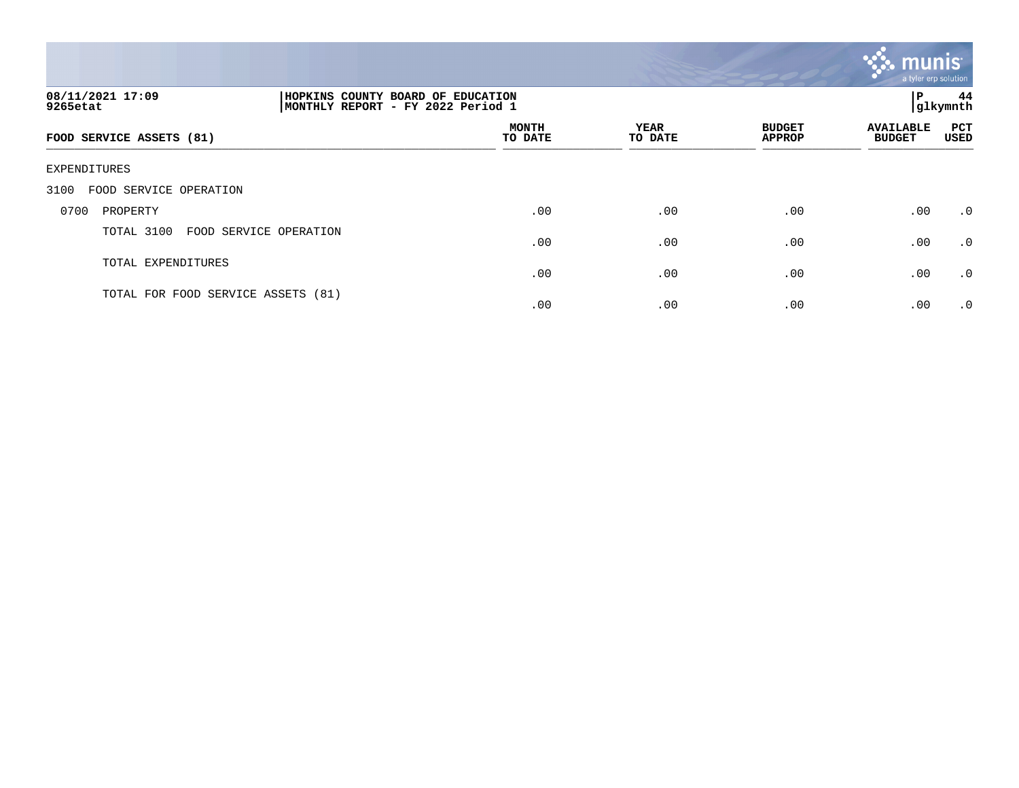

| 08/11/2021 17:09<br>9265etat         | HOPKINS COUNTY BOARD OF EDUCATION<br>P<br> glkymnth<br> MONTHLY REPORT - FY 2022 Period 1 |                 |                                |                                   |             |
|--------------------------------------|-------------------------------------------------------------------------------------------|-----------------|--------------------------------|-----------------------------------|-------------|
| FOOD SERVICE ASSETS (81)             | <b>MONTH</b><br>TO DATE                                                                   | YEAR<br>TO DATE | <b>BUDGET</b><br><b>APPROP</b> | <b>AVAILABLE</b><br><b>BUDGET</b> | PCT<br>USED |
| EXPENDITURES                         |                                                                                           |                 |                                |                                   |             |
| FOOD SERVICE OPERATION<br>3100       |                                                                                           |                 |                                |                                   |             |
| 0700<br>PROPERTY                     | .00                                                                                       | .00             | .00                            | .00                               | $\cdot$ 0   |
| TOTAL 3100<br>FOOD SERVICE OPERATION | .00                                                                                       | .00             | .00                            | .00                               | $\cdot$ 0   |
| TOTAL EXPENDITURES                   | .00                                                                                       | .00             | .00                            | .00                               | $\cdot$ 0   |
| TOTAL FOR FOOD SERVICE ASSETS (81)   | .00                                                                                       | .00             | .00                            | .00                               | $\cdot$ 0   |